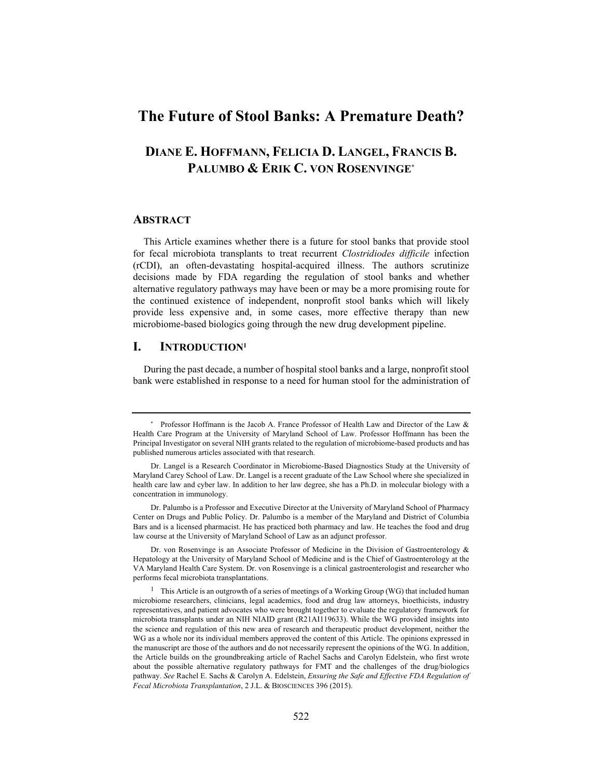# **The Future of Stool Banks: A Premature Death?**

# **DIANE E. HOFFMANN, FELICIA D. LANGEL, FRANCIS B. PALUMBO & ERIK C. VON ROSENVINGE\***

#### **ABSTRACT**

This Article examines whether there is a future for stool banks that provide stool for fecal microbiota transplants to treat recurrent *Clostridiodes difficile* infection (rCDI), an often-devastating hospital-acquired illness. The authors scrutinize decisions made by FDA regarding the regulation of stool banks and whether alternative regulatory pathways may have been or may be a more promising route for the continued existence of independent, nonprofit stool banks which will likely provide less expensive and, in some cases, more effective therapy than new microbiome-based biologics going through the new drug development pipeline.

### **I. INTRODUCTION1**

During the past decade, a number of hospital stool banks and a large, nonprofit stool bank were established in response to a need for human stool for the administration of

Dr. von Rosenvinge is an Associate Professor of Medicine in the Division of Gastroenterology & Hepatology at the University of Maryland School of Medicine and is the Chief of Gastroenterology at the VA Maryland Health Care System. Dr. von Rosenvinge is a clinical gastroenterologist and researcher who performs fecal microbiota transplantations.

<sup>\*</sup> Professor Hoffmann is the Jacob A. France Professor of Health Law and Director of the Law & Health Care Program at the University of Maryland School of Law. Professor Hoffmann has been the Principal Investigator on several NIH grants related to the regulation of microbiome-based products and has published numerous articles associated with that research.

Dr. Langel is a Research Coordinator in Microbiome-Based Diagnostics Study at the University of Maryland Carey School of Law. Dr. Langel is a recent graduate of the Law School where she specialized in health care law and cyber law. In addition to her law degree, she has a Ph.D. in molecular biology with a concentration in immunology.

Dr. Palumbo is a Professor and Executive Director at the University of Maryland School of Pharmacy Center on Drugs and Public Policy. Dr. Palumbo is a member of the Maryland and District of Columbia Bars and is a licensed pharmacist. He has practiced both pharmacy and law. He teaches the food and drug law course at the University of Maryland School of Law as an adjunct professor.

<sup>&</sup>lt;sup>1</sup> This Article is an outgrowth of a series of meetings of a Working Group (WG) that included human microbiome researchers, clinicians, legal academics, food and drug law attorneys, bioethicists, industry representatives, and patient advocates who were brought together to evaluate the regulatory framework for microbiota transplants under an NIH NIAID grant (R21AI119633). While the WG provided insights into the science and regulation of this new area of research and therapeutic product development, neither the WG as a whole nor its individual members approved the content of this Article. The opinions expressed in the manuscript are those of the authors and do not necessarily represent the opinions of the WG. In addition, the Article builds on the groundbreaking article of Rachel Sachs and Carolyn Edelstein, who first wrote about the possible alternative regulatory pathways for FMT and the challenges of the drug/biologics pathway. *See* Rachel E. Sachs & Carolyn A. Edelstein, *Ensuring the Safe and Effective FDA Regulation of Fecal Microbiota Transplantation*, 2 J.L. & BIOSCIENCES 396 (2015).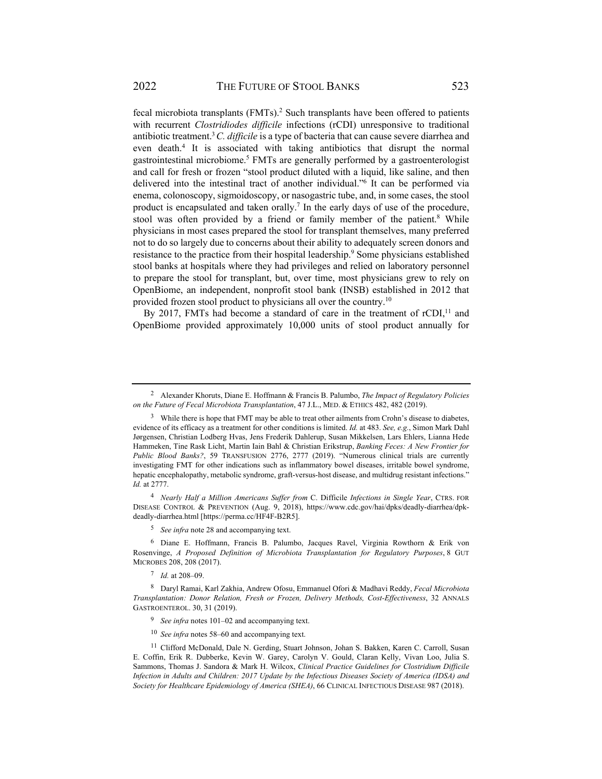fecal microbiota transplants (FMTs).<sup>2</sup> Such transplants have been offered to patients with recurrent *Clostridiodes difficile* infections (rCDI) unresponsive to traditional antibiotic treatment.3 *C. difficile* is a type of bacteria that can cause severe diarrhea and even death.<sup>4</sup> It is associated with taking antibiotics that disrupt the normal gastrointestinal microbiome.<sup>5</sup> FMTs are generally performed by a gastroenterologist and call for fresh or frozen "stool product diluted with a liquid, like saline, and then delivered into the intestinal tract of another individual."6 It can be performed via enema, colonoscopy, sigmoidoscopy, or nasogastric tube, and, in some cases, the stool product is encapsulated and taken orally.<sup>7</sup> In the early days of use of the procedure, stool was often provided by a friend or family member of the patient.<sup>8</sup> While physicians in most cases prepared the stool for transplant themselves, many preferred not to do so largely due to concerns about their ability to adequately screen donors and resistance to the practice from their hospital leadership.<sup>9</sup> Some physicians established stool banks at hospitals where they had privileges and relied on laboratory personnel to prepare the stool for transplant, but, over time, most physicians grew to rely on OpenBiome, an independent, nonprofit stool bank (INSB) established in 2012 that provided frozen stool product to physicians all over the country.10

By 2017, FMTs had become a standard of care in the treatment of  $rCDI$ ,<sup>11</sup> and OpenBiome provided approximately 10,000 units of stool product annually for

<sup>4</sup> *Nearly Half a Million Americans Suffer from* C. Difficile *Infections in Single Year*, CTRS. FOR DISEASE CONTROL & PREVENTION (Aug. 9, 2018), https://www.cdc.gov/hai/dpks/deadly-diarrhea/dpkdeadly-diarrhea.html [https://perma.cc/HF4F-B2R5].

<sup>5</sup> *See infra* note 28 and accompanying text.

6 Diane E. Hoffmann, Francis B. Palumbo, Jacques Ravel, Virginia Rowthorn & Erik von Rosenvinge, *A Proposed Definition of Microbiota Transplantation for Regulatory Purposes*, 8 GUT MICROBES 208, 208 (2017).

<sup>7</sup> *Id.* at 208–09.

<sup>10</sup> *See infra* notes 58–60 and accompanying text.

<sup>2</sup> Alexander Khoruts, Diane E. Hoffmann & Francis B. Palumbo, *The Impact of Regulatory Policies on the Future of Fecal Microbiota Transplantation*, 47 J.L., MED. & ETHICS 482, 482 (2019).

<sup>&</sup>lt;sup>3</sup> While there is hope that FMT may be able to treat other ailments from Crohn's disease to diabetes, evidence of its efficacy as a treatment for other conditions is limited. *Id.* at 483. *See, e.g.*, Simon Mark Dahl Jørgensen, Christian Lodberg Hvas, Jens Frederik Dahlerup, Susan Mikkelsen, Lars Ehlers, Lianna Hede Hammeken, Tine Rask Licht, Martin Iain Bahl & Christian Erikstrup, *Banking Feces: A New Frontier for Public Blood Banks?*, 59 TRANSFUSION 2776, 2777 (2019). "Numerous clinical trials are currently investigating FMT for other indications such as inflammatory bowel diseases, irritable bowel syndrome, hepatic encephalopathy, metabolic syndrome, graft-versus-host disease, and multidrug resistant infections." *Id.* at 2777.

<sup>8</sup> Daryl Ramai, Karl Zakhia, Andrew Ofosu, Emmanuel Ofori & Madhavi Reddy, *Fecal Microbiota Transplantation: Donor Relation, Fresh or Frozen, Delivery Methods, Cost-Effectiveness*, 32 ANNALS GASTROENTEROL. 30, 31 (2019).

<sup>9</sup> *See infra* notes 101–02 and accompanying text.

<sup>11</sup> Clifford McDonald, Dale N. Gerding, Stuart Johnson, Johan S. Bakken, Karen C. Carroll, Susan E. Coffin, Erik R. Dubberke, Kevin W. Garey, Carolyn V. Gould, Claran Kelly, Vivan Loo, Julia S. Sammons, Thomas J. Sandora & Mark H. Wilcox, *Clinical Practice Guidelines for Clostridium Difficile Infection in Adults and Children: 2017 Update by the Infectious Diseases Society of America (IDSA) and Society for Healthcare Epidemiology of America (SHEA)*, 66 CLINICAL INFECTIOUS DISEASE 987 (2018).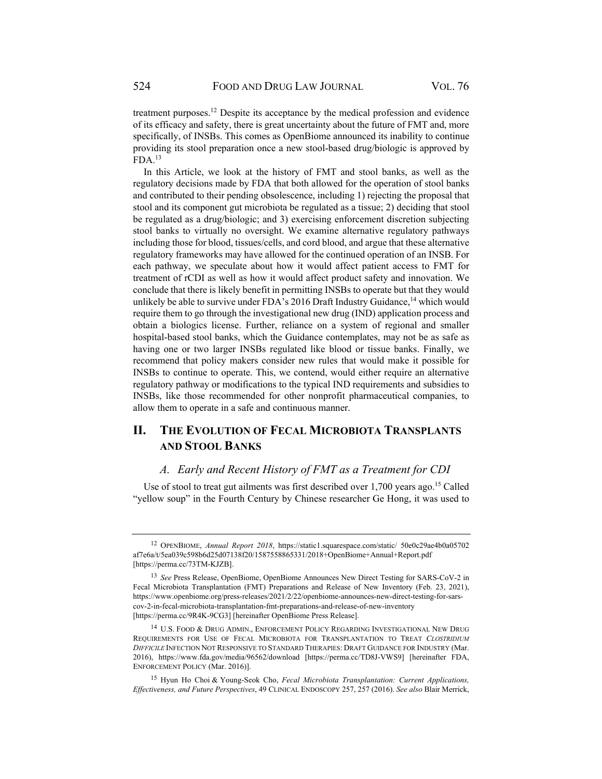treatment purposes.12 Despite its acceptance by the medical profession and evidence of its efficacy and safety, there is great uncertainty about the future of FMT and, more specifically, of INSBs. This comes as OpenBiome announced its inability to continue providing its stool preparation once a new stool-based drug/biologic is approved by  $FDA.<sup>13</sup>$ 

In this Article, we look at the history of FMT and stool banks, as well as the regulatory decisions made by FDA that both allowed for the operation of stool banks and contributed to their pending obsolescence, including 1) rejecting the proposal that stool and its component gut microbiota be regulated as a tissue; 2) deciding that stool be regulated as a drug/biologic; and 3) exercising enforcement discretion subjecting stool banks to virtually no oversight. We examine alternative regulatory pathways including those for blood, tissues/cells, and cord blood, and argue that these alternative regulatory frameworks may have allowed for the continued operation of an INSB. For each pathway, we speculate about how it would affect patient access to FMT for treatment of rCDI as well as how it would affect product safety and innovation. We conclude that there is likely benefit in permitting INSBs to operate but that they would unlikely be able to survive under FDA's  $2016$  Draft Industry Guidance,<sup>14</sup> which would require them to go through the investigational new drug (IND) application process and obtain a biologics license. Further, reliance on a system of regional and smaller hospital-based stool banks, which the Guidance contemplates, may not be as safe as having one or two larger INSBs regulated like blood or tissue banks. Finally, we recommend that policy makers consider new rules that would make it possible for INSBs to continue to operate. This, we contend, would either require an alternative regulatory pathway or modifications to the typical IND requirements and subsidies to INSBs, like those recommended for other nonprofit pharmaceutical companies, to allow them to operate in a safe and continuous manner.

# **II. THE EVOLUTION OF FECAL MICROBIOTA TRANSPLANTS AND STOOL BANKS**

### *A. Early and Recent History of FMT as a Treatment for CDI*

Use of stool to treat gut ailments was first described over 1,700 years ago.15 Called "yellow soup" in the Fourth Century by Chinese researcher Ge Hong, it was used to

<sup>12</sup> OPENBIOME, *Annual Report 2018*, https://static1.squarespace.com/static/ 50e0c29ae4b0a05702 af7e6a/t/5ea039c598b6d25d07138f20/1587558865331/2018+OpenBiome+Annual+Report.pdf [https://perma.cc/73TM-KJZB].

<sup>13</sup> *See* Press Release, OpenBiome, OpenBiome Announces New Direct Testing for SARS-CoV-2 in Fecal Microbiota Transplantation (FMT) Preparations and Release of New Inventory (Feb. 23, 2021), https://www.openbiome.org/press-releases/2021/2/22/openbiome-announces-new-direct-testing-for-sarscov-2-in-fecal-microbiota-transplantation-fmt-preparations-and-release-of-new-inventory [https://perma.cc/9R4K-9CG3] [hereinafter OpenBiome Press Release].

<sup>14</sup> U.S. FOOD & DRUG ADMIN., ENFORCEMENT POLICY REGARDING INVESTIGATIONAL NEW DRUG REQUIREMENTS FOR USE OF FECAL MICROBIOTA FOR TRANSPLANTATION TO TREAT *CLOSTRIDIUM DIFFICILE* INFECTION NOT RESPONSIVE TO STANDARD THERAPIES: DRAFT GUIDANCE FOR INDUSTRY (Mar. 2016), https://www.fda.gov/media/96562/download [https://perma.cc/TD8J-VWS9] [hereinafter FDA, ENFORCEMENT POLICY (Mar. 2016)].

<sup>15</sup> Hyun Ho Choi & Young-Seok Cho, *Fecal Microbiota Transplantation: Current Applications, Effectiveness, and Future Perspectives*, 49 CLINICAL ENDOSCOPY 257, 257 (2016). *See also* Blair Merrick,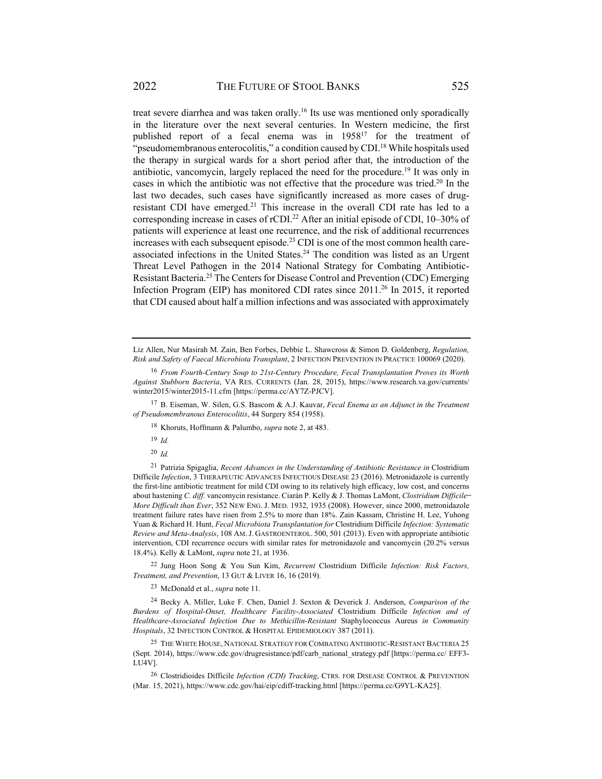treat severe diarrhea and was taken orally.16 Its use was mentioned only sporadically in the literature over the next several centuries. In Western medicine, the first published report of a fecal enema was in 1958<sup>17</sup> for the treatment of "pseudomembranous enterocolitis," a condition caused by CDI.<sup>18</sup> While hospitals used the therapy in surgical wards for a short period after that, the introduction of the antibiotic, vancomycin, largely replaced the need for the procedure.<sup>19</sup> It was only in cases in which the antibiotic was not effective that the procedure was tried.<sup>20</sup> In the last two decades, such cases have significantly increased as more cases of drugresistant CDI have emerged.<sup>21</sup> This increase in the overall CDI rate has led to a corresponding increase in cases of rCDI.<sup>22</sup> After an initial episode of CDI, 10–30% of patients will experience at least one recurrence, and the risk of additional recurrences increases with each subsequent episode.<sup>23</sup> CDI is one of the most common health careassociated infections in the United States.<sup>24</sup> The condition was listed as an Urgent Threat Level Pathogen in the 2014 National Strategy for Combating Antibiotic-Resistant Bacteria.25 The Centers for Disease Control and Prevention (CDC) Emerging Infection Program (EIP) has monitored CDI rates since 2011.<sup>26</sup> In 2015, it reported that CDI caused about half a million infections and was associated with approximately

17 B. Eiseman, W. Silen, G.S. Bascom & A.J. Kauvar, *Fecal Enema as an Adjunct in the Treatment of Pseudomembranous Enterocolitis*, 44 Surgery 854 (1958).

- <sup>19</sup> *Id.*
- <sup>20</sup> *Id.*

21 Patrizia Spigaglia, *Recent Advances in the Understanding of Antibiotic Resistance in* Clostridium Difficile *Infection*, 3 THERAPEUTIC ADVANCES INFECTIOUS DISEASE 23 (2016). Metronidazole is currently the first-line antibiotic treatment for mild CDI owing to its relatively high efficacy, low cost, and concerns about hastening *C. diff.* vancomycin resistance. Ciarán P. Kelly & J. Thomas LaMont, *Clostridium Difficile ̶ More Difficult than Ever*, 352 NEW ENG. J. MED. 1932, 1935 (2008). However, since 2000, metronidazole treatment failure rates have risen from 2.5% to more than 18%. Zain Kassam, Christine H. Lee, Yuhong Yuan & Richard H. Hunt, *Fecal Microbiota Transplantation for* Clostridium Difficile *Infection: Systematic Review and Meta-Analysis*, 108 AM.J. GASTROENTEROL. 500, 501 (2013). Even with appropriate antibiotic intervention, CDI recurrence occurs with similar rates for metronidazole and vancomycin (20.2% versus 18.4%). Kelly & LaMont, *supra* note 21, at 1936.

22 Jung Hoon Song & You Sun Kim, *Recurrent* Clostridium Difficile *Infection: Risk Factors, Treatment, and Prevention*, 13 GUT & LIVER 16, 16 (2019).

23 McDonald et al., *supra* note 11.

24 Becky A. Miller, Luke F. Chen, Daniel J. Sexton & Deverick J. Anderson, *Comparison of the Burdens of Hospital-Onset, Healthcare Facility-Associated* Clostridium Difficile *Infection and of Healthcare-Associated Infection Due to Methicillin-Resistant* Staphylococcus Aureus *in Community Hospitals*, 32 INFECTION CONTROL & HOSPITAL EPIDEMIOLOGY 387 (2011).

25 THE WHITE HOUSE, NATIONAL STRATEGY FOR COMBATING ANTIBIOTIC-RESISTANT BACTERIA 25 (Sept. 2014), https://www.cdc.gov/drugresistance/pdf/carb\_national\_strategy.pdf [https://perma.cc/ EFF3- LU4V].

26 Clostridioides Difficile *Infection (CDI) Tracking*, CTRS. FOR DISEASE CONTROL & PREVENTION (Mar. 15, 2021), https://www.cdc.gov/hai/eip/cdiff-tracking.html [https://perma.cc/G9YL-KA25].

Liz Allen, Nur Masirah M. Zain, Ben Forbes, Debbie L. Shawcross & Simon D. Goldenberg, *Regulation, Risk and Safety of Faecal Microbiota Transplant*, 2 INFECTION PREVENTION IN PRACTICE 100069 (2020).

<sup>16</sup> *From Fourth-Century Soup to 21st-Century Procedure, Fecal Transplantation Proves its Worth Against Stubborn Bacteria*, VA RES. CURRENTS (Jan. 28, 2015), https://www.research.va.gov/currents/ winter2015/winter2015-11.cfm [https://perma.cc/AY7Z-PJCV].

<sup>18</sup> Khoruts, Hoffmann & Palumbo, *supra* note 2, at 483.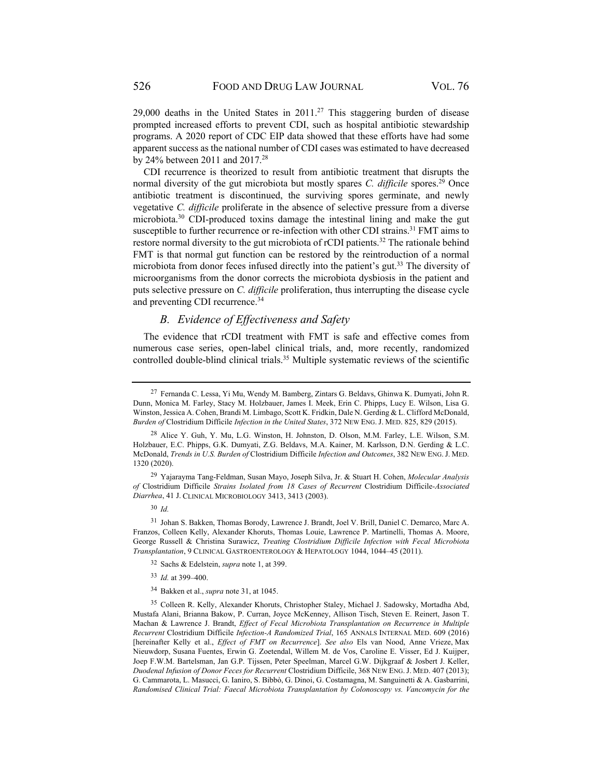29,000 deaths in the United States in  $2011<sup>27</sup>$  This staggering burden of disease prompted increased efforts to prevent CDI, such as hospital antibiotic stewardship programs. A 2020 report of CDC EIP data showed that these efforts have had some apparent success as the national number of CDI cases was estimated to have decreased by 24% between 2011 and 2017.28

CDI recurrence is theorized to result from antibiotic treatment that disrupts the normal diversity of the gut microbiota but mostly spares *C. difficile* spores.<sup>29</sup> Once antibiotic treatment is discontinued, the surviving spores germinate, and newly vegetative *C. difficile* proliferate in the absence of selective pressure from a diverse microbiota.<sup>30</sup> CDI-produced toxins damage the intestinal lining and make the gut susceptible to further recurrence or re-infection with other CDI strains.<sup>31</sup> FMT aims to restore normal diversity to the gut microbiota of rCDI patients.<sup>32</sup> The rationale behind FMT is that normal gut function can be restored by the reintroduction of a normal microbiota from donor feces infused directly into the patient's gut.<sup>33</sup> The diversity of microorganisms from the donor corrects the microbiota dysbiosis in the patient and puts selective pressure on *C. difficile* proliferation, thus interrupting the disease cycle and preventing CDI recurrence.<sup>34</sup>

### *B. Evidence of Effectiveness and Safety*

The evidence that rCDI treatment with FMT is safe and effective comes from numerous case series, open-label clinical trials, and, more recently, randomized controlled double-blind clinical trials.<sup>35</sup> Multiple systematic reviews of the scientific

- <sup>33</sup> *Id.* at 399–400.
- 34 Bakken et al., *supra* note 31, at 1045.

<sup>27</sup> Fernanda C. Lessa, Yi Mu, Wendy M. Bamberg, Zintars G. Beldavs, Ghinwa K. Dumyati, John R. Dunn, Monica M. Farley, Stacy M. Holzbauer, James I. Meek, Erin C. Phipps, Lucy E. Wilson, Lisa G. Winston, Jessica A. Cohen, Brandi M. Limbago, Scott K. Fridkin, Dale N. Gerding & L. Clifford McDonald, *Burden of* Clostridium Difficile *Infection in the United States*, 372 NEW ENG. J. MED. 825, 829 (2015).

<sup>28</sup> Alice Y. Guh, Y. Mu, L.G. Winston, H. Johnston, D. Olson, M.M. Farley, L.E. Wilson, S.M. Holzbauer, E.C. Phipps, G.K. Dumyati, Z.G. Beldavs, M.A. Kainer, M. Karlsson, D.N. Gerding & L.C. McDonald, *Trends in U.S. Burden of* Clostridium Difficile *Infection and Outcomes*, 382 NEW ENG.J. MED. 1320 (2020).

<sup>29</sup> Yajarayma Tang-Feldman, Susan Mayo, Joseph Silva, Jr. & Stuart H. Cohen, *Molecular Analysis of* Clostridium Difficile *Strains Isolated from 18 Cases of Recurrent* Clostridium Difficile*-Associated Diarrhea*, 41 J. CLINICAL MICROBIOLOGY 3413, 3413 (2003).

<sup>30</sup> *Id.*

<sup>31</sup> Johan S. Bakken, Thomas Borody, Lawrence J. Brandt, Joel V. Brill, Daniel C. Demarco, Marc A. Franzos, Colleen Kelly, Alexander Khoruts, Thomas Louie, Lawrence P. Martinelli, Thomas A. Moore, George Russell & Christina Surawicz, *Treating Clostridium Difficile Infection with Fecal Microbiota Transplantation*, 9 CLINICAL GASTROENTEROLOGY & HEPATOLOGY 1044, 1044–45 (2011).

<sup>32</sup> Sachs & Edelstein, *supra* note 1, at 399.

<sup>35</sup> Colleen R. Kelly, Alexander Khoruts, Christopher Staley, Michael J. Sadowsky, Mortadha Abd, Mustafa Alani, Brianna Bakow, P. Curran, Joyce McKenney, Allison Tisch, Steven E. Reinert, Jason T. Machan & Lawrence J. Brandt, *Effect of Fecal Microbiota Transplantation on Recurrence in Multiple Recurrent* Clostridium Difficile *Infection-A Randomized Trial*, 165 ANNALS INTERNAL MED. 609 (2016) [hereinafter Kelly et al., *Effect of FMT on Recurrence*]. *See also* Els van Nood, Anne Vrieze, Max Nieuwdorp, Susana Fuentes, Erwin G. Zoetendal, Willem M. de Vos, Caroline E. Visser, Ed J. Kuijper, Joep F.W.M. Bartelsman, Jan G.P. Tijssen, Peter Speelman, Marcel G.W. Dijkgraaf & Josbert J. Keller, *Duodenal Infusion of Donor Feces for Recurrent* Clostridium Difficile, 368 NEW ENG.J. MED. 407 (2013); G. Cammarota, L. Masucci, G. Ianiro, S. Bibbò, G. Dinoi, G. Costamagna, M. Sanguinetti & A. Gasbarrini, *Randomised Clinical Trial: Faecal Microbiota Transplantation by Colonoscopy vs. Vancomycin for the*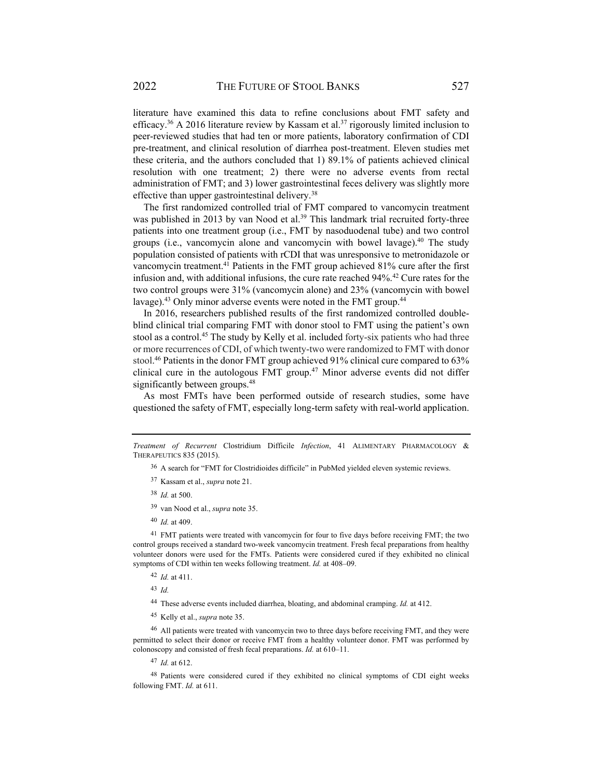literature have examined this data to refine conclusions about FMT safety and efficacy.<sup>36</sup> A 2016 literature review by Kassam et al.<sup>37</sup> rigorously limited inclusion to peer-reviewed studies that had ten or more patients, laboratory confirmation of CDI pre-treatment, and clinical resolution of diarrhea post-treatment. Eleven studies met these criteria, and the authors concluded that 1) 89.1% of patients achieved clinical resolution with one treatment; 2) there were no adverse events from rectal administration of FMT; and 3) lower gastrointestinal feces delivery was slightly more effective than upper gastrointestinal delivery.<sup>38</sup>

The first randomized controlled trial of FMT compared to vancomycin treatment was published in 2013 by van Nood et al.<sup>39</sup> This landmark trial recruited forty-three patients into one treatment group (i.e., FMT by nasoduodenal tube) and two control groups (i.e., vancomycin alone and vancomycin with bowel lavage).<sup>40</sup> The study population consisted of patients with rCDI that was unresponsive to metronidazole or vancomycin treatment.41 Patients in the FMT group achieved 81% cure after the first infusion and, with additional infusions, the cure rate reached  $94\%$ .<sup>42</sup> Cure rates for the two control groups were 31% (vancomycin alone) and 23% (vancomycin with bowel lavage).<sup>43</sup> Only minor adverse events were noted in the FMT group.<sup>44</sup>

In 2016, researchers published results of the first randomized controlled doubleblind clinical trial comparing FMT with donor stool to FMT using the patient's own stool as a control.<sup>45</sup> The study by Kelly et al. included forty-six patients who had three or more recurrences of CDI, of which twenty-two were randomized to FMT with donor stool. 46 Patients in the donor FMT group achieved 91% clinical cure compared to 63% clinical cure in the autologous FMT group.<sup>47</sup> Minor adverse events did not differ significantly between groups.<sup>48</sup>

As most FMTs have been performed outside of research studies, some have questioned the safety of FMT, especially long-term safety with real-world application.

<sup>41</sup> FMT patients were treated with vancomycin for four to five days before receiving FMT; the two control groups received a standard two-week vancomycin treatment. Fresh fecal preparations from healthy volunteer donors were used for the FMTs. Patients were considered cured if they exhibited no clinical symptoms of CDI within ten weeks following treatment. *Id.* at 408–09.

<sup>42</sup> *Id.* at 411.

<sup>43</sup> *Id.*

44 These adverse events included diarrhea, bloating, and abdominal cramping. *Id.* at 412.

45 Kelly et al., *supra* note 35.

46 All patients were treated with vancomycin two to three days before receiving FMT, and they were permitted to select their donor or receive FMT from a healthy volunteer donor. FMT was performed by colonoscopy and consisted of fresh fecal preparations. *Id.* at 610–11.

<sup>47</sup> *Id.* at 612.

48 Patients were considered cured if they exhibited no clinical symptoms of CDI eight weeks following FMT. *Id.* at 611.

*Treatment of Recurrent* Clostridium Difficile *Infection*, 41 ALIMENTARY PHARMACOLOGY & THERAPEUTICS 835 (2015).

<sup>&</sup>lt;sup>36</sup> A search for "FMT for Clostridioides difficile" in PubMed yielded eleven systemic reviews.

<sup>37</sup> Kassam et al., *supra* note 21.

<sup>38</sup> *Id.* at 500.

<sup>39</sup> van Nood et al., *supra* note 35.

<sup>40</sup> *Id.* at 409.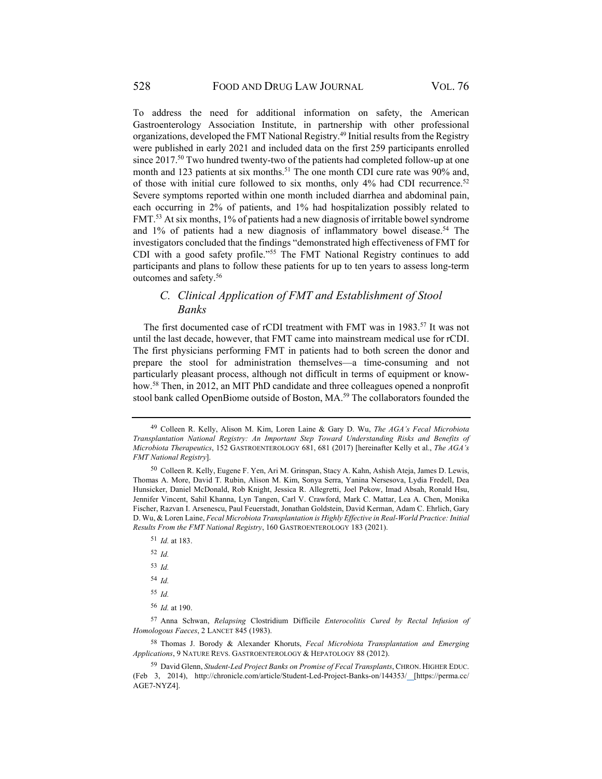To address the need for additional information on safety, the American Gastroenterology Association Institute, in partnership with other professional organizations, developed the FMT National Registry.49 Initial results from the Registry were published in early 2021 and included data on the first 259 participants enrolled since 2017.<sup>50</sup> Two hundred twenty-two of the patients had completed follow-up at one month and 123 patients at six months.<sup>51</sup> The one month CDI cure rate was 90% and, of those with initial cure followed to six months, only 4% had CDI recurrence.<sup>52</sup> Severe symptoms reported within one month included diarrhea and abdominal pain, each occurring in 2% of patients, and 1% had hospitalization possibly related to FMT.53 At six months, 1% of patients had a new diagnosis of irritable bowel syndrome and  $1\%$  of patients had a new diagnosis of inflammatory bowel disease.<sup>54</sup> The investigators concluded that the findings "demonstrated high effectiveness of FMT for CDI with a good safety profile."55 The FMT National Registry continues to add participants and plans to follow these patients for up to ten years to assess long-term outcomes and safety.56

## *C. Clinical Application of FMT and Establishment of Stool Banks*

The first documented case of rCDI treatment with FMT was in 1983.<sup>57</sup> It was not until the last decade, however, that FMT came into mainstream medical use for rCDI. The first physicians performing FMT in patients had to both screen the donor and prepare the stool for administration themselves—a time-consuming and not particularly pleasant process, although not difficult in terms of equipment or knowhow.58 Then, in 2012, an MIT PhD candidate and three colleagues opened a nonprofit stool bank called OpenBiome outside of Boston, MA.<sup>59</sup> The collaborators founded the

- <sup>51</sup> *Id.* at 183.
- <sup>52</sup> *Id.*
- <sup>53</sup> *Id.*
- <sup>54</sup> *Id.*
- <sup>55</sup> *Id.*
- <sup>56</sup> *Id.* at 190.

57 Anna Schwan, *Relapsing* Clostridium Difficile *Enterocolitis Cured by Rectal Infusion of Homologous Faeces*, 2 LANCET 845 (1983).

58 Thomas J. Borody & Alexander Khoruts, *Fecal Microbiota Transplantation and Emerging Applications*, 9 NATURE REVS. GASTROENTEROLOGY & HEPATOLOGY 88 (2012).

<sup>49</sup> Colleen R. Kelly, Alison M. Kim, Loren Laine & Gary D. Wu, *The AGA's Fecal Microbiota Transplantation National Registry: An Important Step Toward Understanding Risks and Benefits of Microbiota Therapeutics*, 152 GASTROENTEROLOGY 681, 681 (2017) [hereinafter Kelly et al., *The AGA's FMT National Registry*].

<sup>50</sup> Colleen R. Kelly, Eugene F. Yen, Ari M. Grinspan, Stacy A. Kahn, Ashish Ateja, James D. Lewis, Thomas A. More, David T. Rubin, Alison M. Kim, Sonya Serra, Yanina Nersesova, Lydia Fredell, Dea Hunsicker, Daniel McDonald, Rob Knight, Jessica R. Allegretti, Joel Pekow, Imad Absah, Ronald Hsu, Jennifer Vincent, Sahil Khanna, Lyn Tangen, Carl V. Crawford, Mark C. Mattar, Lea A. Chen, Monika Fischer, Razvan I. Arsenescu, Paul Feuerstadt, Jonathan Goldstein, David Kerman, Adam C. Ehrlich, Gary D. Wu, & Loren Laine, *Fecal Microbiota Transplantation is Highly Effective in Real-World Practice: Initial Results From the FMT National Registry*, 160 GASTROENTEROLOGY 183 (2021).

<sup>59</sup> David Glenn, *Student-Led Project Banks on Promise of Fecal Transplants*, CHRON. HIGHER EDUC. (Feb 3, 2014), http://chronicle.com/article/Student-Led-Project-Banks-on/144353/ [https://perma.cc/ AGE7-NYZ4].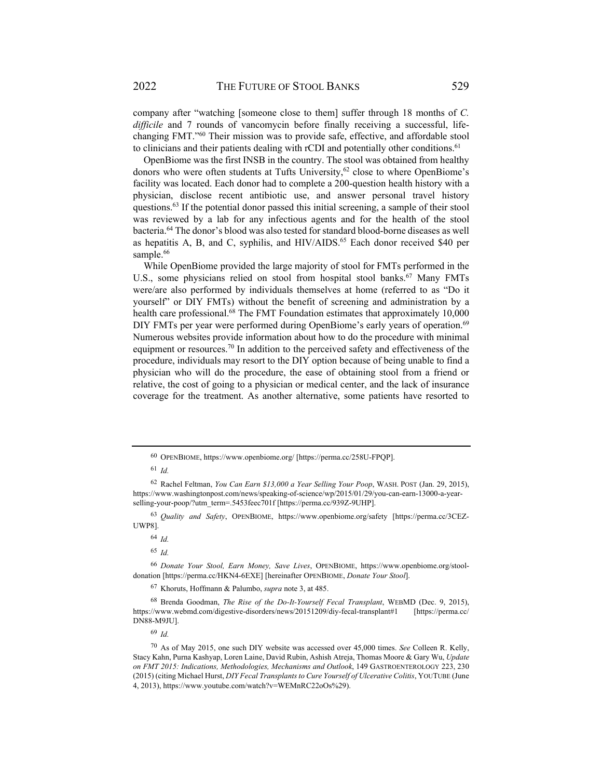company after "watching [someone close to them] suffer through 18 months of *C. difficile* and 7 rounds of vancomycin before finally receiving a successful, lifechanging FMT."60 Their mission was to provide safe, effective, and affordable stool to clinicians and their patients dealing with rCDI and potentially other conditions.<sup>61</sup>

OpenBiome was the first INSB in the country. The stool was obtained from healthy donors who were often students at Tufts University,  $62$  close to where OpenBiome's facility was located. Each donor had to complete a 200-question health history with a physician, disclose recent antibiotic use, and answer personal travel history questions.63 If the potential donor passed this initial screening, a sample of their stool was reviewed by a lab for any infectious agents and for the health of the stool bacteria.64 The donor's blood was also tested for standard blood-borne diseases as well as hepatitis A, B, and C, syphilis, and  $HIV/AIDS<sup>65</sup>$  Each donor received \$40 per sample.<sup>66</sup>

While OpenBiome provided the large majority of stool for FMTs performed in the U.S., some physicians relied on stool from hospital stool banks.<sup>67</sup> Many FMTs were/are also performed by individuals themselves at home (referred to as "Do it yourself" or DIY FMTs) without the benefit of screening and administration by a health care professional.<sup>68</sup> The FMT Foundation estimates that approximately 10,000 DIY FMTs per year were performed during OpenBiome's early years of operation.<sup>69</sup> Numerous websites provide information about how to do the procedure with minimal equipment or resources.<sup>70</sup> In addition to the perceived safety and effectiveness of the procedure, individuals may resort to the DIY option because of being unable to find a physician who will do the procedure, the ease of obtaining stool from a friend or relative, the cost of going to a physician or medical center, and the lack of insurance coverage for the treatment. As another alternative, some patients have resorted to

<sup>63</sup> *Quality and Safety*, OPENBIOME, https://www.openbiome.org/safety [https://perma.cc/3CEZ-UWP8].

<sup>64</sup> *Id.*

<sup>65</sup> *Id.*

67 Khoruts, Hoffmann & Palumbo, *supra* note 3, at 485.

68 Brenda Goodman, *The Rise of the Do-It-Yourself Fecal Transplant*, WEBMD (Dec. 9, 2015), https://www.webmd.com/digestive-disorders/news/20151209/diy-fecal-transplant#1 [https://perma.cc/ DN88-M9JU].

<sup>69</sup> *Id.*

<sup>60</sup> OPENBIOME, https://www.openbiome.org/ [https://perma.cc/258U-FPQP].

<sup>61</sup> *Id.*

<sup>62</sup> Rachel Feltman, *You Can Earn \$13,000 a Year Selling Your Poop*, WASH. POST (Jan. 29, 2015), https://www.washingtonpost.com/news/speaking-of-science/wp/2015/01/29/you-can-earn-13000-a-yearselling-your-poop/?utm\_term=.5453feec701f [https://perma.cc/939Z-9UHP].

<sup>66</sup> *Donate Your Stool, Earn Money, Save Lives*, OPENBIOME, https://www.openbiome.org/stooldonation [https://perma.cc/HKN4-6EXE] [hereinafter OPENBIOME, *Donate Your Stool*].

<sup>70</sup> As of May 2015, one such DIY website was accessed over 45,000 times. *See* Colleen R. Kelly, Stacy Kahn, Purna Kashyap, Loren Laine, David Rubin, Ashish Atreja, Thomas Moore & Gary Wu, *Update on FMT 2015: Indications, Methodologies, Mechanisms and Outlook*, 149 GASTROENTEROLOGY 223, 230 (2015) (citing Michael Hurst, *DIY Fecal Transplants to Cure Yourself of Ulcerative Colitis*, YOUTUBE (June 4, 2013), https://www.youtube.com/watch?v=WEMnRC22oOs%29).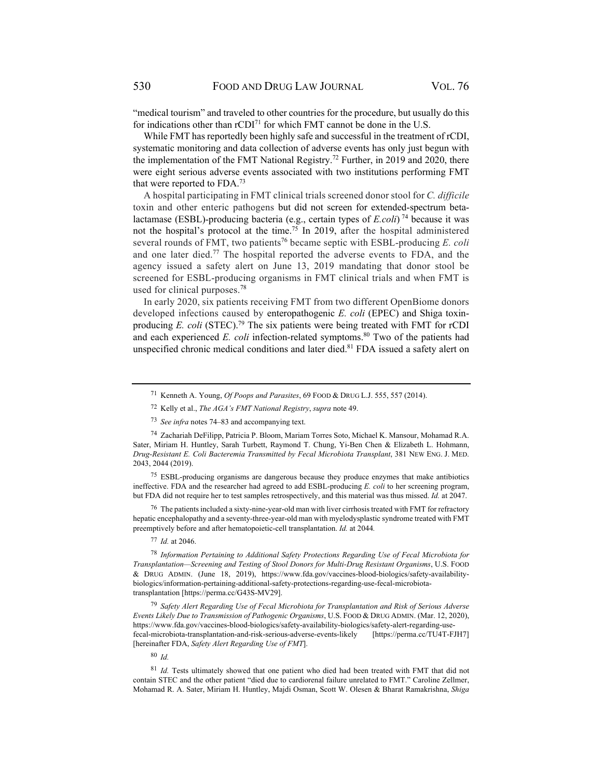"medical tourism" and traveled to other countries for the procedure, but usually do this for indications other than  $rCDI<sup>71</sup>$  for which FMT cannot be done in the U.S.

While FMT has reportedly been highly safe and successful in the treatment of rCDI, systematic monitoring and data collection of adverse events has only just begun with the implementation of the FMT National Registry.<sup>72</sup> Further, in 2019 and 2020, there were eight serious adverse events associated with two institutions performing FMT that were reported to FDA.73

A hospital participating in FMT clinical trials screened donor stool for *C. difficile* toxin and other enteric pathogens but did not screen for extended-spectrum betalactamase (ESBL)-producing bacteria (e.g., certain types of  $E_{\text{c}}$ *coli*)<sup>74</sup> because it was not the hospital's protocol at the time.75 In 2019, after the hospital administered several rounds of FMT, two patients<sup>76</sup> became septic with ESBL-producing *E. coli* and one later died.<sup>77</sup> The hospital reported the adverse events to FDA, and the agency issued a safety alert on June 13, 2019 mandating that donor stool be screened for ESBL-producing organisms in FMT clinical trials and when FMT is used for clinical purposes.78

In early 2020, six patients receiving FMT from two different OpenBiome donors developed infections caused by enteropathogenic *E. coli* (EPEC) and Shiga toxinproducing *E. coli* (STEC).<sup>79</sup> The six patients were being treated with FMT for rCDI and each experienced *E. coli* infection-related symptoms.<sup>80</sup> Two of the patients had unspecified chronic medical conditions and later died.<sup>81</sup> FDA issued a safety alert on

75 ESBL-producing organisms are dangerous because they produce enzymes that make antibiotics ineffective. FDA and the researcher had agreed to add ESBL-producing *E. coli* to her screening program, but FDA did not require her to test samples retrospectively, and this material was thus missed. *Id.* at 2047.

 $76$  The patients included a sixty-nine-year-old man with liver cirrhosis treated with FMT for refractory hepatic encephalopathy and a seventy-three-year-old man with myelodysplastic syndrome treated with FMT preemptively before and after hematopoietic-cell transplantation. *Id.* at 2044*.* 

<sup>77</sup> *Id.* at 2046.

<sup>78</sup> *Information Pertaining to Additional Safety Protections Regarding Use of Fecal Microbiota for Transplantation—Screening and Testing of Stool Donors for Multi-Drug Resistant Organisms*, U.S. FOOD & DRUG ADMIN. (June 18, 2019), https://www.fda.gov/vaccines-blood-biologics/safety-availabilitybiologics/information-pertaining-additional-safety-protections-regarding-use-fecal-microbiotatransplantation [https://perma.cc/G43S-MV29].

<sup>79</sup> *Safety Alert Regarding Use of Fecal Microbiota for Transplantation and Risk of Serious Adverse Events Likely Due to Transmission of Pathogenic Organisms*, U.S. FOOD & DRUG ADMIN. (Mar. 12, 2020), https://www.fda.gov/vaccines-blood-biologics/safety-availability-biologics/safety-alert-regarding-usefecal-microbiota-transplantation-and-risk-serious-adverse-events-likely [https://perma.cc/TU4T-FJH7] [hereinafter FDA, *Safety Alert Regarding Use of FMT*].

<sup>80</sup> *Id.*

<sup>81</sup> *Id.* Tests ultimately showed that one patient who died had been treated with FMT that did not contain STEC and the other patient "died due to cardiorenal failure unrelated to FMT." Caroline Zellmer, Mohamad R. A. Sater, Miriam H. Huntley, Majdi Osman, Scott W. Olesen & Bharat Ramakrishna, *Shiga* 

<sup>71</sup> Kenneth A. Young, *Of Poops and Parasites*, 69 FOOD & DRUG L.J. 555, 557 (2014).

<sup>72</sup> Kelly et al., *The AGA's FMT National Registry*, *supra* note 49.

<sup>73</sup> *See infra* notes 74–83 and accompanying text.

<sup>74</sup> Zachariah DeFilipp, Patricia P. Bloom, Mariam Torres Soto, Michael K. Mansour, Mohamad R.A. Sater, Miriam H. Huntley, Sarah Turbett, Raymond T. Chung, Yi-Ben Chen & Elizabeth L. Hohmann, *Drug-Resistant E. Coli Bacteremia Transmitted by Fecal Microbiota Transplant*, 381 NEW ENG. J. MED. 2043, 2044 (2019).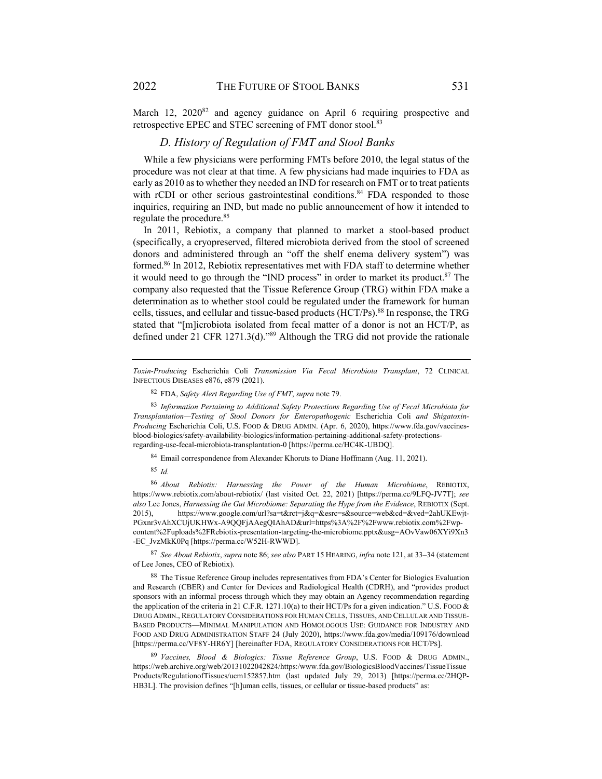March 12, 2020<sup>82</sup> and agency guidance on April 6 requiring prospective and retrospective EPEC and STEC screening of FMT donor stool.<sup>83</sup>

#### *D. History of Regulation of FMT and Stool Banks*

While a few physicians were performing FMTs before 2010, the legal status of the procedure was not clear at that time. A few physicians had made inquiries to FDA as early as 2010 as to whether they needed an IND for research on FMT or to treat patients with rCDI or other serious gastrointestinal conditions.<sup>84</sup> FDA responded to those inquiries, requiring an IND, but made no public announcement of how it intended to regulate the procedure.85

In 2011, Rebiotix, a company that planned to market a stool-based product (specifically, a cryopreserved, filtered microbiota derived from the stool of screened donors and administered through an "off the shelf enema delivery system") was formed.86 In 2012, Rebiotix representatives met with FDA staff to determine whether it would need to go through the "IND process" in order to market its product.87 The company also requested that the Tissue Reference Group (TRG) within FDA make a determination as to whether stool could be regulated under the framework for human cells, tissues, and cellular and tissue-based products (HCT/Ps).88 In response, the TRG stated that "[m]icrobiota isolated from fecal matter of a donor is not an HCT/P, as defined under 21 CFR 1271.3(d)."89 Although the TRG did not provide the rationale

84 Email correspondence from Alexander Khoruts to Diane Hoffmann (Aug. 11, 2021).

<sup>85</sup> *Id.* 

<sup>86</sup> *About Rebiotix: Harnessing the Power of the Human Microbiome*, REBIOTIX, https://www.rebiotix.com/about-rebiotix/ (last visited Oct. 22, 2021) [https://perma.cc/9LFQ-JV7T]; *see also* Lee Jones, *Harnessing the Gut Microbiome: Separating the Hype from the Evidence*, REBIOTIX (Sept. 2015), https://www.google.com/url?sa=t&rct=j&q=&esrc=s&source=web&cd=&ved=2ahUKEwjt-PGxnr3vAhXCUjUKHWx-A9QQFjAAegQIAhAD&url=https%3A%2F%2Fwww.rebiotix.com%2Fwpcontent%2Fuploads%2FRebiotix-presentation-targeting-the-microbiome.pptx&usg=AOvVaw06XYi9Xn3 -EC\_JvzMkK0Pq [https://perma.cc/W52H-RWWD].

<sup>87</sup> *See About Rebiotix*, *supra* note 86; *see also* PART 15 HEARING, *infra* note 121, at 33–34 (statement of Lee Jones, CEO of Rebiotix).

*Toxin-Producing* Escherichia Coli *Transmission Via Fecal Microbiota Transplant*, 72 CLINICAL INFECTIOUS DISEASES e876, e879 (2021).

<sup>82</sup> FDA, *Safety Alert Regarding Use of FMT*, *supra* note 79.

<sup>83</sup> *Information Pertaining to Additional Safety Protections Regarding Use of Fecal Microbiota for Transplantation—Testing of Stool Donors for Enteropathogenic* Escherichia Coli *and Shigatoxin-Producing* Escherichia Coli, U.S. FOOD & DRUG ADMIN. (Apr. 6, 2020), https://www.fda.gov/vaccinesblood-biologics/safety-availability-biologics/information-pertaining-additional-safety-protectionsregarding-use-fecal-microbiota-transplantation-0 [https://perma.cc/HC4K-UBDQ].

<sup>88</sup> The Tissue Reference Group includes representatives from FDA's Center for Biologics Evaluation and Research (CBER) and Center for Devices and Radiological Health (CDRH), and "provides product sponsors with an informal process through which they may obtain an Agency recommendation regarding the application of the criteria in 21 C.F.R. 1271.10(a) to their HCT/Ps for a given indication." U.S. FOOD & DRUG ADMIN., REGULATORY CONSIDERATIONS FOR HUMAN CELLS, TISSUES, AND CELLULAR AND TISSUE-BASED PRODUCTS—MINIMAL MANIPULATION AND HOMOLOGOUS USE: GUIDANCE FOR INDUSTRY AND FOOD AND DRUG ADMINISTRATION STAFF 24 (July 2020), https://www.fda.gov/media/109176/download [https://perma.cc/VF8Y-HR6Y] [hereinafter FDA, REGULATORY CONSIDERATIONS FOR HCT/PS].

<sup>89</sup> *Vaccines, Blood & Biologics: Tissue Reference Group*, U.S. FOOD & DRUG ADMIN., https://web.archive.org/web/20131022042824/https:/www.fda.gov/BiologicsBloodVaccines/TissueTissue Products/RegulationofTissues/ucm152857.htm (last updated July 29, 2013) [https://perma.cc/2HQP-HB3L]. The provision defines "[h]uman cells, tissues, or cellular or tissue-based products" as: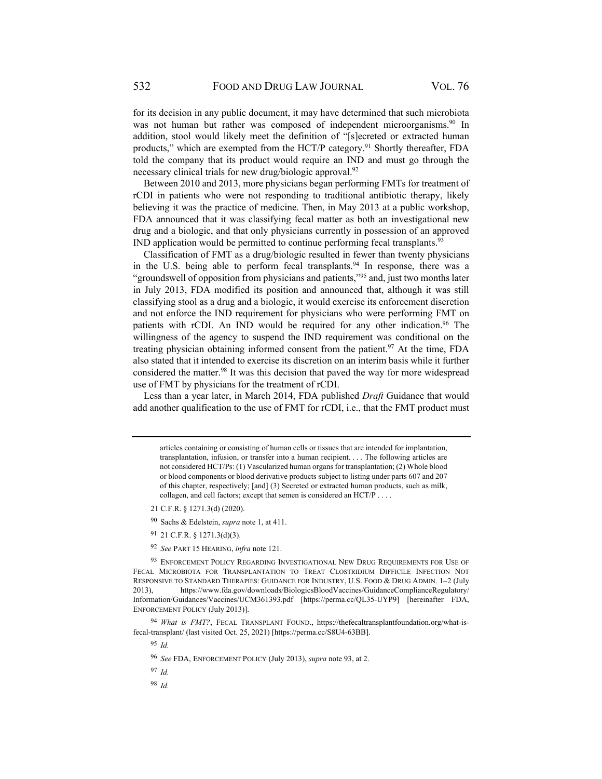for its decision in any public document, it may have determined that such microbiota was not human but rather was composed of independent microorganisms.<sup>90</sup> In addition, stool would likely meet the definition of "[s]ecreted or extracted human products," which are exempted from the HCT/P category.<sup>91</sup> Shortly thereafter, FDA told the company that its product would require an IND and must go through the necessary clinical trials for new drug/biologic approval.<sup>92</sup>

Between 2010 and 2013, more physicians began performing FMTs for treatment of rCDI in patients who were not responding to traditional antibiotic therapy, likely believing it was the practice of medicine. Then, in May 2013 at a public workshop, FDA announced that it was classifying fecal matter as both an investigational new drug and a biologic, and that only physicians currently in possession of an approved IND application would be permitted to continue performing fecal transplants.<sup>93</sup>

Classification of FMT as a drug/biologic resulted in fewer than twenty physicians in the U.S. being able to perform fecal transplants.<sup>94</sup> In response, there was a "groundswell of opposition from physicians and patients,"<sup>95</sup> and, just two months later in July 2013, FDA modified its position and announced that, although it was still classifying stool as a drug and a biologic, it would exercise its enforcement discretion and not enforce the IND requirement for physicians who were performing FMT on patients with rCDI. An IND would be required for any other indication.<sup>96</sup> The willingness of the agency to suspend the IND requirement was conditional on the treating physician obtaining informed consent from the patient.<sup>97</sup> At the time, FDA also stated that it intended to exercise its discretion on an interim basis while it further considered the matter.98 It was this decision that paved the way for more widespread use of FMT by physicians for the treatment of rCDI.

Less than a year later, in March 2014, FDA published *Draft* Guidance that would add another qualification to the use of FMT for rCDI, i.e., that the FMT product must

- 21 C.F.R. § 1271.3(d) (2020).
- 90 Sachs & Edelstein, *supra* note 1, at 411.
- 91 21 C.F.R. § 1271.3(d)(3).
- <sup>92</sup> *See* PART 15 HEARING, *infra* note 121.

<sup>93</sup> ENFORCEMENT POLICY REGARDING INVESTIGATIONAL NEW DRUG REQUIREMENTS FOR USE OF FECAL MICROBIOTA FOR TRANSPLANTATION TO TREAT CLOSTRIDIUM DIFFICILE INFECTION NOT RESPONSIVE TO STANDARD THERAPIES: GUIDANCE FOR INDUSTRY, U.S. FOOD & DRUG ADMIN. 1–2 (July 2013), https://www.fda.gov/downloads/BiologicsBloodVaccines/GuidanceComplianceRegulatory/ Information/Guidances/Vaccines/UCM361393.pdf [https://perma.cc/QL35-UYP9] [hereinafter FDA, ENFORCEMENT POLICY (July 2013)].

<sup>94</sup> *What is FMT?*, FECAL TRANSPLANT FOUND., https://thefecaltransplantfoundation.org/what-isfecal-transplant/ (last visited Oct. 25, 2021) [https://perma.cc/S8U4-63BB].

<sup>95</sup> *Id.*

<sup>96</sup> *See* FDA, ENFORCEMENT POLICY (July 2013), *supra* note 93, at 2.

<sup>97</sup> *Id.*

<sup>98</sup> *Id.*

articles containing or consisting of human cells or tissues that are intended for implantation, transplantation, infusion, or transfer into a human recipient. . . . The following articles are not considered HCT/Ps: (1) Vascularized human organs for transplantation; (2) Whole blood or blood components or blood derivative products subject to listing under parts 607 and 207 of this chapter, respectively; [and] (3) Secreted or extracted human products, such as milk, collagen, and cell factors; except that semen is considered an HCT/P . . . .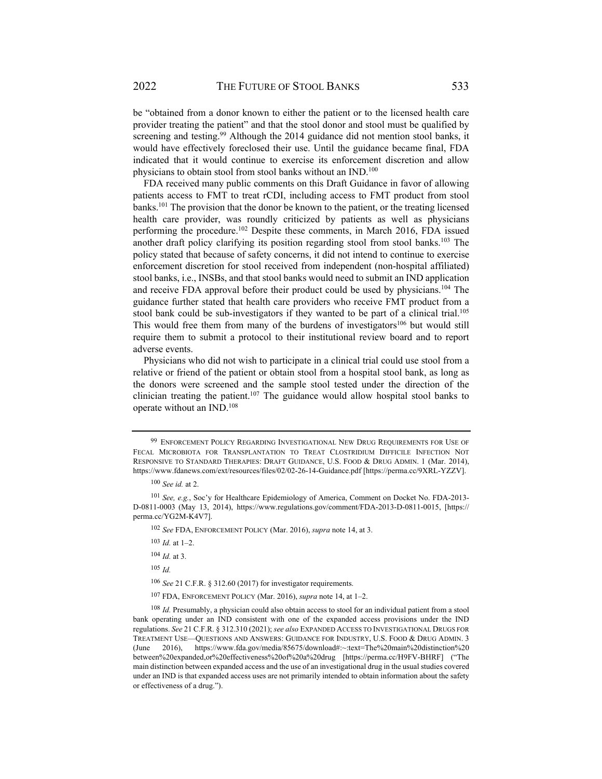be "obtained from a donor known to either the patient or to the licensed health care provider treating the patient" and that the stool donor and stool must be qualified by screening and testing.<sup>99</sup> Although the 2014 guidance did not mention stool banks, it would have effectively foreclosed their use. Until the guidance became final, FDA indicated that it would continue to exercise its enforcement discretion and allow physicians to obtain stool from stool banks without an IND.<sup>100</sup>

FDA received many public comments on this Draft Guidance in favor of allowing patients access to FMT to treat rCDI, including access to FMT product from stool banks.101 The provision that the donor be known to the patient, or the treating licensed health care provider, was roundly criticized by patients as well as physicians performing the procedure.102 Despite these comments, in March 2016, FDA issued another draft policy clarifying its position regarding stool from stool banks.<sup>103</sup> The policy stated that because of safety concerns, it did not intend to continue to exercise enforcement discretion for stool received from independent (non-hospital affiliated) stool banks, i.e., INSBs, and that stool banks would need to submit an IND application and receive FDA approval before their product could be used by physicians.104 The guidance further stated that health care providers who receive FMT product from a stool bank could be sub-investigators if they wanted to be part of a clinical trial.<sup>105</sup> This would free them from many of the burdens of investigators<sup>106</sup> but would still require them to submit a protocol to their institutional review board and to report adverse events.

Physicians who did not wish to participate in a clinical trial could use stool from a relative or friend of the patient or obtain stool from a hospital stool bank, as long as the donors were screened and the sample stool tested under the direction of the clinician treating the patient.<sup>107</sup> The guidance would allow hospital stool banks to operate without an IND.108

<sup>105</sup> *Id.*

<sup>106</sup> *See* 21 C.F.R. § 312.60 (2017) for investigator requirements.

<sup>99</sup> ENFORCEMENT POLICY REGARDING INVESTIGATIONAL NEW DRUG REQUIREMENTS FOR USE OF FECAL MICROBIOTA FOR TRANSPLANTATION TO TREAT CLOSTRIDIUM DIFFICILE INFECTION NOT RESPONSIVE TO STANDARD THERAPIES: DRAFT GUIDANCE, U.S. FOOD & DRUG ADMIN. 1 (Mar. 2014), https://www.fdanews.com/ext/resources/files/02/02-26-14-Guidance.pdf [https://perma.cc/9XRL-YZZV].

<sup>100</sup> *See id.* at 2.

<sup>101</sup> *See, e.g.*, Soc'y for Healthcare Epidemiology of America, Comment on Docket No. FDA-2013- D-0811-0003 (May 13, 2014), https://www.regulations.gov/comment/FDA-2013-D-0811-0015, [https:// perma.cc/YG2M-K4V7].

<sup>102</sup> *See* FDA, ENFORCEMENT POLICY (Mar. 2016), *supra* note 14, at 3.

<sup>103</sup> *Id.* at 1–2.

<sup>104</sup> *Id.* at 3.

<sup>107</sup> FDA, ENFORCEMENT POLICY (Mar. 2016), *supra* note 14, at 1–2.

<sup>108</sup> *Id.* Presumably, a physician could also obtain access to stool for an individual patient from a stool bank operating under an IND consistent with one of the expanded access provisions under the IND regulations. *See* 21 C.F.R. § 312.310 (2021); *see also* EXPANDED ACCESS TO INVESTIGATIONAL DRUGS FOR TREATMENT USE—QUESTIONS AND ANSWERS: GUIDANCE FOR INDUSTRY, U.S. FOOD & DRUG ADMIN. 3 (June 2016), https://www.fda.gov/media/85675/download#:~:text=The%20main%20distinction%20 between%20expanded,or%20effectiveness%20of%20a%20drug [https://perma.cc/H9FV-BHRF] ("The main distinction between expanded access and the use of an investigational drug in the usual studies covered under an IND is that expanded access uses are not primarily intended to obtain information about the safety or effectiveness of a drug.").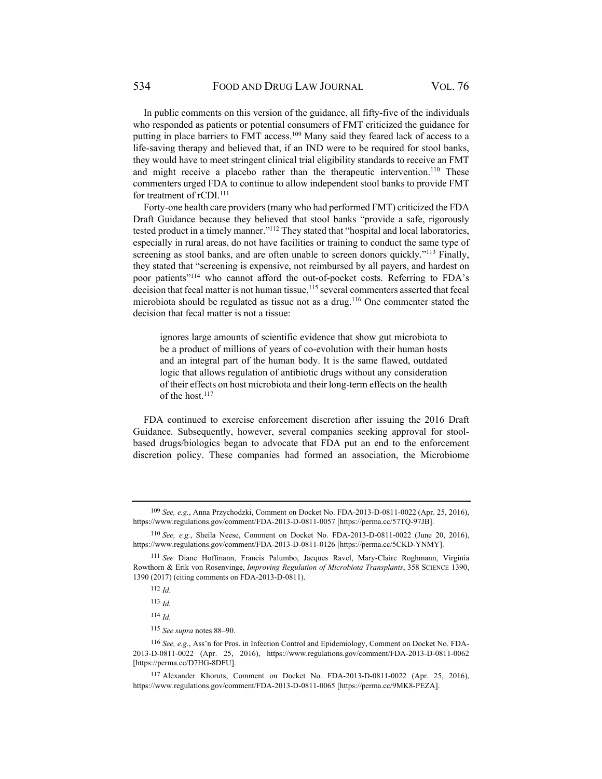In public comments on this version of the guidance, all fifty-five of the individuals who responded as patients or potential consumers of FMT criticized the guidance for putting in place barriers to FMT access.<sup>109</sup> Many said they feared lack of access to a life-saving therapy and believed that, if an IND were to be required for stool banks, they would have to meet stringent clinical trial eligibility standards to receive an FMT and might receive a placebo rather than the therapeutic intervention.<sup>110</sup> These commenters urged FDA to continue to allow independent stool banks to provide FMT for treatment of rCDI.<sup>111</sup>

Forty-one health care providers (many who had performed FMT) criticized the FDA Draft Guidance because they believed that stool banks "provide a safe, rigorously tested product in a timely manner."112 They stated that "hospital and local laboratories, especially in rural areas, do not have facilities or training to conduct the same type of screening as stool banks, and are often unable to screen donors quickly."<sup>113</sup> Finally, they stated that "screening is expensive, not reimbursed by all payers, and hardest on poor patients"114 who cannot afford the out-of-pocket costs. Referring to FDA's decision that fecal matter is not human tissue, $115$  several commenters asserted that fecal microbiota should be regulated as tissue not as a drug.116 One commenter stated the decision that fecal matter is not a tissue:

ignores large amounts of scientific evidence that show gut microbiota to be a product of millions of years of co-evolution with their human hosts and an integral part of the human body. It is the same flawed, outdated logic that allows regulation of antibiotic drugs without any consideration of their effects on host microbiota and their long-term effects on the health of the host.<sup>117</sup>

FDA continued to exercise enforcement discretion after issuing the 2016 Draft Guidance. Subsequently, however, several companies seeking approval for stoolbased drugs/biologics began to advocate that FDA put an end to the enforcement discretion policy. These companies had formed an association, the Microbiome

<sup>109</sup> *See, e.g.*, Anna Przychodzki, Comment on Docket No. FDA-2013-D-0811-0022 (Apr. 25, 2016), https://www.regulations.gov/comment/FDA-2013-D-0811-0057 [https://perma.cc/57TQ-97JB].

<sup>110</sup> *See, e.g.*, Sheila Neese, Comment on Docket No. FDA-2013-D-0811-0022 (June 20, 2016), https://www.regulations.gov/comment/FDA-2013-D-0811-0126 [https://perma.cc/5CKD-YNMY].

<sup>111</sup> *See* Diane Hoffmann, Francis Palumbo, Jacques Ravel, Mary-Claire Roghmann, Virginia Rowthorn & Erik von Rosenvinge, *Improving Regulation of Microbiota Transplants*, 358 SCIENCE 1390, 1390 (2017) (citing comments on FDA-2013-D-0811).

<sup>112</sup> *Id.*

<sup>113</sup> *Id.*

<sup>114</sup> *Id.* 

<sup>115</sup> *See supra* notes 88–90.

<sup>116</sup> *See, e.g.*, Ass'n for Pros. in Infection Control and Epidemiology, Comment on Docket No. FDA-2013-D-0811-0022 (Apr. 25, 2016), https://www.regulations.gov/comment/FDA-2013-D-0811-0062 [https://perma.cc/D7HG-8DFU].

<sup>117</sup> Alexander Khoruts, Comment on Docket No. FDA-2013-D-0811-0022 (Apr. 25, 2016), https://www.regulations.gov/comment/FDA-2013-D-0811-0065 [https://perma.cc/9MK8-PEZA].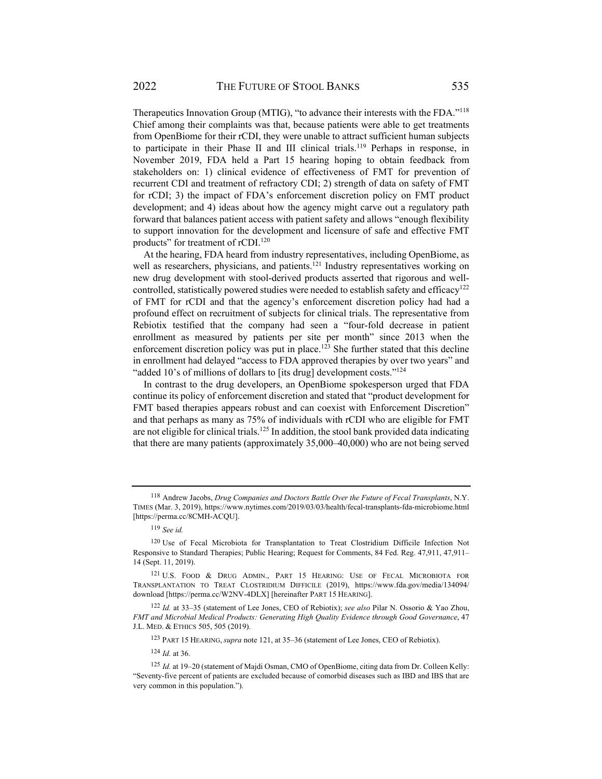Therapeutics Innovation Group (MTIG), "to advance their interests with the FDA."118 Chief among their complaints was that, because patients were able to get treatments from OpenBiome for their rCDI, they were unable to attract sufficient human subjects to participate in their Phase II and III clinical trials.119 Perhaps in response, in November 2019, FDA held a Part 15 hearing hoping to obtain feedback from stakeholders on: 1) clinical evidence of effectiveness of FMT for prevention of recurrent CDI and treatment of refractory CDI; 2) strength of data on safety of FMT for rCDI; 3) the impact of FDA's enforcement discretion policy on FMT product development; and 4) ideas about how the agency might carve out a regulatory path forward that balances patient access with patient safety and allows "enough flexibility to support innovation for the development and licensure of safe and effective FMT products" for treatment of rCDI.<sup>120</sup>

At the hearing, FDA heard from industry representatives, including OpenBiome, as well as researchers, physicians, and patients.<sup>121</sup> Industry representatives working on new drug development with stool-derived products asserted that rigorous and wellcontrolled, statistically powered studies were needed to establish safety and efficacy<sup>122</sup> of FMT for rCDI and that the agency's enforcement discretion policy had had a profound effect on recruitment of subjects for clinical trials. The representative from Rebiotix testified that the company had seen a "four-fold decrease in patient enrollment as measured by patients per site per month" since 2013 when the enforcement discretion policy was put in place.<sup>123</sup> She further stated that this decline in enrollment had delayed "access to FDA approved therapies by over two years" and "added 10's of millions of dollars to [its drug] development costs."<sup>124</sup>

In contrast to the drug developers, an OpenBiome spokesperson urged that FDA continue its policy of enforcement discretion and stated that "product development for FMT based therapies appears robust and can coexist with Enforcement Discretion" and that perhaps as many as 75% of individuals with rCDI who are eligible for FMT are not eligible for clinical trials.<sup>125</sup> In addition, the stool bank provided data indicating that there are many patients (approximately 35,000–40,000) who are not being served

<sup>123</sup> PART 15 HEARING, *supra* note 121, at 35–36 (statement of Lee Jones, CEO of Rebiotix).

<sup>124</sup> *Id.* at 36.

<sup>118</sup> Andrew Jacobs, *Drug Companies and Doctors Battle Over the Future of Fecal Transplants*, N.Y. TIMES (Mar. 3, 2019), https://www.nytimes.com/2019/03/03/health/fecal-transplants-fda-microbiome.html [https://perma.cc/8CMH-ACQU].

<sup>119</sup> *See id.*

<sup>120</sup> Use of Fecal Microbiota for Transplantation to Treat Clostridium Difficile Infection Not Responsive to Standard Therapies; Public Hearing; Request for Comments, 84 Fed. Reg. 47,911, 47,911– 14 (Sept. 11, 2019).

<sup>121</sup> U.S. FOOD & DRUG ADMIN., PART 15 HEARING: USE OF FECAL MICROBIOTA FOR TRANSPLANTATION TO TREAT CLOSTRIDIUM DIFFICILE (2019), https://www.fda.gov/media/134094/ download [https://perma.cc/W2NV-4DLX] [hereinafter PART 15 HEARING].

<sup>122</sup> *Id.* at 33–35 (statement of Lee Jones, CEO of Rebiotix); *see also* Pilar N. Ossorio & Yao Zhou, *FMT and Microbial Medical Products: Generating High Quality Evidence through Good Governance*, 47 J.L. MED. & ETHICS 505, 505 (2019).

<sup>125</sup> *Id.* at 19–20 (statement of Majdi Osman, CMO of OpenBiome, citing data from Dr. Colleen Kelly: "Seventy-five percent of patients are excluded because of comorbid diseases such as IBD and IBS that are very common in this population.").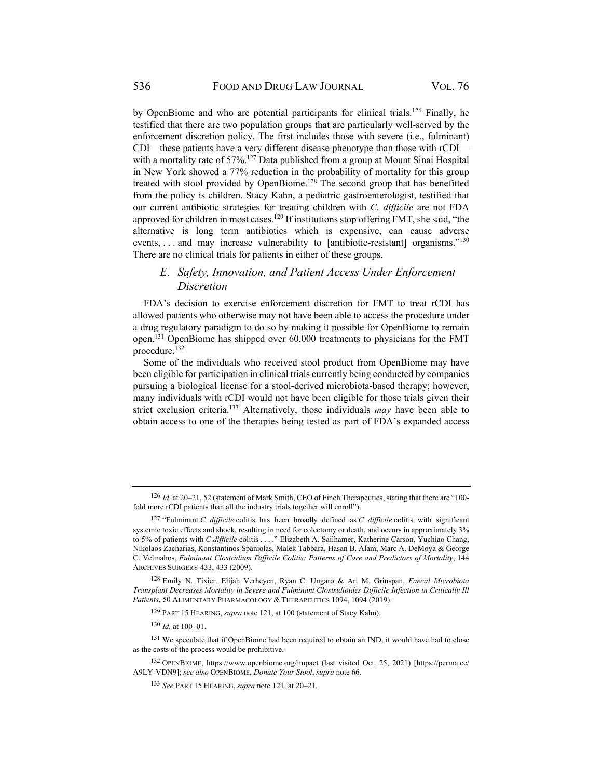by OpenBiome and who are potential participants for clinical trials.<sup>126</sup> Finally, he testified that there are two population groups that are particularly well-served by the enforcement discretion policy. The first includes those with severe (i.e., fulminant) CDI—these patients have a very different disease phenotype than those with rCDI with a mortality rate of 57%.<sup>127</sup> Data published from a group at Mount Sinai Hospital in New York showed a 77% reduction in the probability of mortality for this group treated with stool provided by OpenBiome.<sup>128</sup> The second group that has benefitted from the policy is children. Stacy Kahn, a pediatric gastroenterologist, testified that our current antibiotic strategies for treating children with *C. difficile* are not FDA approved for children in most cases.<sup>129</sup> If institutions stop offering FMT, she said, "the alternative is long term antibiotics which is expensive, can cause adverse events, ... and may increase vulnerability to [antibiotic-resistant] organisms."<sup>130</sup> There are no clinical trials for patients in either of these groups.

## *E. Safety, Innovation, and Patient Access Under Enforcement Discretion*

FDA's decision to exercise enforcement discretion for FMT to treat rCDI has allowed patients who otherwise may not have been able to access the procedure under a drug regulatory paradigm to do so by making it possible for OpenBiome to remain open.131 OpenBiome has shipped over 60,000 treatments to physicians for the FMT procedure.132

Some of the individuals who received stool product from OpenBiome may have been eligible for participation in clinical trials currently being conducted by companies pursuing a biological license for a stool-derived microbiota-based therapy; however, many individuals with rCDI would not have been eligible for those trials given their strict exclusion criteria.133 Alternatively, those individuals *may* have been able to obtain access to one of the therapies being tested as part of FDA's expanded access

<sup>126</sup> Id. at 20–21, 52 (statement of Mark Smith, CEO of Finch Therapeutics, stating that there are "100fold more rCDI patients than all the industry trials together will enroll").

<sup>127 &</sup>quot;Fulminant *C difficile* colitis has been broadly defined as *C difficile* colitis with significant systemic toxic effects and shock, resulting in need for colectomy or death, and occurs in approximately 3% to 5% of patients with *C difficile* colitis . . . ." Elizabeth A. Sailhamer, Katherine Carson, Yuchiao Chang, Nikolaos Zacharias, Konstantinos Spaniolas, Malek Tabbara, Hasan B. Alam, Marc A. DeMoya & George C. Velmahos, *Fulminant Clostridium Difficile Colitis: Patterns of Care and Predictors of Mortality*, 144 ARCHIVES SURGERY 433, 433 (2009).

<sup>128</sup> Emily N. Tixier, Elijah Verheyen, Ryan C. Ungaro & Ari M. Grinspan, *Faecal Microbiota Transplant Decreases Mortality in Severe and Fulminant Clostridioides Difficile Infection in Critically Ill Patients*, 50 ALIMENTARY PHARMACOLOGY & THERAPEUTICS 1094, 1094 (2019).

<sup>129</sup> PART 15 HEARING, *supra* note 121, at 100 (statement of Stacy Kahn).

<sup>130</sup> *Id.* at 100–01.

<sup>&</sup>lt;sup>131</sup> We speculate that if OpenBiome had been required to obtain an IND, it would have had to close as the costs of the process would be prohibitive.

<sup>132</sup> OPENBIOME, https://www.openbiome.org/impact (last visited Oct. 25, 2021) [https://perma.cc/ A9LY-VDN9]; *see also* OPENBIOME, *Donate Your Stool*, *supra* note 66.

<sup>133</sup> *See* PART 15 HEARING, *supra* note 121, at 20–21.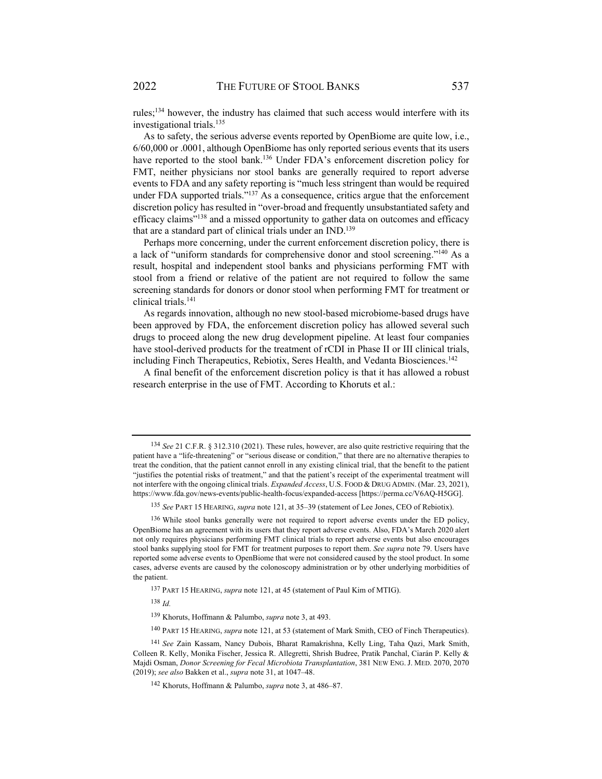rules;134 however, the industry has claimed that such access would interfere with its investigational trials.<sup>135</sup>

As to safety, the serious adverse events reported by OpenBiome are quite low, i.e., 6/60,000 or .0001, although OpenBiome has only reported serious events that its users have reported to the stool bank.<sup>136</sup> Under FDA's enforcement discretion policy for FMT, neither physicians nor stool banks are generally required to report adverse events to FDA and any safety reporting is "much less stringent than would be required under FDA supported trials." $137$  As a consequence, critics argue that the enforcement discretion policy has resulted in "over-broad and frequently unsubstantiated safety and efficacy claims"138 and a missed opportunity to gather data on outcomes and efficacy that are a standard part of clinical trials under an IND.<sup>139</sup>

Perhaps more concerning, under the current enforcement discretion policy, there is a lack of "uniform standards for comprehensive donor and stool screening."140 As a result, hospital and independent stool banks and physicians performing FMT with stool from a friend or relative of the patient are not required to follow the same screening standards for donors or donor stool when performing FMT for treatment or clinical trials.141

As regards innovation, although no new stool-based microbiome-based drugs have been approved by FDA, the enforcement discretion policy has allowed several such drugs to proceed along the new drug development pipeline. At least four companies have stool-derived products for the treatment of rCDI in Phase II or III clinical trials, including Finch Therapeutics, Rebiotix, Seres Health, and Vedanta Biosciences.142

A final benefit of the enforcement discretion policy is that it has allowed a robust research enterprise in the use of FMT. According to Khoruts et al.:

<sup>138</sup> *Id.*

<sup>134</sup> *See* 21 C.F.R. § 312.310 (2021). These rules, however, are also quite restrictive requiring that the patient have a "life-threatening" or "serious disease or condition," that there are no alternative therapies to treat the condition, that the patient cannot enroll in any existing clinical trial, that the benefit to the patient "justifies the potential risks of treatment," and that the patient's receipt of the experimental treatment will not interfere with the ongoing clinical trials. *Expanded Access*, U.S. FOOD & DRUG ADMIN. (Mar. 23, 2021), https://www.fda.gov/news-events/public-health-focus/expanded-access [https://perma.cc/V6AQ-H5GG].

<sup>135</sup> *See* PART 15 HEARING, *supra* note 121, at 35–39 (statement of Lee Jones, CEO of Rebiotix).

<sup>&</sup>lt;sup>136</sup> While stool banks generally were not required to report adverse events under the ED policy, OpenBiome has an agreement with its users that they report adverse events. Also, FDA's March 2020 alert not only requires physicians performing FMT clinical trials to report adverse events but also encourages stool banks supplying stool for FMT for treatment purposes to report them. *See supra* note 79. Users have reported some adverse events to OpenBiome that were not considered caused by the stool product. In some cases, adverse events are caused by the colonoscopy administration or by other underlying morbidities of the patient.

<sup>137</sup> PART 15 HEARING, *supra* note 121, at 45 (statement of Paul Kim of MTIG).

<sup>139</sup> Khoruts, Hoffmann & Palumbo, *supra* note 3, at 493.

<sup>140</sup> PART 15 HEARING, *supra* note 121, at 53 (statement of Mark Smith, CEO of Finch Therapeutics).

<sup>141</sup> *See* Zain Kassam, Nancy Dubois, Bharat Ramakrishna, Kelly Ling, Taha Qazi, Mark Smith, Colleen R. Kelly, Monika Fischer, Jessica R. Allegretti, Shrish Budree, Pratik Panchal, Ciarán P. Kelly & Majdi Osman, *Donor Screening for Fecal Microbiota Transplantation*, 381 NEW ENG. J. MED. 2070, 2070 (2019); *see also* Bakken et al., *supra* note 31, at 1047–48.

<sup>142</sup> Khoruts, Hoffmann & Palumbo, *supra* note 3, at 486–87.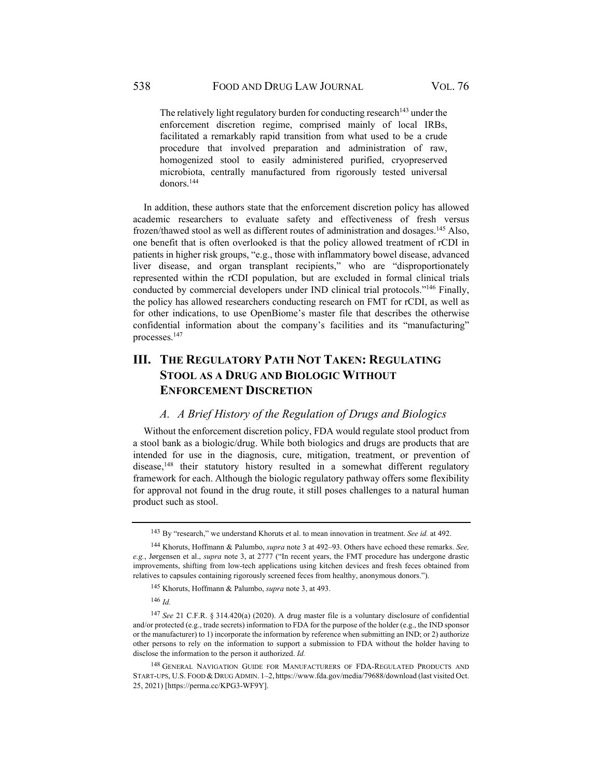The relatively light regulatory burden for conducting research $143$  under the enforcement discretion regime, comprised mainly of local IRBs, facilitated a remarkably rapid transition from what used to be a crude procedure that involved preparation and administration of raw, homogenized stool to easily administered purified, cryopreserved microbiota, centrally manufactured from rigorously tested universal donors.144

In addition, these authors state that the enforcement discretion policy has allowed academic researchers to evaluate safety and effectiveness of fresh versus frozen/thawed stool as well as different routes of administration and dosages.145 Also, one benefit that is often overlooked is that the policy allowed treatment of rCDI in patients in higher risk groups, "e.g., those with inflammatory bowel disease, advanced liver disease, and organ transplant recipients," who are "disproportionately represented within the rCDI population, but are excluded in formal clinical trials conducted by commercial developers under IND clinical trial protocols."146 Finally, the policy has allowed researchers conducting research on FMT for rCDI, as well as for other indications, to use OpenBiome's master file that describes the otherwise confidential information about the company's facilities and its "manufacturing" processes.147

# **III. THE REGULATORY PATH NOT TAKEN: REGULATING STOOL AS A DRUG AND BIOLOGIC WITHOUT ENFORCEMENT DISCRETION**

#### *A. A Brief History of the Regulation of Drugs and Biologics*

Without the enforcement discretion policy, FDA would regulate stool product from a stool bank as a biologic/drug. While both biologics and drugs are products that are intended for use in the diagnosis, cure, mitigation, treatment, or prevention of disease,<sup>148</sup> their statutory history resulted in a somewhat different regulatory framework for each. Although the biologic regulatory pathway offers some flexibility for approval not found in the drug route, it still poses challenges to a natural human product such as stool.

<sup>143</sup> By "research," we understand Khoruts et al. to mean innovation in treatment. *See id.* at 492.

<sup>144</sup> Khoruts, Hoffmann & Palumbo, *supra* note 3 at 492–93. Others have echoed these remarks. *See, e.g.*, Jørgensen et al., *supra* note 3, at 2777 ("In recent years, the FMT procedure has undergone drastic improvements, shifting from low-tech applications using kitchen devices and fresh feces obtained from relatives to capsules containing rigorously screened feces from healthy, anonymous donors.").

<sup>145</sup> Khoruts, Hoffmann & Palumbo, *supra* note 3, at 493.

<sup>146</sup> *Id.*

<sup>147</sup> *See* 21 C.F.R. § 314.420(a) (2020). A drug master file is a voluntary disclosure of confidential and/or protected (e.g., trade secrets) information to FDA for the purpose of the holder (e.g., the IND sponsor or the manufacturer) to 1) incorporate the information by reference when submitting an IND; or 2) authorize other persons to rely on the information to support a submission to FDA without the holder having to disclose the information to the person it authorized. *Id.* 

<sup>148</sup> GENERAL NAVIGATION GUIDE FOR MANUFACTURERS OF FDA-REGULATED PRODUCTS AND START-UPS, U.S. FOOD & DRUG ADMIN. 1–2, https://www.fda.gov/media/79688/download (last visited Oct. 25, 2021) [https://perma.cc/KPG3-WF9Y].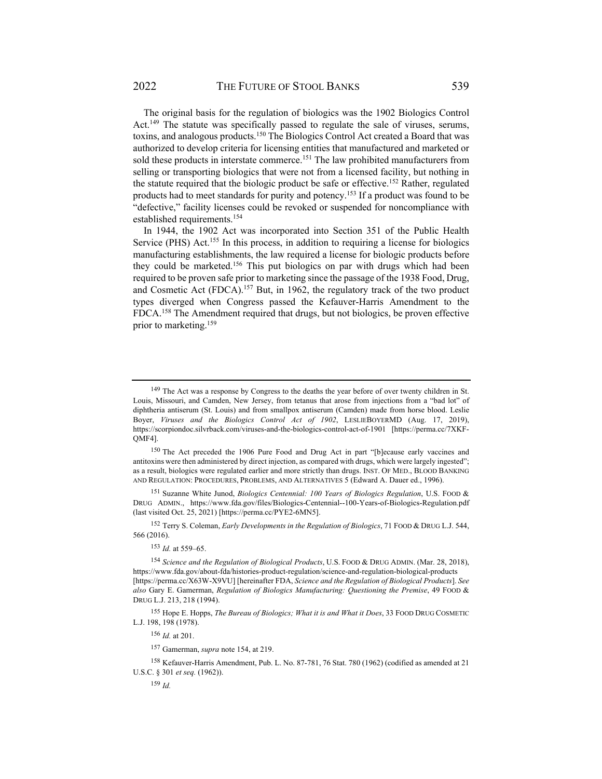The original basis for the regulation of biologics was the 1902 Biologics Control Act.<sup>149</sup> The statute was specifically passed to regulate the sale of viruses, serums, toxins, and analogous products.150 The Biologics Control Act created a Board that was authorized to develop criteria for licensing entities that manufactured and marketed or sold these products in interstate commerce.<sup>151</sup> The law prohibited manufacturers from selling or transporting biologics that were not from a licensed facility, but nothing in the statute required that the biologic product be safe or effective.<sup>152</sup> Rather, regulated products had to meet standards for purity and potency.<sup>153</sup> If a product was found to be "defective," facility licenses could be revoked or suspended for noncompliance with established requirements.154

In 1944, the 1902 Act was incorporated into Section 351 of the Public Health Service (PHS) Act.<sup>155</sup> In this process, in addition to requiring a license for biologics manufacturing establishments, the law required a license for biologic products before they could be marketed.<sup>156</sup> This put biologics on par with drugs which had been required to be proven safe prior to marketing since the passage of the 1938 Food, Drug, and Cosmetic Act (FDCA).<sup>157</sup> But, in 1962, the regulatory track of the two product types diverged when Congress passed the Kefauver-Harris Amendment to the FDCA.158 The Amendment required that drugs, but not biologics, be proven effective prior to marketing.159

151 Suzanne White Junod, *Biologics Centennial: 100 Years of Biologics Regulation*, U.S. FOOD & DRUG ADMIN., https://www.fda.gov/files/Biologics-Centennial--100-Years-of-Biologics-Regulation.pdf (last visited Oct. 25, 2021) [https://perma.cc/PYE2-6MN5].

152 Terry S. Coleman, *Early Developments in the Regulation of Biologics*, 71 FOOD & DRUG L.J. 544, 566 (2016).

<sup>153</sup> *Id.* at 559–65.

<sup>154</sup> *Science and the Regulation of Biological Products*, U.S. FOOD & DRUG ADMIN. (Mar. 28, 2018), https://www.fda.gov/about-fda/histories-product-regulation/science-and-regulation-biological-products [https://perma.cc/X63W-X9VU] [hereinafter FDA, *Science and the Regulation of Biological Products*]. *See also* Gary E. Gamerman, *Regulation of Biologics Manufacturing: Questioning the Premise*, 49 FOOD & DRUG L.J. 213, 218 (1994).

155 Hope E. Hopps, *The Bureau of Biologics; What it is and What it Does*, 33 FOOD DRUG COSMETIC L.J. 198, 198 (1978).

<sup>156</sup> *Id.* at 201.

<sup>159</sup> *Id.*

157 Gamerman, *supra* note 154, at 219.

158 Kefauver-Harris Amendment, Pub. L. No. 87-781, 76 Stat. 780 (1962) (codified as amended at 21 U.S.C. § 301 *et seq.* (1962)).

<sup>&</sup>lt;sup>149</sup> The Act was a response by Congress to the deaths the year before of over twenty children in St. Louis, Missouri, and Camden, New Jersey, from tetanus that arose from injections from a "bad lot" of diphtheria antiserum (St. Louis) and from smallpox antiserum (Camden) made from horse blood. Leslie Boyer, *Viruses and the Biologics Control Act of 1902*, LESLIEBOYERMD (Aug. 17, 2019), https://scorpiondoc.silvrback.com/viruses-and-the-biologics-control-act-of-1901 [https://perma.cc/7XKF-QMF4].

<sup>150</sup> The Act preceded the 1906 Pure Food and Drug Act in part "[b]ecause early vaccines and antitoxins were then administered by direct injection, as compared with drugs, which were largely ingested"; as a result, biologics were regulated earlier and more strictly than drugs. INST. OF MED., BLOOD BANKING AND REGULATION: PROCEDURES, PROBLEMS, AND ALTERNATIVES 5 (Edward A. Dauer ed., 1996).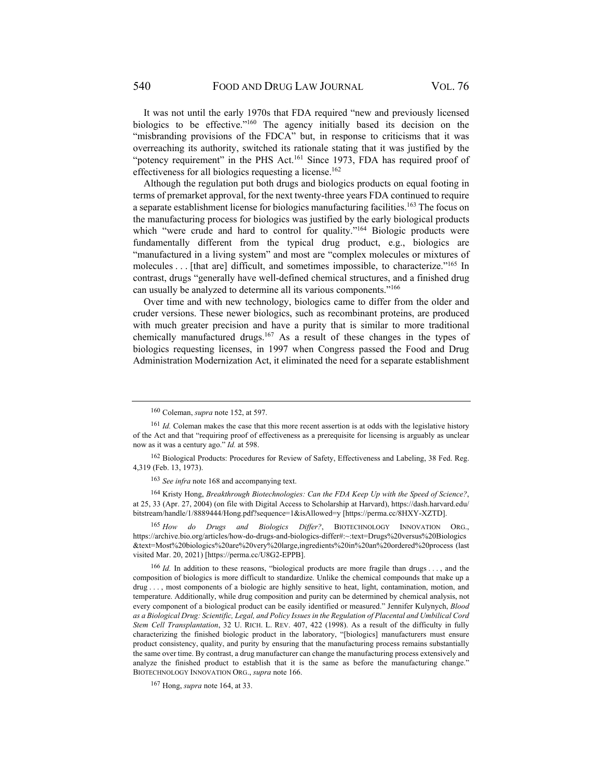It was not until the early 1970s that FDA required "new and previously licensed biologics to be effective."160 The agency initially based its decision on the "misbranding provisions of the FDCA" but, in response to criticisms that it was overreaching its authority, switched its rationale stating that it was justified by the "potency requirement" in the PHS Act.<sup>161</sup> Since 1973, FDA has required proof of effectiveness for all biologics requesting a license.<sup>162</sup>

Although the regulation put both drugs and biologics products on equal footing in terms of premarket approval, for the next twenty-three years FDA continued to require a separate establishment license for biologics manufacturing facilities.<sup>163</sup> The focus on the manufacturing process for biologics was justified by the early biological products which "were crude and hard to control for quality."<sup>164</sup> Biologic products were fundamentally different from the typical drug product, e.g., biologics are "manufactured in a living system" and most are "complex molecules or mixtures of molecules . . . [that are] difficult, and sometimes impossible, to characterize."<sup>165</sup> In contrast, drugs "generally have well-defined chemical structures, and a finished drug can usually be analyzed to determine all its various components."166

Over time and with new technology, biologics came to differ from the older and cruder versions. These newer biologics, such as recombinant proteins, are produced with much greater precision and have a purity that is similar to more traditional chemically manufactured drugs.167 As a result of these changes in the types of biologics requesting licenses, in 1997 when Congress passed the Food and Drug Administration Modernization Act, it eliminated the need for a separate establishment

164 Kristy Hong, *Breakthrough Biotechnologies: Can the FDA Keep Up with the Speed of Science?*, at 25, 33 (Apr. 27, 2004) (on file with Digital Access to Scholarship at Harvard), https://dash.harvard.edu/ bitstream/handle/1/8889444/Hong.pdf?sequence=1&isAllowed=y [https://perma.cc/8HXY-XZTD].

<sup>165</sup> *How do Drugs and Biologics Differ?*, BIOTECHNOLOGY INNOVATION ORG., https://archive.bio.org/articles/how-do-drugs-and-biologics-differ#:~:text=Drugs%20versus%20Biologics &text=Most%20biologics%20are%20very%20large,ingredients%20in%20an%20ordered%20process (last visited Mar. 20, 2021) [https://perma.cc/U8G2-EPPB].

<sup>166</sup> *Id.* In addition to these reasons, "biological products are more fragile than drugs . . . , and the composition of biologics is more difficult to standardize. Unlike the chemical compounds that make up a drug . . . , most components of a biologic are highly sensitive to heat, light, contamination, motion, and temperature. Additionally, while drug composition and purity can be determined by chemical analysis, not every component of a biological product can be easily identified or measured." Jennifer Kulynych, *Blood as a Biological Drug: Scientific, Legal, and Policy Issues in the Regulation of Placental and Umbilical Cord Stem Cell Transplantation*, 32 U. RICH. L. REV. 407, 422 (1998). As a result of the difficulty in fully characterizing the finished biologic product in the laboratory, "[biologics] manufacturers must ensure product consistency, quality, and purity by ensuring that the manufacturing process remains substantially the same over time. By contrast, a drug manufacturer can change the manufacturing process extensively and analyze the finished product to establish that it is the same as before the manufacturing change." BIOTECHNOLOGY INNOVATION ORG., *supra* note 166.

167 Hong, *supra* note 164, at 33.

<sup>160</sup> Coleman, *supra* note 152, at 597.

<sup>161</sup> *Id.* Coleman makes the case that this more recent assertion is at odds with the legislative history of the Act and that "requiring proof of effectiveness as a prerequisite for licensing is arguably as unclear now as it was a century ago." *Id.* at 598.

<sup>162</sup> Biological Products: Procedures for Review of Safety, Effectiveness and Labeling, 38 Fed. Reg. 4,319 (Feb. 13, 1973).

<sup>163</sup> *See infra* note 168 and accompanying text.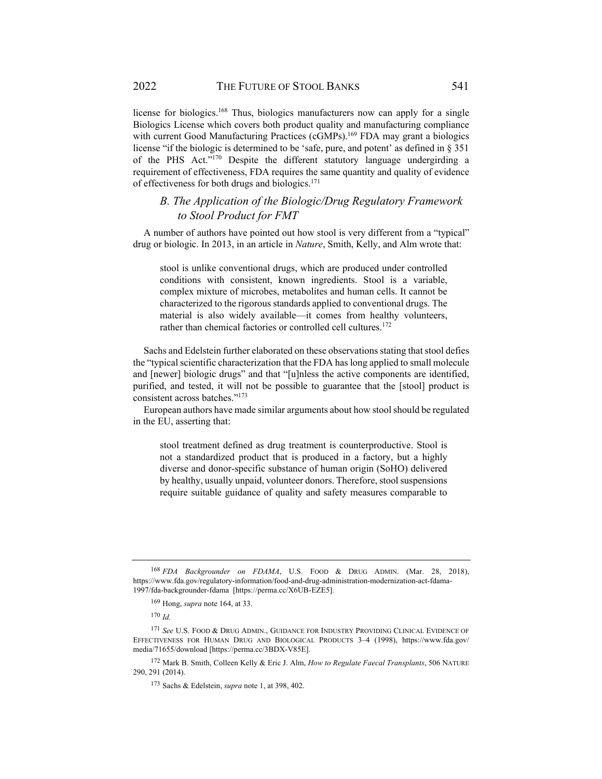license for biologics.<sup>168</sup> Thus, biologics manufacturers now can apply for a single Biologics License which covers both product quality and manufacturing compliance with current Good Manufacturing Practices (cGMPs).<sup>169</sup> FDA may grant a biologics license "if the biologic is determined to be 'safe, pure, and potent' as defined in § 351 of the PHS Act."170 Despite the different statutory language undergirding a requirement of effectiveness, FDA requires the same quantity and quality of evidence of effectiveness for both drugs and biologics.171

## *B. The Application of the Biologic/Drug Regulatory Framework to Stool Product for FMT*

A number of authors have pointed out how stool is very different from a "typical" drug or biologic. In 2013, in an article in *Nature*, Smith, Kelly, and Alm wrote that:

stool is unlike conventional drugs, which are produced under controlled conditions with consistent, known ingredients. Stool is a variable, complex mixture of microbes, metabolites and human cells. It cannot be characterized to the rigorous standards applied to conventional drugs. The material is also widely available—it comes from healthy volunteers, rather than chemical factories or controlled cell cultures.<sup>172</sup>

Sachs and Edelstein further elaborated on these observations stating that stool defies the "typical scientific characterization that the FDA has long applied to small molecule and [newer] biologic drugs" and that "[u]nless the active components are identified, purified, and tested, it will not be possible to guarantee that the [stool] product is consistent across batches."173

European authors have made similar arguments about how stool should be regulated in the EU, asserting that:

stool treatment defined as drug treatment is counterproductive. Stool is not a standardized product that is produced in a factory, but a highly diverse and donor-specific substance of human origin (SoHO) delivered by healthy, usually unpaid, volunteer donors. Therefore, stool suspensions require suitable guidance of quality and safety measures comparable to

<sup>168</sup> *FDA Backgrounder on FDAMA*, U.S. FOOD & DRUG ADMIN. (Mar. 28, 2018), https://www.fda.gov/regulatory-information/food-and-drug-administration-modernization-act-fdama-1997/fda-backgrounder-fdama [https://perma.cc/X6UB-EZE5].

<sup>169</sup> Hong, *supra* note 164, at 33.

<sup>170</sup> *Id.*

<sup>171</sup> *See* U.S. FOOD & DRUG ADMIN., GUIDANCE FOR INDUSTRY PROVIDING CLINICAL EVIDENCE OF EFFECTIVENESS FOR HUMAN DRUG AND BIOLOGICAL PRODUCTS 3–4 (1998), https://www.fda.gov/ media/71655/download [https://perma.cc/3BDX-V85E].

<sup>172</sup> Mark B. Smith, Colleen Kelly & Eric J. Alm, *How to Regulate Faecal Transplants*, 506 NATURE 290, 291 (2014).

<sup>173</sup> Sachs & Edelstein, *supra* note 1, at 398, 402.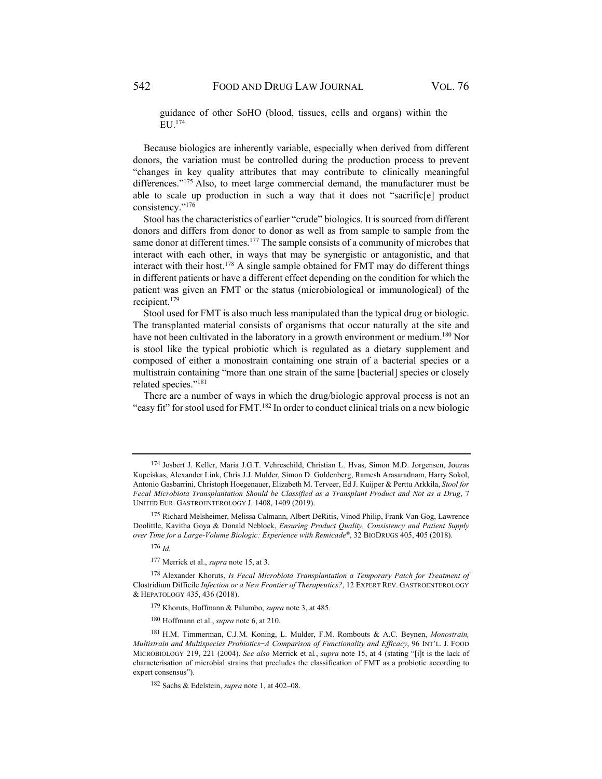guidance of other SoHO (blood, tissues, cells and organs) within the EU.174

Because biologics are inherently variable, especially when derived from different donors, the variation must be controlled during the production process to prevent "changes in key quality attributes that may contribute to clinically meaningful differences."175 Also, to meet large commercial demand, the manufacturer must be able to scale up production in such a way that it does not "sacrific[e] product consistency."176

Stool has the characteristics of earlier "crude" biologics. It is sourced from different donors and differs from donor to donor as well as from sample to sample from the same donor at different times.<sup>177</sup> The sample consists of a community of microbes that interact with each other, in ways that may be synergistic or antagonistic, and that interact with their host.<sup>178</sup> A single sample obtained for FMT may do different things in different patients or have a different effect depending on the condition for which the patient was given an FMT or the status (microbiological or immunological) of the recipient.179

Stool used for FMT is also much less manipulated than the typical drug or biologic. The transplanted material consists of organisms that occur naturally at the site and have not been cultivated in the laboratory in a growth environment or medium.<sup>180</sup> Nor is stool like the typical probiotic which is regulated as a dietary supplement and composed of either a monostrain containing one strain of a bacterial species or a multistrain containing "more than one strain of the same [bacterial] species or closely related species."181

There are a number of ways in which the drug/biologic approval process is not an "easy fit" for stool used for FMT.<sup>182</sup> In order to conduct clinical trials on a new biologic

<sup>174</sup> Josbert J. Keller, Maria J.G.T. Vehreschild, Christian L. Hvas, Simon M.D. Jørgensen, Jouzas Kupciskas, Alexander Link, Chris J.J. Mulder, Simon D. Goldenberg, Ramesh Arasaradnam, Harry Sokol, Antonio Gasbarrini, Christoph Hoegenauer, Elizabeth M. Terveer, Ed J. Kuijper & Perttu Arkkila, *Stool for Fecal Microbiota Transplantation Should be Classified as a Transplant Product and Not as a Drug*, 7 UNITED EUR. GASTROENTEROLOGY J. 1408, 1409 (2019).

<sup>&</sup>lt;sup>175</sup> Richard Melsheimer, Melissa Calmann, Albert DeRitis, Vinod Philip, Frank Van Gog, Lawrence Doolittle, Kavitha Goya & Donald Neblock, *Ensuring Product Quality, Consistency and Patient Supply over Time for a Large-Volume Biologic: Experience with Remicade®*, 32 BIODRUGS 405, 405 (2018).

<sup>176</sup> *Id.*

<sup>177</sup> Merrick et al., *supra* note 15, at 3.

<sup>178</sup> Alexander Khoruts, *Is Fecal Microbiota Transplantation a Temporary Patch for Treatment of* Clostridium Difficile *Infection or a New Frontier of Therapeutics?*, 12 EXPERT REV. GASTROENTEROLOGY & HEPATOLOGY 435, 436 (2018).

<sup>179</sup> Khoruts, Hoffmann & Palumbo, *supra* note 3, at 485.

<sup>180</sup> Hoffmann et al., *supra* note 6, at 210.

<sup>181</sup> H.M. Timmerman, C.J.M. Koning, L. Mulder, F.M. Rombouts & A.C. Beynen, *Monostrain, Multistrain and Multispecies Probiotics ̶ A Comparison of Functionality and Efficacy*, 96 INT'L. J. FOOD MICROBIOLOGY 219, 221 (2004). *See also* Merrick et al*.*, *supra* note 15, at 4 (stating "[i]t is the lack of characterisation of microbial strains that precludes the classification of FMT as a probiotic according to expert consensus").

<sup>182</sup> Sachs & Edelstein, *supra* note 1, at 402–08.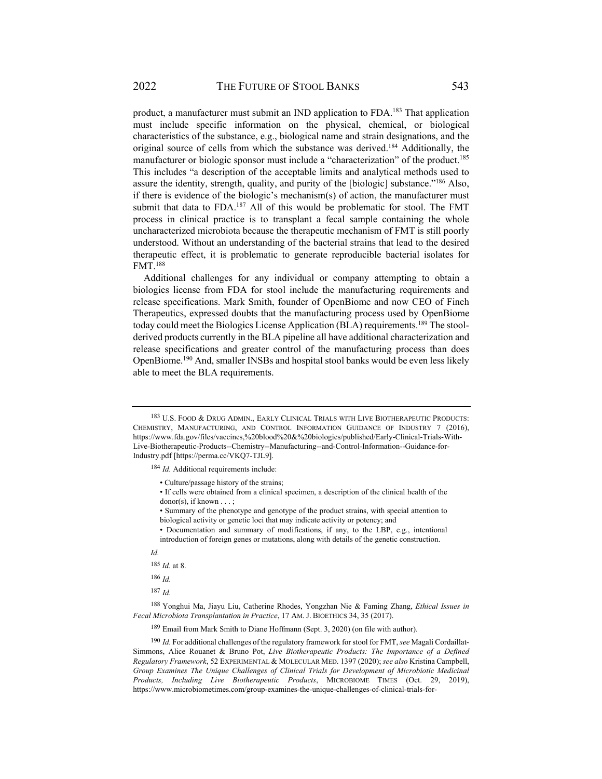product, a manufacturer must submit an IND application to FDA.183 That application must include specific information on the physical, chemical, or biological characteristics of the substance, e.g., biological name and strain designations, and the original source of cells from which the substance was derived.<sup>184</sup> Additionally, the manufacturer or biologic sponsor must include a "characterization" of the product.<sup>185</sup> This includes "a description of the acceptable limits and analytical methods used to assure the identity, strength, quality, and purity of the [biologic] substance."186 Also, if there is evidence of the biologic's mechanism(s) of action, the manufacturer must submit that data to FDA.<sup>187</sup> All of this would be problematic for stool. The FMT process in clinical practice is to transplant a fecal sample containing the whole uncharacterized microbiota because the therapeutic mechanism of FMT is still poorly understood. Without an understanding of the bacterial strains that lead to the desired therapeutic effect, it is problematic to generate reproducible bacterial isolates for FMT.188

Additional challenges for any individual or company attempting to obtain a biologics license from FDA for stool include the manufacturing requirements and release specifications. Mark Smith, founder of OpenBiome and now CEO of Finch Therapeutics, expressed doubts that the manufacturing process used by OpenBiome today could meet the Biologics License Application (BLA) requirements.<sup>189</sup> The stoolderived products currently in the BLA pipeline all have additional characterization and release specifications and greater control of the manufacturing process than does OpenBiome.190 And, smaller INSBs and hospital stool banks would be even less likely able to meet the BLA requirements.

<sup>184</sup> *Id.* Additional requirements include:

- Culture/passage history of the strains;
- If cells were obtained from a clinical specimen, a description of the clinical health of the  $donor(s)$ , if known  $\dots$ ;
- Summary of the phenotype and genotype of the product strains, with special attention to biological activity or genetic loci that may indicate activity or potency; and
- Documentation and summary of modifications, if any, to the LBP, e.g., intentional introduction of foreign genes or mutations, along with details of the genetic construction.
- 

*Id.*

<sup>185</sup> *Id.* at 8.

<sup>186</sup> *Id.*

 $187$  *Id.* 

188 Yonghui Ma, Jiayu Liu, Catherine Rhodes, Yongzhan Nie & Faming Zhang, *Ethical Issues in Fecal Microbiota Transplantation in Practice*, 17 AM. J. BIOETHICS 34, 35 (2017).

189 Email from Mark Smith to Diane Hoffmann (Sept. 3, 2020) (on file with author).

<sup>190</sup> *Id.* For additional challenges of the regulatory framework for stool for FMT, *see* Magali Cordaillat-Simmons, Alice Rouanet & Bruno Pot, *Live Biotherapeutic Products: The Importance of a Defined Regulatory Framework*, 52 EXPERIMENTAL & MOLECULAR MED. 1397 (2020); *see also* Kristina Campbell, *Group Examines The Unique Challenges of Clinical Trials for Development of Microbiotic Medicinal Products, Including Live Biotherapeutic Products*, MICROBIOME TIMES (Oct. 29, 2019), https://www.microbiometimes.com/group-examines-the-unique-challenges-of-clinical-trials-for-

<sup>183</sup> U.S. FOOD & DRUG ADMIN., EARLY CLINICAL TRIALS WITH LIVE BIOTHERAPEUTIC PRODUCTS: CHEMISTRY, MANUFACTURING, AND CONTROL INFORMATION GUIDANCE OF INDUSTRY 7 (2016), https://www.fda.gov/files/vaccines,%20blood%20&%20biologics/published/Early-Clinical-Trials-With-Live-Biotherapeutic-Products--Chemistry--Manufacturing--and-Control-Information--Guidance-for-Industry.pdf [https://perma.cc/VKQ7-TJL9].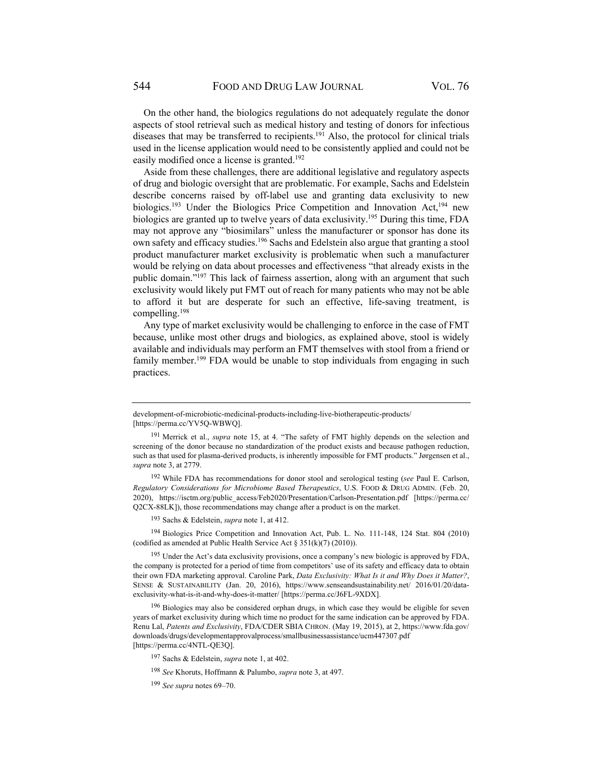On the other hand, the biologics regulations do not adequately regulate the donor aspects of stool retrieval such as medical history and testing of donors for infectious diseases that may be transferred to recipients.<sup>191</sup> Also, the protocol for clinical trials used in the license application would need to be consistently applied and could not be easily modified once a license is granted.<sup>192</sup>

Aside from these challenges, there are additional legislative and regulatory aspects of drug and biologic oversight that are problematic. For example, Sachs and Edelstein describe concerns raised by off-label use and granting data exclusivity to new biologics.<sup>193</sup> Under the Biologics Price Competition and Innovation Act,<sup>194</sup> new biologics are granted up to twelve years of data exclusivity.<sup>195</sup> During this time, FDA may not approve any "biosimilars" unless the manufacturer or sponsor has done its own safety and efficacy studies.<sup>196</sup> Sachs and Edelstein also argue that granting a stool product manufacturer market exclusivity is problematic when such a manufacturer would be relying on data about processes and effectiveness "that already exists in the public domain."197 This lack of fairness assertion, along with an argument that such exclusivity would likely put FMT out of reach for many patients who may not be able to afford it but are desperate for such an effective, life-saving treatment, is compelling.198

Any type of market exclusivity would be challenging to enforce in the case of FMT because, unlike most other drugs and biologics, as explained above, stool is widely available and individuals may perform an FMT themselves with stool from a friend or family member.<sup>199</sup> FDA would be unable to stop individuals from engaging in such practices.

<sup>194</sup> Biologics Price Competition and Innovation Act, Pub. L. No. 111-148, 124 Stat. 804 (2010) (codified as amended at Public Health Service Act § 351(k)(7) (2010)).

<sup>195</sup> Under the Act's data exclusivity provisions, once a company's new biologic is approved by FDA, the company is protected for a period of time from competitors' use of its safety and efficacy data to obtain their own FDA marketing approval. Caroline Park, *Data Exclusivity: What Is it and Why Does it Matter?*, SENSE & SUSTAINABILITY (Jan. 20, 2016), https://www.senseandsustainability.net/ 2016/01/20/dataexclusivity-what-is-it-and-why-does-it-matter/ [https://perma.cc/J6FL-9XDX].

 $196$  Biologics may also be considered orphan drugs, in which case they would be eligible for seven years of market exclusivity during which time no product for the same indication can be approved by FDA. Renu Lal, *Patents and Exclusivity*, FDA/CDER SBIA CHRON. (May 19, 2015), at 2, https://www.fda.gov/ downloads/drugs/developmentapprovalprocess/smallbusinessassistance/ucm447307.pdf [https://perma.cc/4NTL-QE3Q].

development-of-microbiotic-medicinal-products-including-live-biotherapeutic-products/ [https://perma.cc/YV5Q-WBWQ].

<sup>191</sup> Merrick et al., *supra* note 15, at 4. "The safety of FMT highly depends on the selection and screening of the donor because no standardization of the product exists and because pathogen reduction, such as that used for plasma-derived products, is inherently impossible for FMT products." Jørgensen et al., *supra* note 3, at 2779.

<sup>192</sup> While FDA has recommendations for donor stool and serological testing (*see* Paul E. Carlson, *Regulatory Considerations for Microbiome Based Therapeutics*, U.S. FOOD & DRUG ADMIN. (Feb. 20, 2020), https://isctm.org/public\_access/Feb2020/Presentation/Carlson-Presentation.pdf [https://perma.cc/ Q2CX-88LK]), those recommendations may change after a product is on the market.

<sup>193</sup> Sachs & Edelstein, *supra* note 1, at 412.

<sup>197</sup> Sachs & Edelstein, *supra* note 1, at 402.

<sup>198</sup> *See* Khoruts, Hoffmann & Palumbo, *supra* note 3, at 497.

<sup>199</sup> *See supra* notes 69–70.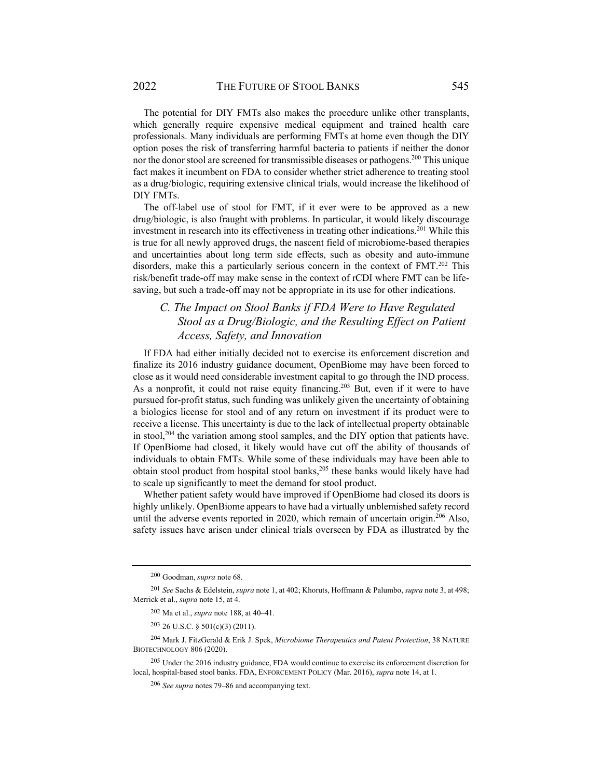The potential for DIY FMTs also makes the procedure unlike other transplants, which generally require expensive medical equipment and trained health care professionals. Many individuals are performing FMTs at home even though the DIY option poses the risk of transferring harmful bacteria to patients if neither the donor nor the donor stool are screened for transmissible diseases or pathogens.<sup>200</sup> This unique fact makes it incumbent on FDA to consider whether strict adherence to treating stool as a drug/biologic, requiring extensive clinical trials, would increase the likelihood of DIY FMTs.

The off-label use of stool for FMT, if it ever were to be approved as a new drug/biologic, is also fraught with problems. In particular, it would likely discourage investment in research into its effectiveness in treating other indications.<sup>201</sup> While this is true for all newly approved drugs, the nascent field of microbiome-based therapies and uncertainties about long term side effects, such as obesity and auto-immune disorders, make this a particularly serious concern in the context of FMT.<sup>202</sup> This risk/benefit trade-off may make sense in the context of rCDI where FMT can be lifesaving, but such a trade-off may not be appropriate in its use for other indications.

# *C. The Impact on Stool Banks if FDA Were to Have Regulated Stool as a Drug/Biologic, and the Resulting Effect on Patient Access, Safety, and Innovation*

If FDA had either initially decided not to exercise its enforcement discretion and finalize its 2016 industry guidance document, OpenBiome may have been forced to close as it would need considerable investment capital to go through the IND process. As a nonprofit, it could not raise equity financing.<sup>203</sup> But, even if it were to have pursued for-profit status, such funding was unlikely given the uncertainty of obtaining a biologics license for stool and of any return on investment if its product were to receive a license. This uncertainty is due to the lack of intellectual property obtainable in stool,204 the variation among stool samples, and the DIY option that patients have. If OpenBiome had closed, it likely would have cut off the ability of thousands of individuals to obtain FMTs. While some of these individuals may have been able to obtain stool product from hospital stool banks,<sup>205</sup> these banks would likely have had to scale up significantly to meet the demand for stool product.

Whether patient safety would have improved if OpenBiome had closed its doors is highly unlikely. OpenBiome appears to have had a virtually unblemished safety record until the adverse events reported in 2020, which remain of uncertain origin.206 Also, safety issues have arisen under clinical trials overseen by FDA as illustrated by the

<sup>200</sup> Goodman, *supra* note 68.

<sup>201</sup> *See* Sachs & Edelstein, *supra* note 1, at 402; Khoruts, Hoffmann & Palumbo, *supra* note 3, at 498; Merrick et al., *supra* note 15, at 4.

<sup>202</sup> Ma et al., *supra* note 188, at 40–41.

 $203$  26 U.S.C. § 501(c)(3) (2011).

<sup>204</sup> Mark J. FitzGerald & Erik J. Spek, *Microbiome Therapeutics and Patent Protection*, 38 NATURE BIOTECHNOLOGY 806 (2020).

<sup>&</sup>lt;sup>205</sup> Under the 2016 industry guidance, FDA would continue to exercise its enforcement discretion for local, hospital-based stool banks. FDA, ENFORCEMENT POLICY (Mar. 2016), *supra* note 14, at 1.

<sup>206</sup> *See supra* notes 79–86 and accompanying text.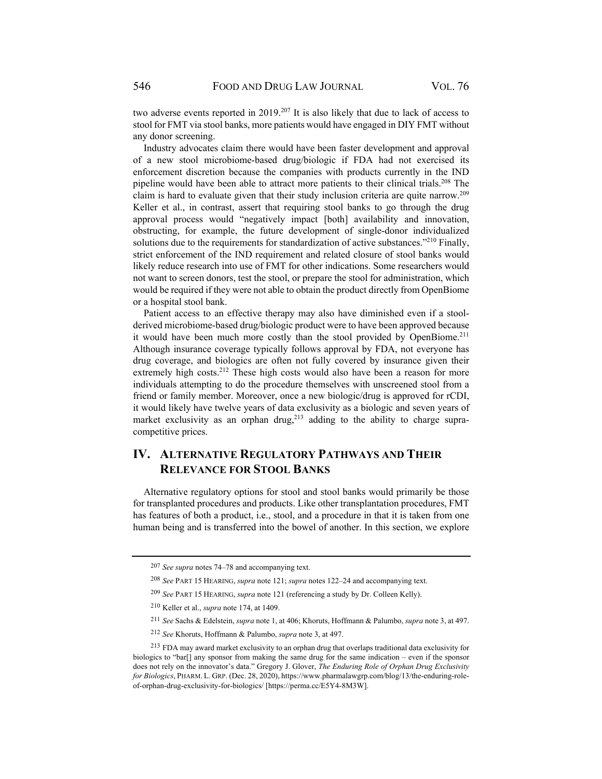two adverse events reported in 2019.<sup>207</sup> It is also likely that due to lack of access to stool for FMT via stool banks, more patients would have engaged in DIY FMT without any donor screening.

Industry advocates claim there would have been faster development and approval of a new stool microbiome-based drug/biologic if FDA had not exercised its enforcement discretion because the companies with products currently in the IND pipeline would have been able to attract more patients to their clinical trials.<sup>208</sup> The claim is hard to evaluate given that their study inclusion criteria are quite narrow.209 Keller et al., in contrast, assert that requiring stool banks to go through the drug approval process would "negatively impact [both] availability and innovation, obstructing, for example, the future development of single-donor individualized solutions due to the requirements for standardization of active substances."<sup>210</sup> Finally, strict enforcement of the IND requirement and related closure of stool banks would likely reduce research into use of FMT for other indications. Some researchers would not want to screen donors, test the stool, or prepare the stool for administration, which would be required if they were not able to obtain the product directly from OpenBiome or a hospital stool bank.

Patient access to an effective therapy may also have diminished even if a stoolderived microbiome-based drug/biologic product were to have been approved because it would have been much more costly than the stool provided by OpenBiome.<sup>211</sup> Although insurance coverage typically follows approval by FDA, not everyone has drug coverage, and biologics are often not fully covered by insurance given their extremely high costs.<sup>212</sup> These high costs would also have been a reason for more individuals attempting to do the procedure themselves with unscreened stool from a friend or family member. Moreover, once a new biologic/drug is approved for rCDI, it would likely have twelve years of data exclusivity as a biologic and seven years of market exclusivity as an orphan drug, $^{213}$  adding to the ability to charge supracompetitive prices.

# **IV. ALTERNATIVE REGULATORY PATHWAYS AND THEIR RELEVANCE FOR STOOL BANKS**

Alternative regulatory options for stool and stool banks would primarily be those for transplanted procedures and products. Like other transplantation procedures, FMT has features of both a product, i.e., stool, and a procedure in that it is taken from one human being and is transferred into the bowel of another. In this section, we explore

<sup>207</sup> *See supra* notes 74–78 and accompanying text.

<sup>208</sup> *See* PART 15 HEARING, *supra* note 121; *supra* notes 122–24 and accompanying text.

<sup>209</sup> *See* PART 15 HEARING, *supra* note 121 (referencing a study by Dr. Colleen Kelly).

<sup>210</sup> Keller et al., *supra* note 174, at 1409.

<sup>211</sup> *See* Sachs & Edelstein, *supra* note 1, at 406; Khoruts, Hoffmann & Palumbo, *supra* note 3, at 497.

<sup>212</sup> *See* Khoruts, Hoffmann & Palumbo, *supra* note 3, at 497.

<sup>&</sup>lt;sup>213</sup> FDA may award market exclusivity to an orphan drug that overlaps traditional data exclusivity for biologics to "bar[] any sponsor from making the same drug for the same indication – even if the sponsor does not rely on the innovator's data." Gregory J. Glover, *The Enduring Role of Orphan Drug Exclusivity for Biologics*, PHARM. L. GRP. (Dec. 28, 2020), https://www.pharmalawgrp.com/blog/13/the-enduring-roleof-orphan-drug-exclusivity-for-biologics/ [https://perma.cc/E5Y4-8M3W].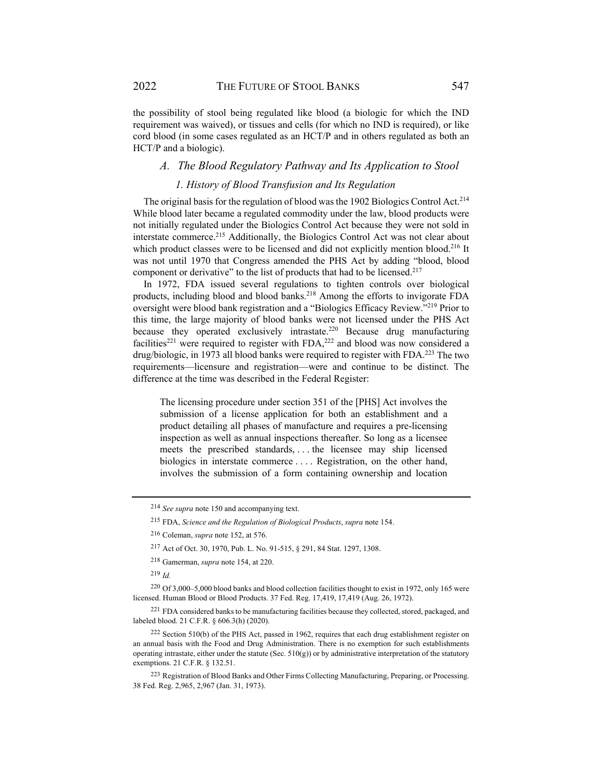the possibility of stool being regulated like blood (a biologic for which the IND requirement was waived), or tissues and cells (for which no IND is required), or like cord blood (in some cases regulated as an HCT/P and in others regulated as both an HCT/P and a biologic).

#### *A. The Blood Regulatory Pathway and Its Application to Stool*

#### *1. History of Blood Transfusion and Its Regulation*

The original basis for the regulation of blood was the 1902 Biologics Control Act.<sup>214</sup> While blood later became a regulated commodity under the law, blood products were not initially regulated under the Biologics Control Act because they were not sold in interstate commerce.215 Additionally, the Biologics Control Act was not clear about which product classes were to be licensed and did not explicitly mention blood.<sup>216</sup> It was not until 1970 that Congress amended the PHS Act by adding "blood, blood component or derivative" to the list of products that had to be licensed.<sup>217</sup>

In 1972, FDA issued several regulations to tighten controls over biological products, including blood and blood banks.<sup>218</sup> Among the efforts to invigorate FDA oversight were blood bank registration and a "Biologics Efficacy Review."219 Prior to this time, the large majority of blood banks were not licensed under the PHS Act because they operated exclusively intrastate.<sup>220</sup> Because drug manufacturing facilities<sup>221</sup> were required to register with FDA,<sup>222</sup> and blood was now considered a drug/biologic, in 1973 all blood banks were required to register with FDA.<sup>223</sup> The two requirements—licensure and registration—were and continue to be distinct. The difference at the time was described in the Federal Register:

The licensing procedure under section 351 of the [PHS] Act involves the submission of a license application for both an establishment and a product detailing all phases of manufacture and requires a pre-licensing inspection as well as annual inspections thereafter. So long as a licensee meets the prescribed standards, . . . the licensee may ship licensed biologics in interstate commerce . . . . Registration, on the other hand, involves the submission of a form containing ownership and location

<sup>219</sup> *Id.*

220 Of 3,000–5,000 blood banks and blood collection facilities thought to exist in 1972, only 165 were licensed. Human Blood or Blood Products. 37 Fed. Reg. 17,419, 17,419 (Aug. 26, 1972).

221 FDA considered banks to be manufacturing facilities because they collected, stored, packaged, and labeled blood. 21 C.F.R. § 606.3(h) (2020).

222 Section 510(b) of the PHS Act, passed in 1962, requires that each drug establishment register on an annual basis with the Food and Drug Administration. There is no exemption for such establishments operating intrastate, either under the statute (Sec.  $510(g)$ ) or by administrative interpretation of the statutory exemptions. 21 C.F.R. § 132.51.

223 Registration of Blood Banks and Other Firms Collecting Manufacturing, Preparing, or Processing. 38 Fed. Reg. 2,965, 2,967 (Jan. 31, 1973).

<sup>214</sup> *See supra* note 150 and accompanying text.

<sup>215</sup> FDA, *Science and the Regulation of Biological Products*, *supra* note 154.

<sup>216</sup> Coleman, *supra* note 152, at 576.

<sup>217</sup> Act of Oct. 30, 1970, Pub. L. No. 91-515, § 291, 84 Stat. 1297, 1308.

<sup>218</sup> Gamerman, *supra* note 154, at 220.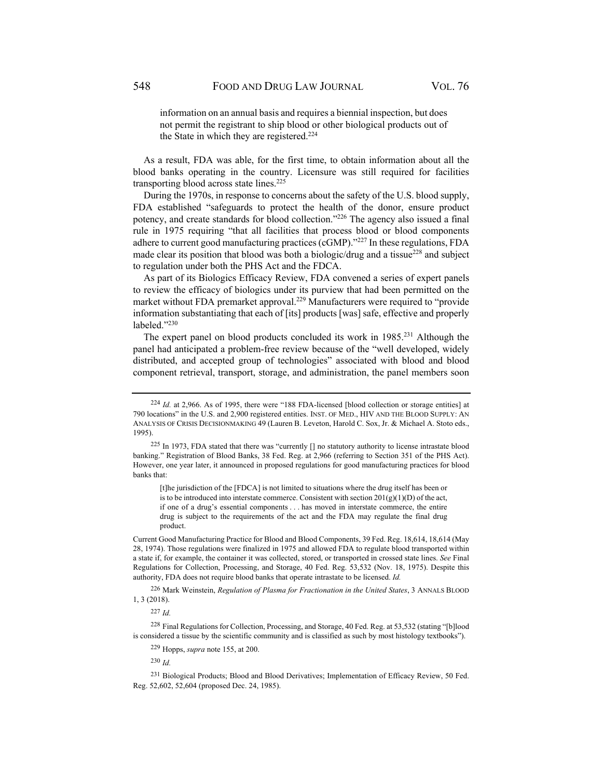information on an annual basis and requires a biennial inspection, but does not permit the registrant to ship blood or other biological products out of the State in which they are registered.<sup>224</sup>

As a result, FDA was able, for the first time, to obtain information about all the blood banks operating in the country. Licensure was still required for facilities transporting blood across state lines.<sup>225</sup>

During the 1970s, in response to concerns about the safety of the U.S. blood supply, FDA established "safeguards to protect the health of the donor, ensure product potency, and create standards for blood collection."226 The agency also issued a final rule in 1975 requiring "that all facilities that process blood or blood components adhere to current good manufacturing practices (cGMP)."227 In these regulations, FDA made clear its position that blood was both a biologic/drug and a tissue<sup>228</sup> and subject to regulation under both the PHS Act and the FDCA.

As part of its Biologics Efficacy Review, FDA convened a series of expert panels to review the efficacy of biologics under its purview that had been permitted on the market without FDA premarket approval.<sup>229</sup> Manufacturers were required to "provide information substantiating that each of [its] products [was] safe, effective and properly labeled."230

The expert panel on blood products concluded its work in 1985.<sup>231</sup> Although the panel had anticipated a problem-free review because of the "well developed, widely distributed, and accepted group of technologies" associated with blood and blood component retrieval, transport, storage, and administration, the panel members soon

[t]he jurisdiction of the [FDCA] is not limited to situations where the drug itself has been or is to be introduced into interstate commerce. Consistent with section  $201(g)(1)(D)$  of the act, if one of a drug's essential components . . . has moved in interstate commerce, the entire drug is subject to the requirements of the act and the FDA may regulate the final drug product.

226 Mark Weinstein, *Regulation of Plasma for Fractionation in the United States*, 3 ANNALS BLOOD 1, 3 (2018).

<sup>230</sup> *Id.* 

<sup>231</sup> Biological Products; Blood and Blood Derivatives; Implementation of Efficacy Review, 50 Fed. Reg. 52,602, 52,604 (proposed Dec. 24, 1985).

<sup>224</sup> *Id.* at 2,966. As of 1995, there were "188 FDA-licensed [blood collection or storage entities] at 790 locations" in the U.S. and 2,900 registered entities. INST. OF MED., HIV AND THE BLOOD SUPPLY: AN ANALYSIS OF CRISIS DECISIONMAKING 49 (Lauren B. Leveton, Harold C. Sox, Jr. & Michael A. Stoto eds., 1995).

<sup>225</sup> In 1973, FDA stated that there was "currently [] no statutory authority to license intrastate blood banking." Registration of Blood Banks, 38 Fed. Reg. at 2,966 (referring to Section 351 of the PHS Act). However, one year later, it announced in proposed regulations for good manufacturing practices for blood banks that:

Current Good Manufacturing Practice for Blood and Blood Components, 39 Fed. Reg. 18,614, 18,614 (May 28, 1974). Those regulations were finalized in 1975 and allowed FDA to regulate blood transported within a state if, for example, the container it was collected, stored, or transported in crossed state lines. *See* Final Regulations for Collection, Processing, and Storage, 40 Fed. Reg. 53,532 (Nov. 18, 1975). Despite this authority, FDA does not require blood banks that operate intrastate to be licensed. *Id.*

<sup>227</sup> *Id.*

<sup>228</sup> Final Regulations for Collection, Processing, and Storage, 40 Fed. Reg. at 53,532 (stating "[b]lood is considered a tissue by the scientific community and is classified as such by most histology textbooks").

<sup>229</sup> Hopps, *supra* note 155, at 200.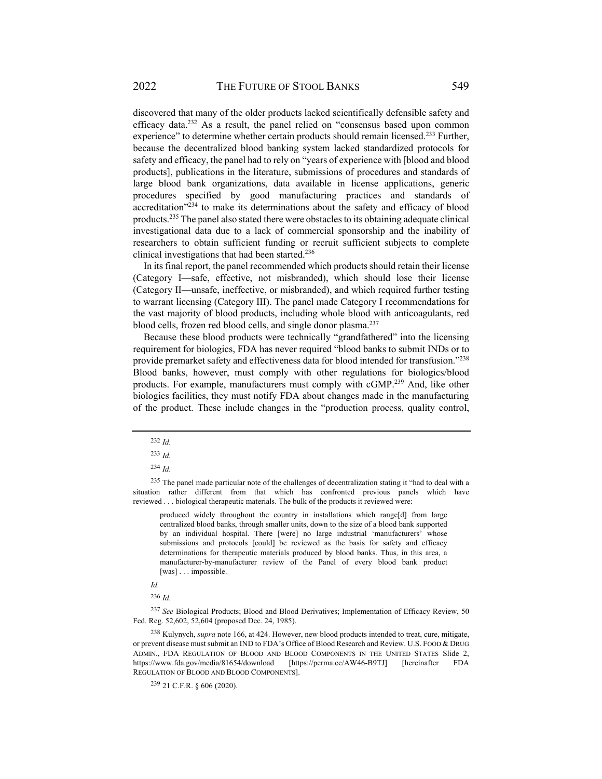discovered that many of the older products lacked scientifically defensible safety and efficacy data.232 As a result, the panel relied on "consensus based upon common experience" to determine whether certain products should remain licensed.<sup>233</sup> Further, because the decentralized blood banking system lacked standardized protocols for safety and efficacy, the panel had to rely on "years of experience with [blood and blood products], publications in the literature, submissions of procedures and standards of large blood bank organizations, data available in license applications, generic procedures specified by good manufacturing practices and standards of accreditation"<sup>234</sup> to make its determinations about the safety and efficacy of blood products.235 The panel also stated there were obstacles to its obtaining adequate clinical investigational data due to a lack of commercial sponsorship and the inability of researchers to obtain sufficient funding or recruit sufficient subjects to complete

In its final report, the panel recommended which products should retain their license (Category I—safe, effective, not misbranded), which should lose their license (Category II—unsafe, ineffective, or misbranded), and which required further testing to warrant licensing (Category III). The panel made Category I recommendations for the vast majority of blood products, including whole blood with anticoagulants, red blood cells, frozen red blood cells, and single donor plasma.<sup>237</sup>

clinical investigations that had been started.236

Because these blood products were technically "grandfathered" into the licensing requirement for biologics, FDA has never required "blood banks to submit INDs or to provide premarket safety and effectiveness data for blood intended for transfusion."238 Blood banks, however, must comply with other regulations for biologics/blood products. For example, manufacturers must comply with cGMP.239 And, like other biologics facilities, they must notify FDA about changes made in the manufacturing of the product. These include changes in the "production process, quality control,

produced widely throughout the country in installations which range[d] from large centralized blood banks, through smaller units, down to the size of a blood bank supported by an individual hospital. There [were] no large industrial 'manufacturers' whose submissions and protocols [could] be reviewed as the basis for safety and efficacy determinations for therapeutic materials produced by blood banks. Thus, in this area, a manufacturer-by-manufacturer review of the Panel of every blood bank product [was] . . . impossible.

*Id.* 

<sup>237</sup> *See* Biological Products; Blood and Blood Derivatives; Implementation of Efficacy Review, 50 Fed. Reg. 52,602, 52,604 (proposed Dec. 24, 1985).

238 Kulynych, *supra* note 166, at 424. However, new blood products intended to treat, cure, mitigate, or prevent disease must submit an IND to FDA's Office of Blood Research and Review. U.S. FOOD & DRUG ADMIN., FDA REGULATION OF BLOOD AND BLOOD COMPONENTS IN THE UNITED STATES Slide 2, https://www.fda.gov/media/81654/download [https://perma.cc/AW46-B9TJ] [hereinafter FDA REGULATION OF BLOOD AND BLOOD COMPONENTS].

239 21 C.F.R. § 606 (2020).

<sup>232</sup> *Id.*

<sup>233</sup> *Id.* 

<sup>234</sup> *Id.*

<sup>&</sup>lt;sup>235</sup> The panel made particular note of the challenges of decentralization stating it "had to deal with a situation rather different from that which has confronted previous panels which have reviewed . . . biological therapeutic materials. The bulk of the products it reviewed were:

<sup>236</sup> *Id.*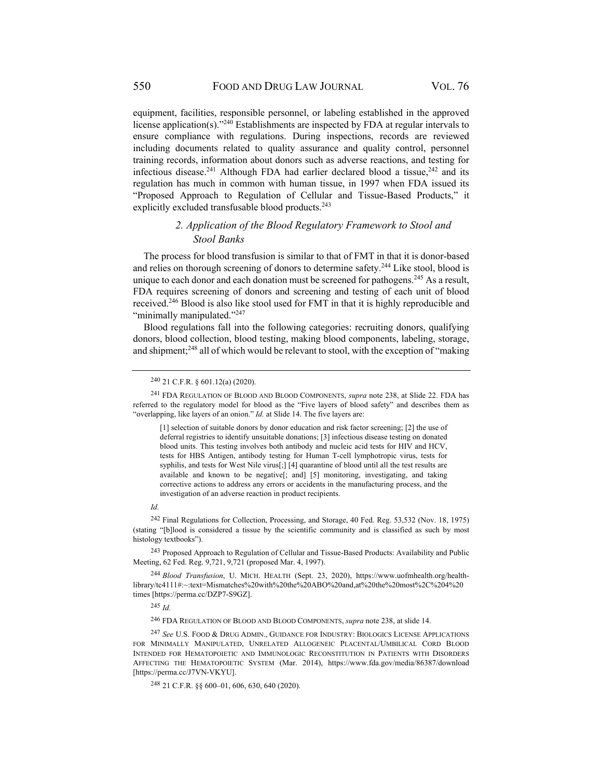equipment, facilities, responsible personnel, or labeling established in the approved license application(s)."240 Establishments are inspected by FDA at regular intervals to ensure compliance with regulations. During inspections, records are reviewed including documents related to quality assurance and quality control, personnel training records, information about donors such as adverse reactions, and testing for infectious disease.<sup>241</sup> Although FDA had earlier declared blood a tissue,<sup>242</sup> and its regulation has much in common with human tissue, in 1997 when FDA issued its "Proposed Approach to Regulation of Cellular and Tissue-Based Products," it explicitly excluded transfusable blood products.<sup>243</sup>

### *2. Application of the Blood Regulatory Framework to Stool and Stool Banks*

The process for blood transfusion is similar to that of FMT in that it is donor-based and relies on thorough screening of donors to determine safety.<sup>244</sup> Like stool, blood is unique to each donor and each donation must be screened for pathogens.<sup>245</sup> As a result, FDA requires screening of donors and screening and testing of each unit of blood received.246 Blood is also like stool used for FMT in that it is highly reproducible and "minimally manipulated."<sup>247</sup>

Blood regulations fall into the following categories: recruiting donors, qualifying donors, blood collection, blood testing, making blood components, labeling, storage, and shipment;<sup>248</sup> all of which would be relevant to stool, with the exception of "making"

*Id.*

<sup>245</sup> *Id.*

<sup>246</sup> FDA REGULATION OF BLOOD AND BLOOD COMPONENTS, *supra* note 238, at slide 14.

<sup>247</sup> *See* U.S. FOOD & DRUG ADMIN., GUIDANCE FOR INDUSTRY: BIOLOGICS LICENSE APPLICATIONS FOR MINIMALLY MANIPULATED, UNRELATED ALLOGENEIC PLACENTAL/UMBILICAL CORD BLOOD INTENDED FOR HEMATOPOIETIC AND IMMUNOLOGIC RECONSTITUTION IN PATIENTS WITH DISORDERS AFFECTING THE HEMATOPOIETIC SYSTEM (Mar. 2014), https://www.fda.gov/media/86387/download [https://perma.cc/J7VN-VKYU].

248 21 C.F.R. §§ 600–01, 606, 630, 640 (2020).

<sup>240 21</sup> C.F.R. § 601.12(a) (2020).

<sup>241</sup> FDA REGULATION OF BLOOD AND BLOOD COMPONENTS, *supra* note 238, at Slide 22. FDA has referred to the regulatory model for blood as the "Five layers of blood safety" and describes them as "overlapping, like layers of an onion." *Id.* at Slide 14. The five layers are:

<sup>[1]</sup> selection of suitable donors by donor education and risk factor screening; [2] the use of deferral registries to identify unsuitable donations; [3] infectious disease testing on donated blood units. This testing involves both antibody and nucleic acid tests for HIV and HCV, tests for HBS Antigen, antibody testing for Human T-cell lymphotropic virus, tests for syphilis, and tests for West Nile virus[;] [4] quarantine of blood until all the test results are available and known to be negative[; and] [5] monitoring, investigating, and taking corrective actions to address any errors or accidents in the manufacturing process, and the investigation of an adverse reaction in product recipients.

<sup>242</sup> Final Regulations for Collection, Processing, and Storage, 40 Fed. Reg. 53,532 (Nov. 18, 1975) (stating "[b]lood is considered a tissue by the scientific community and is classified as such by most histology textbooks").

<sup>243</sup> Proposed Approach to Regulation of Cellular and Tissue-Based Products: Availability and Public Meeting, 62 Fed. Reg. 9,721, 9,721 (proposed Mar. 4, 1997).

<sup>244</sup> *Blood Transfusion*, U. MICH. HEALTH (Sept. 23, 2020), https://www.uofmhealth.org/healthlibrary/tc4111#:~:text=Mismatches%20with%20the%20ABO%20and,at%20the%20most%2C%204%20 times [https://perma.cc/DZP7-S9GZ].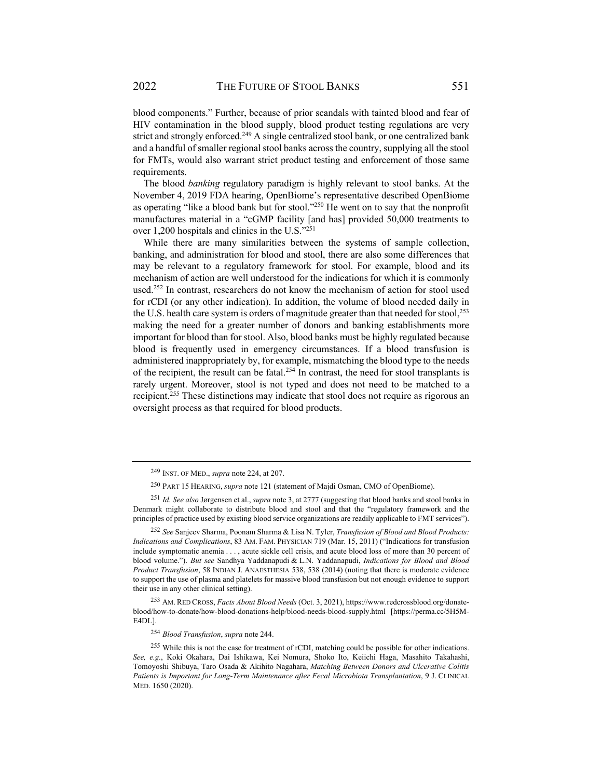blood components." Further, because of prior scandals with tainted blood and fear of HIV contamination in the blood supply, blood product testing regulations are very strict and strongly enforced.<sup>249</sup> A single centralized stool bank, or one centralized bank and a handful of smaller regional stool banks across the country, supplying all the stool for FMTs, would also warrant strict product testing and enforcement of those same requirements.

The blood *banking* regulatory paradigm is highly relevant to stool banks. At the November 4, 2019 FDA hearing, OpenBiome's representative described OpenBiome as operating "like a blood bank but for stool."250 He went on to say that the nonprofit manufactures material in a "cGMP facility [and has] provided 50,000 treatments to over 1,200 hospitals and clinics in the U.S."251

While there are many similarities between the systems of sample collection, banking, and administration for blood and stool, there are also some differences that may be relevant to a regulatory framework for stool. For example, blood and its mechanism of action are well understood for the indications for which it is commonly used.<sup>252</sup> In contrast, researchers do not know the mechanism of action for stool used for rCDI (or any other indication). In addition, the volume of blood needed daily in the U.S. health care system is orders of magnitude greater than that needed for stool,<sup>253</sup> making the need for a greater number of donors and banking establishments more important for blood than for stool. Also, blood banks must be highly regulated because blood is frequently used in emergency circumstances. If a blood transfusion is administered inappropriately by, for example, mismatching the blood type to the needs of the recipient, the result can be fatal.<sup>254</sup> In contrast, the need for stool transplants is rarely urgent. Moreover, stool is not typed and does not need to be matched to a recipient.<sup>255</sup> These distinctions may indicate that stool does not require as rigorous an oversight process as that required for blood products.

254 *Blood Transfusion*, *supra* note 244.

<sup>249</sup> INST. OF MED., *supra* note 224, at 207.

<sup>250</sup>PART 15 HEARING, *supra* note 121 (statement of Majdi Osman, CMO of OpenBiome).

<sup>251</sup> *Id. See also* Jørgensen et al., *supra* note 3, at 2777 (suggesting that blood banks and stool banks in Denmark might collaborate to distribute blood and stool and that the "regulatory framework and the principles of practice used by existing blood service organizations are readily applicable to FMT services").

<sup>252</sup> *See* Sanjeev Sharma, Poonam Sharma & Lisa N. Tyler, *Transfusion of Blood and Blood Products: Indications and Complications*, 83 AM. FAM. PHYSICIAN 719 (Mar. 15, 2011) ("Indications for transfusion include symptomatic anemia . . . , acute sickle cell crisis, and acute blood loss of more than 30 percent of blood volume."). *But see* Sandhya Yaddanapudi & L.N. Yaddanapudi, *Indications for Blood and Blood Product Transfusion*, 58 INDIAN J. ANAESTHESIA 538, 538 (2014) (noting that there is moderate evidence to support the use of plasma and platelets for massive blood transfusion but not enough evidence to support their use in any other clinical setting).

<sup>253</sup> AM. RED CROSS, *Facts About Blood Needs* (Oct. 3, 2021), https://www.redcrossblood.org/donateblood/how-to-donate/how-blood-donations-help/blood-needs-blood-supply.html [https://perma.cc/5H5M-E4DL].

<sup>255</sup> While this is not the case for treatment of rCDI, matching could be possible for other indications. *See, e.g.*, Koki Okahara, Dai Ishikawa, Kei Nomura, Shoko Ito, Keiichi Haga, Masahito Takahashi, Tomoyoshi Shibuya, Taro Osada & Akihito Nagahara, *Matching Between Donors and Ulcerative Colitis Patients is Important for Long-Term Maintenance after Fecal Microbiota Transplantation*, 9 J. CLINICAL MED. 1650 (2020).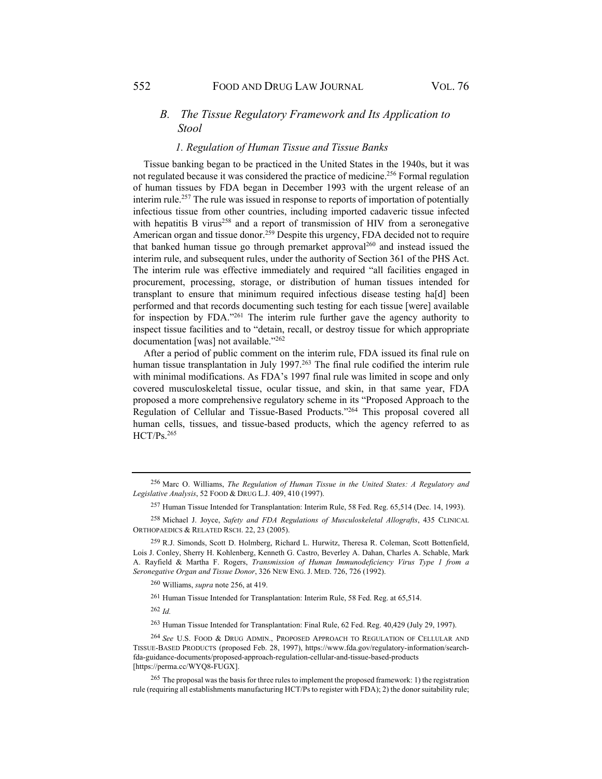## *B. The Tissue Regulatory Framework and Its Application to Stool*

#### *1. Regulation of Human Tissue and Tissue Banks*

Tissue banking began to be practiced in the United States in the 1940s, but it was not regulated because it was considered the practice of medicine.256 Formal regulation of human tissues by FDA began in December 1993 with the urgent release of an interim rule.257 The rule was issued in response to reports of importation of potentially infectious tissue from other countries, including imported cadaveric tissue infected with hepatitis B virus<sup>258</sup> and a report of transmission of HIV from a seronegative American organ and tissue donor.<sup>259</sup> Despite this urgency, FDA decided not to require that banked human tissue go through premarket approval<sup>260</sup> and instead issued the interim rule, and subsequent rules, under the authority of Section 361 of the PHS Act. The interim rule was effective immediately and required "all facilities engaged in procurement, processing, storage, or distribution of human tissues intended for transplant to ensure that minimum required infectious disease testing ha[d] been performed and that records documenting such testing for each tissue [were] available for inspection by FDA."261 The interim rule further gave the agency authority to inspect tissue facilities and to "detain, recall, or destroy tissue for which appropriate documentation [was] not available."262

After a period of public comment on the interim rule, FDA issued its final rule on human tissue transplantation in July 1997.<sup>263</sup> The final rule codified the interim rule with minimal modifications. As FDA's 1997 final rule was limited in scope and only covered musculoskeletal tissue, ocular tissue, and skin, in that same year, FDA proposed a more comprehensive regulatory scheme in its "Proposed Approach to the Regulation of Cellular and Tissue-Based Products."264 This proposal covered all human cells, tissues, and tissue-based products, which the agency referred to as HCT/Ps.265

<sup>262</sup> *Id.*

<sup>256</sup> Marc O. Williams, *The Regulation of Human Tissue in the United States: A Regulatory and Legislative Analysis*, 52 FOOD & DRUG L.J. 409, 410 (1997).

<sup>257</sup> Human Tissue Intended for Transplantation: Interim Rule, 58 Fed. Reg. 65,514 (Dec. 14, 1993).

<sup>258</sup> Michael J. Joyce, *Safety and FDA Regulations of Musculoskeletal Allografts*, 435 CLINICAL ORTHOPAEDICS & RELATED RSCH. 22, 23 (2005).

<sup>259</sup> R.J. Simonds, Scott D. Holmberg, Richard L. Hurwitz, Theresa R. Coleman, Scott Bottenfield, Lois J. Conley, Sherry H. Kohlenberg, Kenneth G. Castro, Beverley A. Dahan, Charles A. Schable, Mark A. Rayfield & Martha F. Rogers, *Transmission of Human Immunodeficiency Virus Type 1 from a Seronegative Organ and Tissue Donor*, 326 NEW ENG. J. MED. 726, 726 (1992).

<sup>260</sup> Williams, *supra* note 256, at 419.

<sup>261</sup> Human Tissue Intended for Transplantation: Interim Rule, 58 Fed. Reg. at 65,514.

<sup>263</sup> Human Tissue Intended for Transplantation: Final Rule, 62 Fed. Reg. 40,429 (July 29, 1997).

<sup>264</sup> *See* U.S. FOOD & DRUG ADMIN., PROPOSED APPROACH TO REGULATION OF CELLULAR AND TISSUE-BASED PRODUCTS (proposed Feb. 28, 1997), https://www.fda.gov/regulatory-information/searchfda-guidance-documents/proposed-approach-regulation-cellular-and-tissue-based-products [https://perma.cc/WYQ8-FUGX].

<sup>265</sup> The proposal was the basis for three rules to implement the proposed framework: 1) the registration rule (requiring all establishments manufacturing HCT/Ps to register with FDA); 2) the donor suitability rule;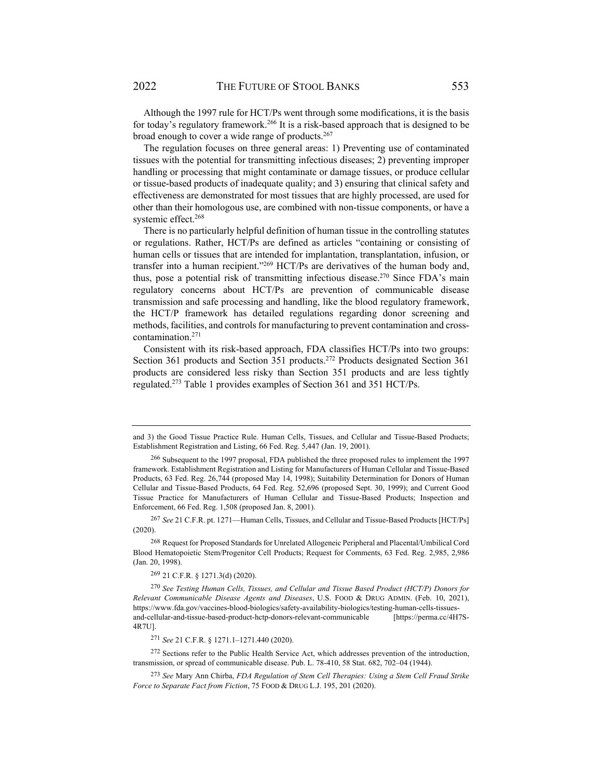Although the 1997 rule for HCT/Ps went through some modifications, it is the basis for today's regulatory framework.<sup>266</sup> It is a risk-based approach that is designed to be broad enough to cover a wide range of products.<sup>267</sup>

The regulation focuses on three general areas: 1) Preventing use of contaminated tissues with the potential for transmitting infectious diseases; 2) preventing improper handling or processing that might contaminate or damage tissues, or produce cellular or tissue-based products of inadequate quality; and 3) ensuring that clinical safety and effectiveness are demonstrated for most tissues that are highly processed, are used for other than their homologous use, are combined with non-tissue components, or have a systemic effect.<sup>268</sup>

There is no particularly helpful definition of human tissue in the controlling statutes or regulations. Rather, HCT/Ps are defined as articles "containing or consisting of human cells or tissues that are intended for implantation, transplantation, infusion, or transfer into a human recipient."<sup>269</sup> HCT/Ps are derivatives of the human body and, thus, pose a potential risk of transmitting infectious disease.<sup>270</sup> Since FDA's main regulatory concerns about HCT/Ps are prevention of communicable disease transmission and safe processing and handling, like the blood regulatory framework, the HCT/P framework has detailed regulations regarding donor screening and methods, facilities, and controls for manufacturing to prevent contamination and crosscontamination.271

Consistent with its risk-based approach, FDA classifies HCT/Ps into two groups: Section 361 products and Section 351 products.<sup>272</sup> Products designated Section 361 products are considered less risky than Section 351 products and are less tightly regulated.273 Table 1 provides examples of Section 361 and 351 HCT/Ps.

<sup>267</sup> *See* 21 C.F.R. pt. 1271—Human Cells, Tissues, and Cellular and Tissue-Based Products [HCT/Ps] (2020).

268 Request for Proposed Standards for Unrelated Allogeneic Peripheral and Placental/Umbilical Cord Blood Hematopoietic Stem/Progenitor Cell Products; Request for Comments, 63 Fed. Reg. 2,985, 2,986 (Jan. 20, 1998).

269 21 C.F.R. § 1271.3(d) (2020).

<sup>270</sup> *See Testing Human Cells, Tissues, and Cellular and Tissue Based Product (HCT/P) Donors for Relevant Communicable Disease Agents and Diseases*, U.S. FOOD & DRUG ADMIN. (Feb. 10, 2021), https://www.fda.gov/vaccines-blood-biologics/safety-availability-biologics/testing-human-cells-tissuesand-cellular-and-tissue-based-product-hctp-donors-relevant-communicable [https://perma.cc/4H7S-4R7U].

<sup>271</sup> *See* 21 C.F.R. § 1271.1–1271.440 (2020).

272 Sections refer to the Public Health Service Act, which addresses prevention of the introduction, transmission, or spread of communicable disease. Pub. L. 78-410, 58 Stat. 682, 702–04 (1944).

<sup>273</sup> *See* Mary Ann Chirba, *FDA Regulation of Stem Cell Therapies: Using a Stem Cell Fraud Strike Force to Separate Fact from Fiction*, 75 FOOD & DRUG L.J. 195, 201 (2020).

and 3) the Good Tissue Practice Rule. Human Cells, Tissues, and Cellular and Tissue-Based Products; Establishment Registration and Listing, 66 Fed. Reg. 5,447 (Jan. 19, 2001).

<sup>&</sup>lt;sup>266</sup> Subsequent to the 1997 proposal, FDA published the three proposed rules to implement the 1997 framework. Establishment Registration and Listing for Manufacturers of Human Cellular and Tissue-Based Products, 63 Fed. Reg. 26,744 (proposed May 14, 1998); Suitability Determination for Donors of Human Cellular and Tissue-Based Products, 64 Fed. Reg. 52,696 (proposed Sept. 30, 1999); and Current Good Tissue Practice for Manufacturers of Human Cellular and Tissue-Based Products; Inspection and Enforcement, 66 Fed. Reg. 1,508 (proposed Jan. 8, 2001).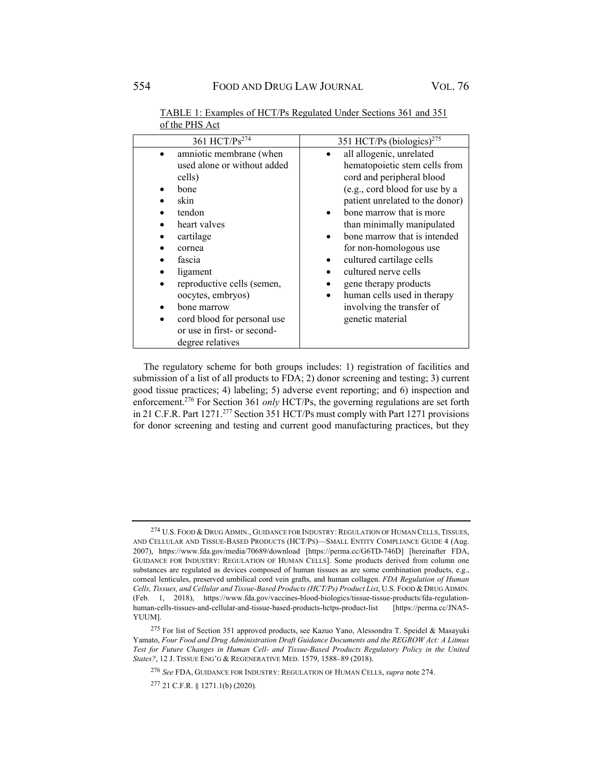| 361 HCT/Ps <sup>274</sup>   | 351 HCT/Ps (biologics) <sup>275</sup>    |  |  |  |
|-----------------------------|------------------------------------------|--|--|--|
| amniotic membrane (when     | all allogenic, unrelated                 |  |  |  |
| used alone or without added | hematopoietic stem cells from            |  |  |  |
| cells)                      | cord and peripheral blood                |  |  |  |
| bone                        | (e.g., cord blood for use by a           |  |  |  |
| skin                        | patient unrelated to the donor)          |  |  |  |
| tendon                      | bone marrow that is more                 |  |  |  |
| heart valves                | than minimally manipulated               |  |  |  |
| cartilage                   | bone marrow that is intended             |  |  |  |
| cornea                      | for non-homologous use                   |  |  |  |
| fascia                      | cultured cartilage cells                 |  |  |  |
| ligament                    | cultured nerve cells                     |  |  |  |
| reproductive cells (semen,  | gene therapy products                    |  |  |  |
| oocytes, embryos)           | human cells used in therapy<br>$\bullet$ |  |  |  |
| bone marrow                 | involving the transfer of                |  |  |  |
| cord blood for personal use | genetic material                         |  |  |  |
| or use in first- or second- |                                          |  |  |  |
| degree relatives            |                                          |  |  |  |

TABLE 1: Examples of HCT/Ps Regulated Under Sections 361 and 351 of the PHS Act

The regulatory scheme for both groups includes: 1) registration of facilities and submission of a list of all products to FDA; 2) donor screening and testing; 3) current good tissue practices; 4) labeling; 5) adverse event reporting; and 6) inspection and enforcement.<sup>276</sup> For Section 361 *only* HCT/Ps, the governing regulations are set forth in 21 C.F.R. Part 1271.277 Section 351 HCT/Ps must comply with Part 1271 provisions for donor screening and testing and current good manufacturing practices, but they

<sup>&</sup>lt;sup>274</sup> U.S. FOOD & DRUG ADMIN., GUIDANCE FOR INDUSTRY: REGULATION OF HUMAN CELLS, TISSUES, AND CELLULAR AND TISSUE-BASED PRODUCTS (HCT/PS)—SMALL ENTITY COMPLIANCE GUIDE 4 (Aug. 2007), https://www.fda.gov/media/70689/download [https://perma.cc/G6TD-746D] [hereinafter FDA, GUIDANCE FOR INDUSTRY: REGULATION OF HUMAN CELLS]. Some products derived from column one substances are regulated as devices composed of human tissues as are some combination products, e.g., corneal lenticules, preserved umbilical cord vein grafts, and human collagen. *FDA Regulation of Human Cells, Tissues, and Cellular and Tissue-Based Products (HCT/Ps) Product List*, U.S. FOOD & DRUG ADMIN. (Feb. 1, 2018), https://www.fda.gov/vaccines-blood-biologics/tissue-tissue-products/fda-regulationhuman-cells-tissues-and-cellular-and-tissue-based-products-hctps-product-list [https://perma.cc/JNA5- YUUM].

<sup>275</sup> For list of Section 351 approved products, see Kazuo Yano, Alessondra T. Speidel & Masayuki Yamato, *Four Food and Drug Administration Draft Guidance Documents and the REGROW Act: A Litmus Test for Future Changes in Human Cell- and Tissue-Based Products Regulatory Policy in the United States?*, 12 J. TISSUE ENG'G & REGENERATIVE MED. 1579, 1588–89 (2018).

<sup>276</sup> *See* FDA, GUIDANCE FOR INDUSTRY: REGULATION OF HUMAN CELLS, *supra* note 274.

<sup>277 21</sup> C.F.R. § 1271.1(b) (2020).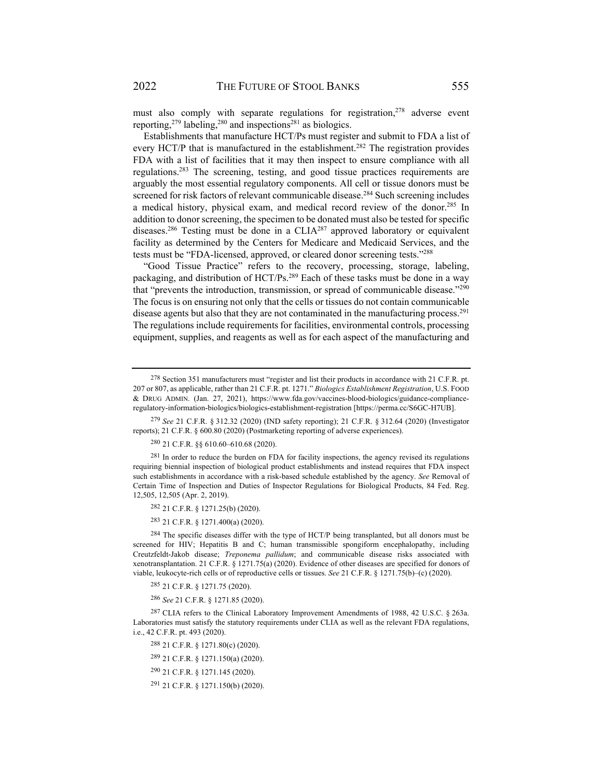must also comply with separate regulations for registration,  $278$  adverse event reporting,<sup>279</sup> labeling,<sup>280</sup> and inspections<sup>281</sup> as biologics.

Establishments that manufacture HCT/Ps must register and submit to FDA a list of every HCT/P that is manufactured in the establishment.<sup>282</sup> The registration provides FDA with a list of facilities that it may then inspect to ensure compliance with all regulations.283 The screening, testing, and good tissue practices requirements are arguably the most essential regulatory components. All cell or tissue donors must be screened for risk factors of relevant communicable disease.<sup>284</sup> Such screening includes a medical history, physical exam, and medical record review of the donor.<sup>285</sup> In addition to donor screening, the specimen to be donated must also be tested for specific diseases.<sup>286</sup> Testing must be done in a CLIA<sup>287</sup> approved laboratory or equivalent facility as determined by the Centers for Medicare and Medicaid Services, and the tests must be "FDA-licensed, approved, or cleared donor screening tests."288

"Good Tissue Practice" refers to the recovery, processing, storage, labeling, packaging, and distribution of  $HCT/Ps<sup>289</sup>$  Each of these tasks must be done in a way that "prevents the introduction, transmission, or spread of communicable disease."290 The focus is on ensuring not only that the cells or tissues do not contain communicable disease agents but also that they are not contaminated in the manufacturing process.<sup>291</sup> The regulations include requirements for facilities, environmental controls, processing equipment, supplies, and reagents as well as for each aspect of the manufacturing and

280 21 C.F.R. §§ 610.60–610.68 (2020).

<sup>281</sup> In order to reduce the burden on FDA for facility inspections, the agency revised its regulations requiring biennial inspection of biological product establishments and instead requires that FDA inspect such establishments in accordance with a risk-based schedule established by the agency. *See* Removal of Certain Time of Inspection and Duties of Inspector Regulations for Biological Products, 84 Fed. Reg. 12,505, 12,505 (Apr. 2, 2019).

282 21 C.F.R. § 1271.25(b) (2020).

283 21 C.F.R. § 1271.400(a) (2020).

 $284$  The specific diseases differ with the type of HCT/P being transplanted, but all donors must be screened for HIV; Hepatitis B and C; human transmissible spongiform encephalopathy, including Creutzfeldt-Jakob disease; *Treponema pallidum*; and communicable disease risks associated with xenotransplantation. 21 C.F.R. § 1271.75(a) (2020). Evidence of other diseases are specified for donors of viable, leukocyte-rich cells or of reproductive cells or tissues. *See* 21 C.F.R. § 1271.75(b)–(c) (2020).

285 21 C.F.R. § 1271.75 (2020).

<sup>286</sup> *See* 21 C.F.R. § 1271.85 (2020).

287 CLIA refers to the Clinical Laboratory Improvement Amendments of 1988, 42 U.S.C. § 263a. Laboratories must satisfy the statutory requirements under CLIA as well as the relevant FDA regulations, i.e., 42 C.F.R. pt. 493 (2020).

288 21 C.F.R. § 1271.80(c) (2020).

289 21 C.F.R. § 1271.150(a) (2020).

291 21 C.F.R. § 1271.150(b) (2020).

<sup>&</sup>lt;sup>278</sup> Section 351 manufacturers must "register and list their products in accordance with 21 C.F.R. pt. 207 or 807, as applicable, rather than 21 C.F.R. pt. 1271." *Biologics Establishment Registration*, U.S. FOOD & DRUG ADMIN. (Jan. 27, 2021), https://www.fda.gov/vaccines-blood-biologics/guidance-complianceregulatory-information-biologics/biologics-establishment-registration [https://perma.cc/S6GC-H7UB].

<sup>279</sup> *See* 21 C.F.R. § 312.32 (2020) (IND safety reporting); 21 C.F.R. § 312.64 (2020) (Investigator reports); 21 C.F.R. § 600.80 (2020) (Postmarketing reporting of adverse experiences).

<sup>290 21</sup> C.F.R. § 1271.145 (2020).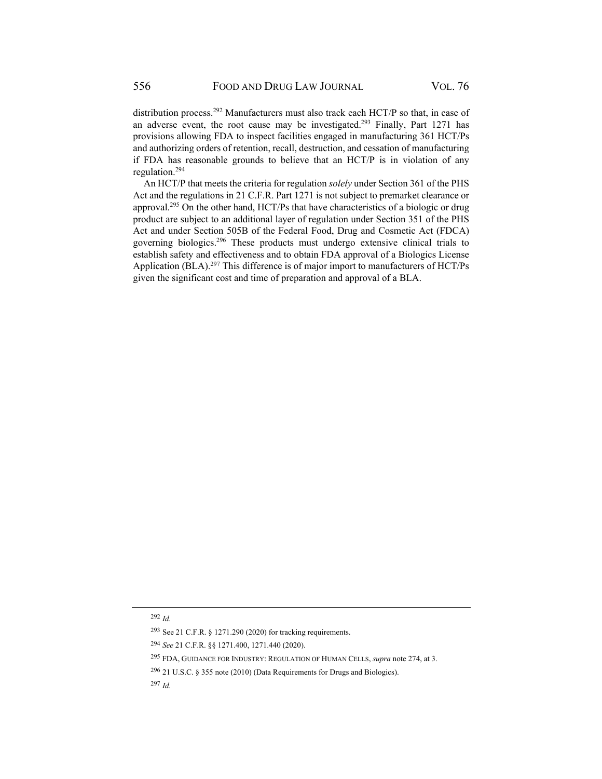distribution process.<sup>292</sup> Manufacturers must also track each HCT/P so that, in case of an adverse event, the root cause may be investigated.293 Finally, Part 1271 has provisions allowing FDA to inspect facilities engaged in manufacturing 361 HCT/Ps and authorizing orders of retention, recall, destruction, and cessation of manufacturing if FDA has reasonable grounds to believe that an HCT/P is in violation of any regulation.294

An HCT/P that meets the criteria for regulation *solely* under Section 361 of the PHS Act and the regulations in 21 C.F.R. Part 1271 is not subject to premarket clearance or approval.295 On the other hand, HCT/Ps that have characteristics of a biologic or drug product are subject to an additional layer of regulation under Section 351 of the PHS Act and under Section 505B of the Federal Food, Drug and Cosmetic Act (FDCA) governing biologics.296 These products must undergo extensive clinical trials to establish safety and effectiveness and to obtain FDA approval of a Biologics License Application (BLA).<sup>297</sup> This difference is of major import to manufacturers of HCT/Ps given the significant cost and time of preparation and approval of a BLA.

<sup>292</sup> *Id.* 

<sup>293</sup>See 21 C.F.R. § 1271.290 (2020) for tracking requirements.

<sup>294</sup> *See* 21 C.F.R. §§ 1271.400, 1271.440 (2020).

<sup>295</sup> FDA, GUIDANCE FOR INDUSTRY: REGULATION OF HUMAN CELLS, *supra* note 274, at 3.

<sup>296 21</sup> U.S.C. § 355 note (2010) (Data Requirements for Drugs and Biologics).

<sup>297</sup> *Id.*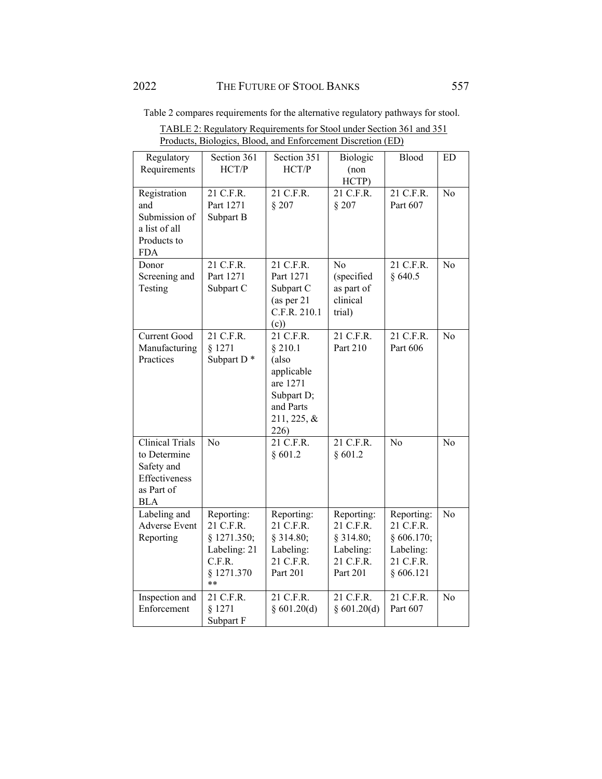Table 2 compares requirements for the alternative regulatory pathways for stool.

| TABLE 2: Regulatory Requirements for Stool under Section 361 and 351 |
|----------------------------------------------------------------------|
| Products, Biologics, Blood, and Enforcement Discretion (ED)          |
|                                                                      |

| Regulatory                                                                                        | Section 361                                                                          | Section 351                                                                                               | Biologic                                                                     | Blood                                                                        | ED             |
|---------------------------------------------------------------------------------------------------|--------------------------------------------------------------------------------------|-----------------------------------------------------------------------------------------------------------|------------------------------------------------------------------------------|------------------------------------------------------------------------------|----------------|
| Requirements                                                                                      | HCT/P                                                                                | HCT/P                                                                                                     | (non)<br>HCTP)                                                               |                                                                              |                |
| Registration<br>and<br>Submission of<br>a list of all<br>Products to<br><b>FDA</b>                | 21 C.F.R.<br>Part 1271<br>Subpart B                                                  | 21 C.F.R.<br>$§$ 207                                                                                      | 21 C.F.R.<br>§ 207                                                           | 21 C.F.R.<br>Part 607                                                        | N <sub>o</sub> |
| Donor<br>Screening and<br>Testing                                                                 | 21 C.F.R.<br>Part 1271<br>Subpart C                                                  | 21 C.F.R.<br>Part 1271<br>Subpart C<br>(as per 21<br>C.F.R. 210.1<br>(c)                                  | No<br>(specified<br>as part of<br>clinical<br>trial)                         | 21 C.F.R.<br>§640.5                                                          | No             |
| Current Good<br>Manufacturing<br>Practices                                                        | 21 C.F.R.<br>§ 1271<br>Subpart D <sup>*</sup>                                        | 21 C.F.R.<br>§ 210.1<br>(also<br>applicable<br>are 1271<br>Subpart D;<br>and Parts<br>211, 225, &<br>226) | 21 C.F.R.<br>Part 210                                                        | 21 C.F.R.<br>Part 606                                                        | N <sub>o</sub> |
| <b>Clinical Trials</b><br>to Determine<br>Safety and<br>Effectiveness<br>as Part of<br><b>BLA</b> | N <sub>o</sub>                                                                       | 21 C.F.R.<br>§ 601.2                                                                                      | 21 C.F.R.<br>§ 601.2                                                         | N <sub>o</sub>                                                               | N <sub>o</sub> |
| Labeling and<br><b>Adverse Event</b><br>Reporting                                                 | Reporting:<br>21 C.F.R.<br>§ 1271.350;<br>Labeling: 21<br>C.F.R.<br>§ 1271.370<br>** | Reporting:<br>21 C.F.R.<br>§ 314.80;<br>Labeling:<br>21 C.F.R.<br>Part 201                                | Reporting:<br>21 C.F.R.<br>$§$ 314.80;<br>Labeling:<br>21 C.F.R.<br>Part 201 | Reporting:<br>21 C.F.R.<br>§ 606.170;<br>Labeling:<br>21 C.F.R.<br>§ 606.121 | No             |
| Inspection and<br>Enforcement                                                                     | 21 C.F.R.<br>§ 1271<br>Subpart F                                                     | 21 C.F.R.<br>§ $601.20(d)$                                                                                | 21 C.F.R.<br>§ $601.20(d)$                                                   | 21 C.F.R.<br>Part 607                                                        | No             |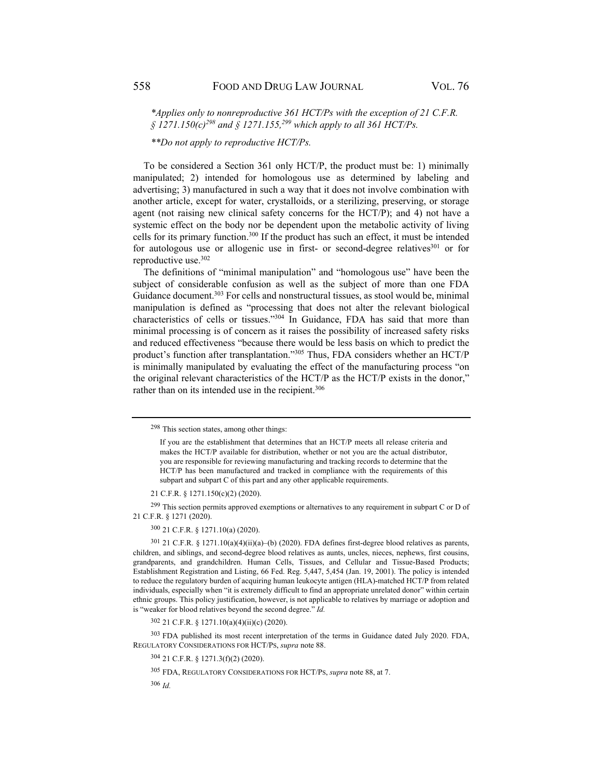*\*Applies only to nonreproductive 361 HCT/Ps with the exception of 21 C.F.R.*   $\frac{5}{2}$  1271.150(c)<sup>298</sup> and  $\frac{5}{2}$  1271.155,<sup>299</sup> which apply to all 361 HCT/Ps.

*\*\*Do not apply to reproductive HCT/Ps.* 

To be considered a Section 361 only HCT/P, the product must be: 1) minimally manipulated; 2) intended for homologous use as determined by labeling and advertising; 3) manufactured in such a way that it does not involve combination with another article, except for water, crystalloids, or a sterilizing, preserving, or storage agent (not raising new clinical safety concerns for the HCT/P); and 4) not have a systemic effect on the body nor be dependent upon the metabolic activity of living cells for its primary function.300 If the product has such an effect, it must be intended for autologous use or allogenic use in first- or second-degree relatives<sup>301</sup> or for reproductive use.302

The definitions of "minimal manipulation" and "homologous use" have been the subject of considerable confusion as well as the subject of more than one FDA Guidance document.<sup>303</sup> For cells and nonstructural tissues, as stool would be, minimal manipulation is defined as "processing that does not alter the relevant biological characteristics of cells or tissues."304 In Guidance, FDA has said that more than minimal processing is of concern as it raises the possibility of increased safety risks and reduced effectiveness "because there would be less basis on which to predict the product's function after transplantation."305 Thus, FDA considers whether an HCT/P is minimally manipulated by evaluating the effect of the manufacturing process "on the original relevant characteristics of the HCT/P as the HCT/P exists in the donor," rather than on its intended use in the recipient.<sup>306</sup>

 $^{299}$  This section permits approved exemptions or alternatives to any requirement in subpart C or D of 21 C.F.R. § 1271 (2020).

300 21 C.F.R. § 1271.10(a) (2020).

301 21 C.F.R. § 1271.10(a)(4)(ii)(a)–(b) (2020). FDA defines first-degree blood relatives as parents, children, and siblings, and second-degree blood relatives as aunts, uncles, nieces, nephews, first cousins, grandparents, and grandchildren. Human Cells, Tissues, and Cellular and Tissue-Based Products; Establishment Registration and Listing, 66 Fed. Reg. 5,447, 5,454 (Jan. 19, 2001). The policy is intended to reduce the regulatory burden of acquiring human leukocyte antigen (HLA)-matched HCT/P from related individuals, especially when "it is extremely difficult to find an appropriate unrelated donor" within certain ethnic groups. This policy justification, however, is not applicable to relatives by marriage or adoption and is "weaker for blood relatives beyond the second degree." *Id.*

302 21 C.F.R. § 1271.10(a)(4)(ii)(c) (2020).

303 FDA published its most recent interpretation of the terms in Guidance dated July 2020. FDA, REGULATORY CONSIDERATIONS FOR HCT/PS, *supra* note 88.

305 FDA, REGULATORY CONSIDERATIONS FOR HCT/PS, *supra* note 88, at 7.

<sup>306</sup> *Id.* 

<sup>298</sup> This section states, among other things:

If you are the establishment that determines that an HCT/P meets all release criteria and makes the HCT/P available for distribution, whether or not you are the actual distributor, you are responsible for reviewing manufacturing and tracking records to determine that the HCT/P has been manufactured and tracked in compliance with the requirements of this subpart and subpart C of this part and any other applicable requirements.

<sup>21</sup> C.F.R. § 1271.150(c)(2) (2020).

<sup>304 21</sup> C.F.R. § 1271.3(f)(2) (2020).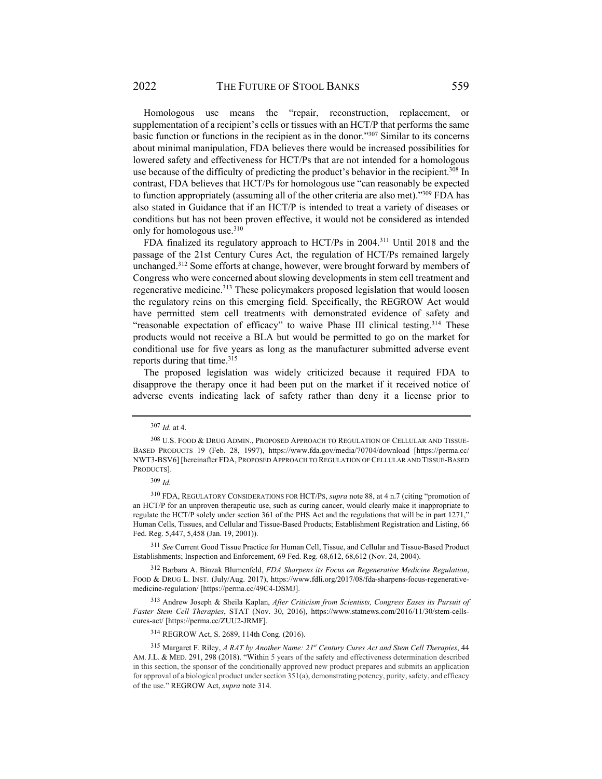Homologous use means the "repair, reconstruction, replacement, or supplementation of a recipient's cells or tissues with an HCT/P that performs the same basic function or functions in the recipient as in the donor."307 Similar to its concerns about minimal manipulation, FDA believes there would be increased possibilities for lowered safety and effectiveness for HCT/Ps that are not intended for a homologous use because of the difficulty of predicting the product's behavior in the recipient.<sup>308</sup> In contrast, FDA believes that HCT/Ps for homologous use "can reasonably be expected to function appropriately (assuming all of the other criteria are also met)."309 FDA has also stated in Guidance that if an HCT/P is intended to treat a variety of diseases or conditions but has not been proven effective, it would not be considered as intended only for homologous use.<sup>310</sup>

FDA finalized its regulatory approach to HCT/Ps in 2004.311 Until 2018 and the passage of the 21st Century Cures Act, the regulation of HCT/Ps remained largely unchanged.312 Some efforts at change, however, were brought forward by members of Congress who were concerned about slowing developments in stem cell treatment and regenerative medicine.313 These policymakers proposed legislation that would loosen the regulatory reins on this emerging field. Specifically, the REGROW Act would have permitted stem cell treatments with demonstrated evidence of safety and "reasonable expectation of efficacy" to waive Phase III clinical testing.<sup>314</sup> These products would not receive a BLA but would be permitted to go on the market for conditional use for five years as long as the manufacturer submitted adverse event reports during that time.<sup>315</sup>

The proposed legislation was widely criticized because it required FDA to disapprove the therapy once it had been put on the market if it received notice of adverse events indicating lack of safety rather than deny it a license prior to

<sup>311</sup> *See* Current Good Tissue Practice for Human Cell, Tissue, and Cellular and Tissue-Based Product Establishments; Inspection and Enforcement, 69 Fed. Reg. 68,612, 68,612 (Nov. 24, 2004).

312 Barbara A. Binzak Blumenfeld, *FDA Sharpens its Focus on Regenerative Medicine Regulation*, FOOD & DRUG L. INST. (July/Aug. 2017), https://www.fdli.org/2017/08/fda-sharpens-focus-regenerativemedicine-regulation/ [https://perma.cc/49C4-DSMJ].

313 Andrew Joseph & Sheila Kaplan, *After Criticism from Scientists, Congress Eases its Pursuit of Faster Stem Cell Therapies*, STAT (Nov. 30, 2016), https://www.statnews.com/2016/11/30/stem-cellscures-act/ [https://perma.cc/ZUU2-JRMF].

314 REGROW Act, S. 2689, 114th Cong. (2016).

<sup>307</sup> *Id.* at 4.

<sup>308</sup> U.S. FOOD & DRUG ADMIN., PROPOSED APPROACH TO REGULATION OF CELLULAR AND TISSUE-BASED PRODUCTS 19 (Feb. 28, 1997), https://www.fda.gov/media/70704/download [https://perma.cc/ NWT3-BSV6] [hereinafter FDA, PROPOSED APPROACH TO REGULATION OF CELLULAR AND TISSUE-BASED PRODUCTS].

<sup>309</sup> *Id.*

<sup>310</sup> FDA, REGULATORY CONSIDERATIONS FOR HCT/PS, *supra* note 88, at 4 n.7 (citing "promotion of an HCT/P for an unproven therapeutic use, such as curing cancer, would clearly make it inappropriate to regulate the HCT/P solely under section 361 of the PHS Act and the regulations that will be in part 1271," Human Cells, Tissues, and Cellular and Tissue-Based Products; Establishment Registration and Listing, 66 Fed. Reg. 5,447, 5,458 (Jan. 19, 2001)).

<sup>315</sup> Margaret F. Riley, *A RAT by Another Name: 21st Century Cures Act and Stem Cell Therapies*, 44 AM. J.L. & MED. 291, 298 (2018). "Within 5 years of the safety and effectiveness determination described in this section, the sponsor of the conditionally approved new product prepares and submits an application for approval of a biological product under section 351(a), demonstrating potency, purity, safety, and efficacy of the use." REGROW Act, *supra* note 314.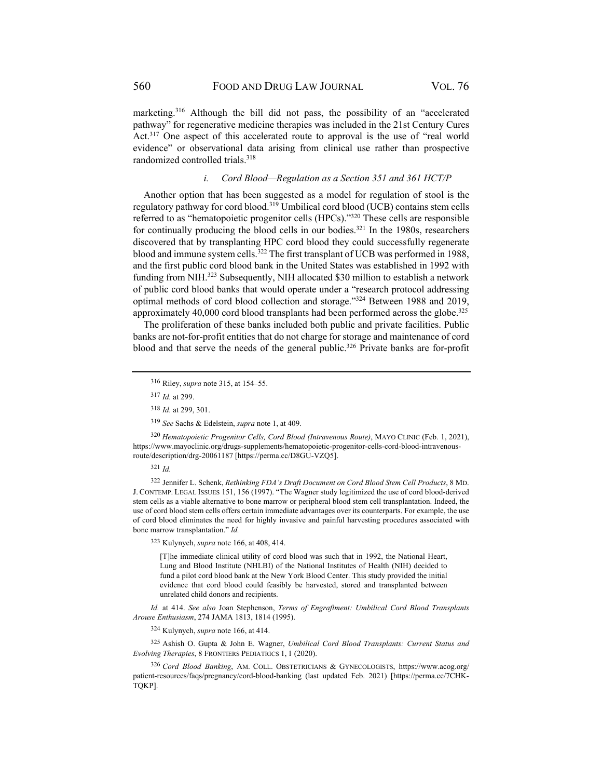marketing.<sup>316</sup> Although the bill did not pass, the possibility of an "accelerated pathway" for regenerative medicine therapies was included in the 21st Century Cures Act.<sup>317</sup> One aspect of this accelerated route to approval is the use of "real world" evidence" or observational data arising from clinical use rather than prospective randomized controlled trials.<sup>318</sup>

#### *i. Cord Blood—Regulation as a Section 351 and 361 HCT/P*

Another option that has been suggested as a model for regulation of stool is the regulatory pathway for cord blood.319 Umbilical cord blood (UCB) contains stem cells referred to as "hematopoietic progenitor cells (HPCs)."320 These cells are responsible for continually producing the blood cells in our bodies. $321$  In the 1980s, researchers discovered that by transplanting HPC cord blood they could successfully regenerate blood and immune system cells.322 The first transplant of UCB was performed in 1988, and the first public cord blood bank in the United States was established in 1992 with funding from NIH.<sup>323</sup> Subsequently, NIH allocated \$30 million to establish a network of public cord blood banks that would operate under a "research protocol addressing optimal methods of cord blood collection and storage."324 Between 1988 and 2019, approximately 40,000 cord blood transplants had been performed across the globe.<sup>325</sup>

The proliferation of these banks included both public and private facilities. Public banks are not-for-profit entities that do not charge for storage and maintenance of cord blood and that serve the needs of the general public.<sup>326</sup> Private banks are for-profit

<sup>320</sup> *Hematopoietic Progenitor Cells, Cord Blood (Intravenous Route)*, MAYO CLINIC (Feb. 1, 2021), https://www.mayoclinic.org/drugs-supplements/hematopoietic-progenitor-cells-cord-blood-intravenousroute/description/drg-20061187 [https://perma.cc/D8GU-VZQ5].

<sup>321</sup> *Id.* 

322 Jennifer L. Schenk, *Rethinking FDA's Draft Document on Cord Blood Stem Cell Products*, 8 MD. J. CONTEMP. LEGAL ISSUES 151, 156 (1997). "The Wagner study legitimized the use of cord blood-derived stem cells as a viable alternative to bone marrow or peripheral blood stem cell transplantation. Indeed, the use of cord blood stem cells offers certain immediate advantages over its counterparts. For example, the use of cord blood eliminates the need for highly invasive and painful harvesting procedures associated with bone marrow transplantation." *Id.*

323 Kulynych, *supra* note 166, at 408, 414.

[T]he immediate clinical utility of cord blood was such that in 1992, the National Heart, Lung and Blood Institute (NHLBI) of the National Institutes of Health (NIH) decided to fund a pilot cord blood bank at the New York Blood Center. This study provided the initial evidence that cord blood could feasibly be harvested, stored and transplanted between unrelated child donors and recipients.

*Id.* at 414. *See also* Joan Stephenson, *Terms of Engraftment: Umbilical Cord Blood Transplants Arouse Enthusiasm*, 274 JAMA 1813, 1814 (1995).

324 Kulynych, *supra* note 166, at 414.

325 Ashish O. Gupta & John E. Wagner, *Umbilical Cord Blood Transplants: Current Status and Evolving Therapies*, 8 FRONTIERS PEDIATRICS 1, 1 (2020).

<sup>326</sup> *Cord Blood Banking*, AM. COLL. OBSTETRICIANS & GYNECOLOGISTS, https://www.acog.org/ patient-resources/faqs/pregnancy/cord-blood-banking (last updated Feb. 2021) [https://perma.cc/7CHK-TQKP].

<sup>316</sup> Riley, *supra* note 315, at 154–55.

<sup>317</sup> *Id.* at 299.

<sup>318</sup> *Id.* at 299, 301.

<sup>319</sup> *See* Sachs & Edelstein, *supra* note 1, at 409.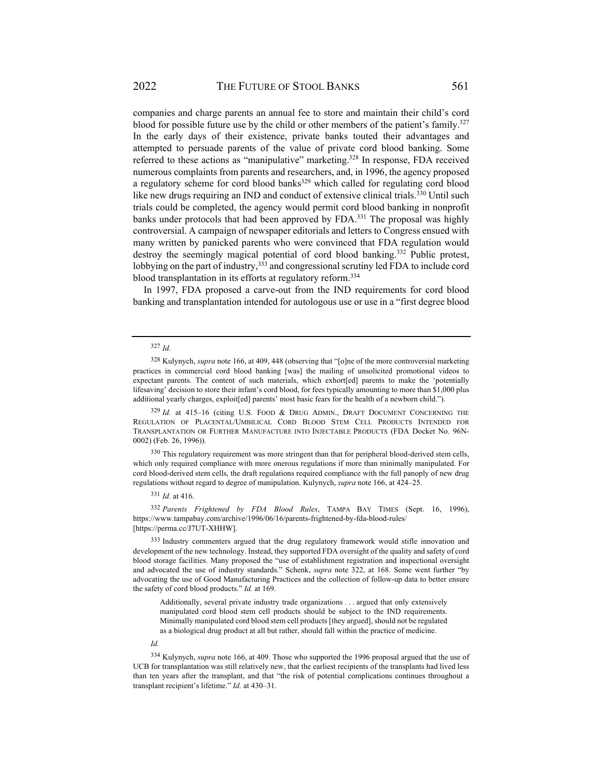companies and charge parents an annual fee to store and maintain their child's cord blood for possible future use by the child or other members of the patient's family.<sup>327</sup> In the early days of their existence, private banks touted their advantages and attempted to persuade parents of the value of private cord blood banking. Some referred to these actions as "manipulative" marketing.<sup>328</sup> In response, FDA received numerous complaints from parents and researchers, and, in 1996, the agency proposed a regulatory scheme for cord blood banks $329$  which called for regulating cord blood like new drugs requiring an IND and conduct of extensive clinical trials.<sup>330</sup> Until such trials could be completed, the agency would permit cord blood banking in nonprofit banks under protocols that had been approved by FDA.<sup>331</sup> The proposal was highly controversial. A campaign of newspaper editorials and letters to Congress ensued with many written by panicked parents who were convinced that FDA regulation would destroy the seemingly magical potential of cord blood banking.<sup>332</sup> Public protest, lobbying on the part of industry,<sup>333</sup> and congressional scrutiny led FDA to include cord blood transplantation in its efforts at regulatory reform.<sup>334</sup>

In 1997, FDA proposed a carve-out from the IND requirements for cord blood banking and transplantation intended for autologous use or use in a "first degree blood

#### <sup>327</sup> *Id.*

328 Kulynych, *supra* note 166, at 409, 448 (observing that "[o]ne of the more controversial marketing practices in commercial cord blood banking [was] the mailing of unsolicited promotional videos to expectant parents. The content of such materials, which exhort[ed] parents to make the 'potentially lifesaving' decision to store their infant's cord blood, for fees typically amounting to more than \$1,000 plus additional yearly charges, exploit[ed] parents' most basic fears for the health of a newborn child.").

<sup>329</sup> *Id.* at 415–16 (citing U.S. FOOD & DRUG ADMIN., DRAFT DOCUMENT CONCERNING THE REGULATION OF PLACENTAL/UMBILICAL CORD BLOOD STEM CELL PRODUCTS INTENDED FOR TRANSPLANTATION OR FURTHER MANUFACTURE INTO INJECTABLE PRODUCTS (FDA Docket No. 96N-0002) (Feb. 26, 1996)).

330 This regulatory requirement was more stringent than that for peripheral blood-derived stem cells, which only required compliance with more onerous regulations if more than minimally manipulated. For cord blood-derived stem cells, the draft regulations required compliance with the full panoply of new drug regulations without regard to degree of manipulation. Kulynych, *supra* note 166, at 424–25.

<sup>331</sup> *Id.* at 416.

<sup>332</sup> *Parents Frightened by FDA Blood Rules*, TAMPA BAY TIMES (Sept. 16, 1996), https://www.tampabay.com/archive/1996/06/16/parents-frightened-by-fda-blood-rules/ [https://perma.cc/J7UT-XHHW].

333 Industry commenters argued that the drug regulatory framework would stifle innovation and development of the new technology. Instead, they supported FDA oversight of the quality and safety of cord blood storage facilities. Many proposed the "use of establishment registration and inspectional oversight and advocated the use of industry standards." Schenk, *supra* note 322, at 168. Some went further "by advocating the use of Good Manufacturing Practices and the collection of follow-up data to better ensure the safety of cord blood products." *Id.* at 169.

Additionally, several private industry trade organizations . . . argued that only extensively manipulated cord blood stem cell products should be subject to the IND requirements. Minimally manipulated cord blood stem cell products [they argued], should not be regulated as a biological drug product at all but rather, should fall within the practice of medicine.

*Id.*

334 Kulynych, *supra* note 166, at 409. Those who supported the 1996 proposal argued that the use of UCB for transplantation was still relatively new, that the earliest recipients of the transplants had lived less than ten years after the transplant, and that "the risk of potential complications continues throughout a transplant recipient's lifetime." *Id.* at 430–31.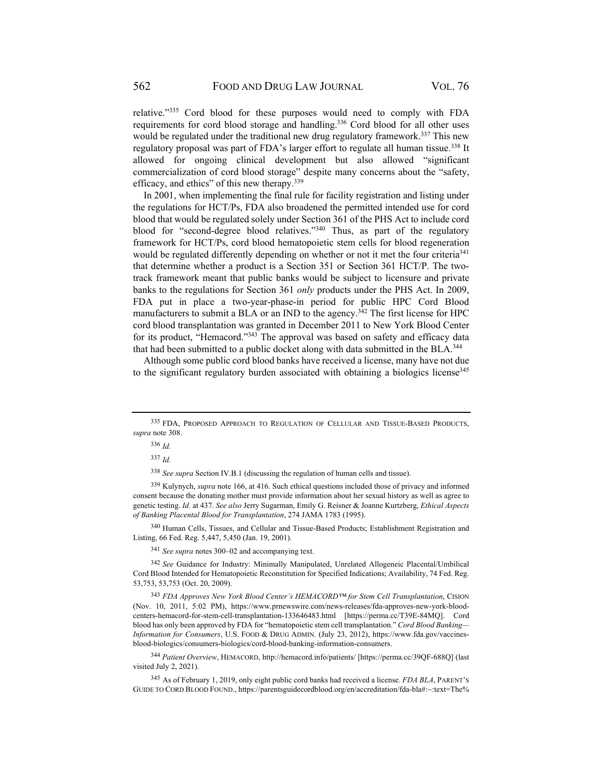relative."335 Cord blood for these purposes would need to comply with FDA requirements for cord blood storage and handling.336 Cord blood for all other uses would be regulated under the traditional new drug regulatory framework.<sup>337</sup> This new regulatory proposal was part of FDA's larger effort to regulate all human tissue.<sup>338</sup> It allowed for ongoing clinical development but also allowed "significant commercialization of cord blood storage" despite many concerns about the "safety, efficacy, and ethics" of this new therapy.339

In 2001, when implementing the final rule for facility registration and listing under the regulations for HCT/Ps, FDA also broadened the permitted intended use for cord blood that would be regulated solely under Section 361 of the PHS Act to include cord blood for "second-degree blood relatives."340 Thus, as part of the regulatory framework for HCT/Ps, cord blood hematopoietic stem cells for blood regeneration would be regulated differently depending on whether or not it met the four criteria<sup>341</sup> that determine whether a product is a Section 351 or Section 361 HCT/P. The twotrack framework meant that public banks would be subject to licensure and private banks to the regulations for Section 361 *only* products under the PHS Act. In 2009, FDA put in place a two-year-phase-in period for public HPC Cord Blood manufacturers to submit a BLA or an IND to the agency.<sup>342</sup> The first license for HPC cord blood transplantation was granted in December 2011 to New York Blood Center for its product, "Hemacord."343 The approval was based on safety and efficacy data that had been submitted to a public docket along with data submitted in the BLA.<sup>344</sup>

Although some public cord blood banks have received a license, many have not due to the significant regulatory burden associated with obtaining a biologics license<sup>345</sup>

<sup>338</sup> *See supra* Section IV.B.1 (discussing the regulation of human cells and tissue).

339 Kulynych, *supra* note 166, at 416. Such ethical questions included those of privacy and informed consent because the donating mother must provide information about her sexual history as well as agree to genetic testing. *Id.* at 437. *See also* Jerry Sugarman, Emily G. Reisner & Joanne Kurtzberg, *Ethical Aspects of Banking Placental Blood for Transplantation*, 274 JAMA 1783 (1995).

340 Human Cells, Tissues, and Cellular and Tissue-Based Products; Establishment Registration and Listing, 66 Fed. Reg. 5,447, 5,450 (Jan. 19, 2001).

<sup>341</sup> *See supra* notes 300–02 and accompanying text.

<sup>342</sup> *See* Guidance for Industry: Minimally Manipulated, Unrelated Allogeneic Placental/Umbilical Cord Blood Intended for Hematopoietic Reconstitution for Specified Indications; Availability, 74 Fed. Reg. 53,753, 53,753 (Oct. 20, 2009).

<sup>343</sup> *FDA Approves New York Blood Center's HEMACORD™ for Stem Cell Transplantation*, CISION (Nov. 10, 2011, 5:02 PM), https://www.prnewswire.com/news-releases/fda-approves-new-york-bloodcenters-hemacord-for-stem-cell-transplantation-133646483.html [https://perma.cc/T39E-84MQ]. Cord blood has only been approved by FDA for "hematopoietic stem cell transplantation." *Cord Blood Banking— Information for Consumers*, U.S. FOOD & DRUG ADMIN. (July 23, 2012), https://www.fda.gov/vaccinesblood-biologics/consumers-biologics/cord-blood-banking-information-consumers.

<sup>344</sup> *Patient Overview*, HEMACORD, http://hemacord.info/patients/ [https://perma.cc/39QF-688Q] (last visited July 2, 2021).

345 As of February 1, 2019, only eight public cord banks had received a license. *FDA BLA*, PARENT'S GUIDE TO CORD BLOOD FOUND., https://parentsguidecordblood.org/en/accreditation/fda-bla#:~:text=The%

<sup>335</sup> FDA, PROPOSED APPROACH TO REGULATION OF CELLULAR AND TISSUE-BASED PRODUCTS, *supra* note 308.

<sup>336</sup> *Id.*

<sup>337</sup> *Id.*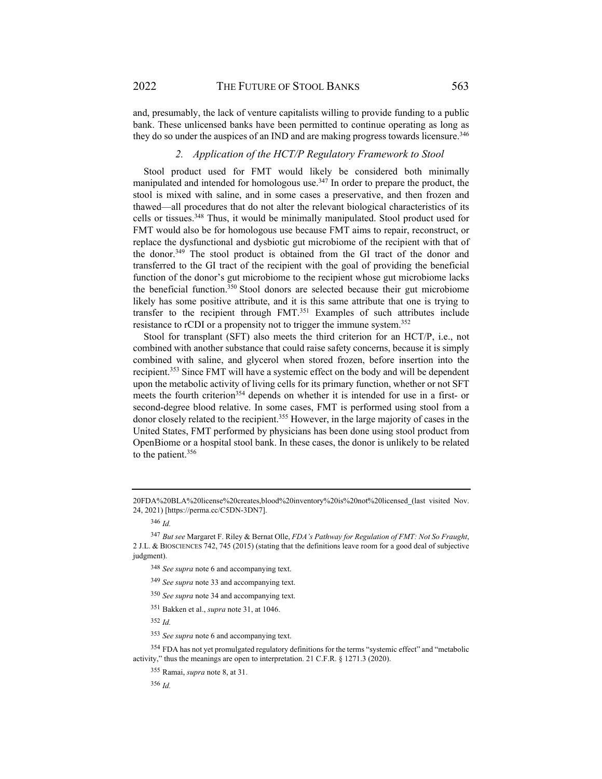and, presumably, the lack of venture capitalists willing to provide funding to a public bank. These unlicensed banks have been permitted to continue operating as long as they do so under the auspices of an IND and are making progress towards licensure.<sup>346</sup>

## *2. Application of the HCT/P Regulatory Framework to Stool*

Stool product used for FMT would likely be considered both minimally manipulated and intended for homologous use.347 In order to prepare the product, the stool is mixed with saline, and in some cases a preservative, and then frozen and thawed—all procedures that do not alter the relevant biological characteristics of its cells or tissues.348 Thus, it would be minimally manipulated. Stool product used for FMT would also be for homologous use because FMT aims to repair, reconstruct, or replace the dysfunctional and dysbiotic gut microbiome of the recipient with that of the donor.349 The stool product is obtained from the GI tract of the donor and transferred to the GI tract of the recipient with the goal of providing the beneficial function of the donor's gut microbiome to the recipient whose gut microbiome lacks the beneficial function.350 Stool donors are selected because their gut microbiome likely has some positive attribute, and it is this same attribute that one is trying to transfer to the recipient through FMT.351 Examples of such attributes include resistance to rCDI or a propensity not to trigger the immune system.352

Stool for transplant (SFT) also meets the third criterion for an HCT/P, i.e., not combined with another substance that could raise safety concerns, because it is simply combined with saline, and glycerol when stored frozen, before insertion into the recipient.<sup>353</sup> Since FMT will have a systemic effect on the body and will be dependent upon the metabolic activity of living cells for its primary function, whether or not SFT meets the fourth criterion<sup>354</sup> depends on whether it is intended for use in a first- or second-degree blood relative. In some cases, FMT is performed using stool from a donor closely related to the recipient.<sup>355</sup> However, in the large majority of cases in the United States, FMT performed by physicians has been done using stool product from OpenBiome or a hospital stool bank. In these cases, the donor is unlikely to be related to the patient.356

<sup>352</sup> *Id.*

<sup>356</sup> *Id.* 

<sup>20</sup>FDA%20BLA%20license%20creates,blood%20inventory%20is%20not%20licensed (last visited Nov. 24, 2021) [https://perma.cc/C5DN-3DN7].

<sup>346</sup> *Id.* 

<sup>347</sup> *But see* Margaret F. Riley & Bernat Olle, *FDA's Pathway for Regulation of FMT: Not So Fraught*, 2 J.L. & BIOSCIENCES 742, 745 (2015) (stating that the definitions leave room for a good deal of subjective judgment).

<sup>348</sup> *See supra* note 6 and accompanying text.

<sup>349</sup> *See supra* note 33 and accompanying text.

<sup>350</sup> *See supra* note 34 and accompanying text.

<sup>351</sup> Bakken et al., *supra* note 31, at 1046.

<sup>353</sup> *See supra* note 6 and accompanying text.

<sup>&</sup>lt;sup>354</sup> FDA has not yet promulgated regulatory definitions for the terms "systemic effect" and "metabolic activity," thus the meanings are open to interpretation. 21 C.F.R. § 1271.3 (2020).

<sup>355</sup> Ramai, *supra* note 8, at 31.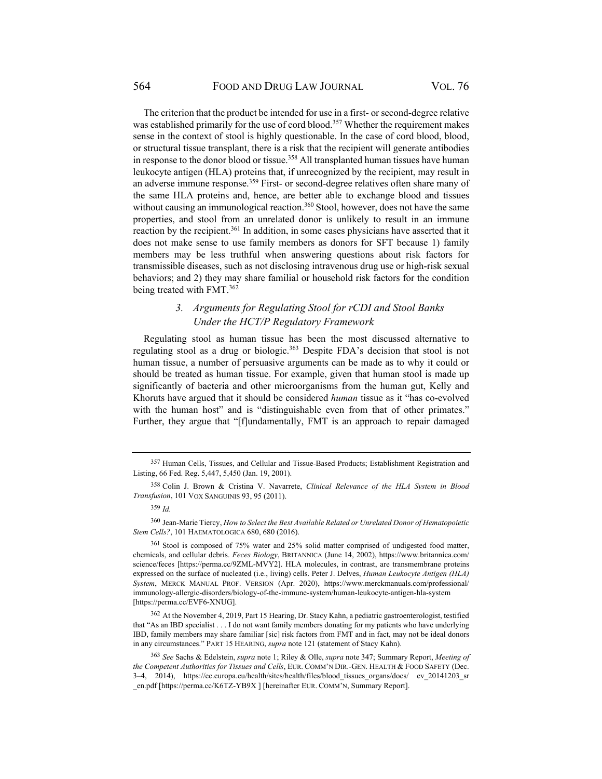The criterion that the product be intended for use in a first- or second-degree relative was established primarily for the use of cord blood.<sup>357</sup> Whether the requirement makes sense in the context of stool is highly questionable. In the case of cord blood, blood, or structural tissue transplant, there is a risk that the recipient will generate antibodies in response to the donor blood or tissue.<sup>358</sup> All transplanted human tissues have human leukocyte antigen (HLA) proteins that, if unrecognized by the recipient, may result in an adverse immune response.<sup>359</sup> First- or second-degree relatives often share many of the same HLA proteins and, hence, are better able to exchange blood and tissues without causing an immunological reaction.<sup>360</sup> Stool, however, does not have the same properties, and stool from an unrelated donor is unlikely to result in an immune reaction by the recipient.<sup>361</sup> In addition, in some cases physicians have asserted that it does not make sense to use family members as donors for SFT because 1) family members may be less truthful when answering questions about risk factors for transmissible diseases, such as not disclosing intravenous drug use or high-risk sexual behaviors; and 2) they may share familial or household risk factors for the condition being treated with FMT.<sup>362</sup>

### *3. Arguments for Regulating Stool for rCDI and Stool Banks Under the HCT/P Regulatory Framework*

Regulating stool as human tissue has been the most discussed alternative to regulating stool as a drug or biologic.<sup>363</sup> Despite FDA's decision that stool is not human tissue, a number of persuasive arguments can be made as to why it could or should be treated as human tissue. For example, given that human stool is made up significantly of bacteria and other microorganisms from the human gut, Kelly and Khoruts have argued that it should be considered *human* tissue as it "has co-evolved with the human host" and is "distinguishable even from that of other primates." Further, they argue that "[f]undamentally, FMT is an approach to repair damaged

<sup>357</sup> Human Cells, Tissues, and Cellular and Tissue-Based Products; Establishment Registration and Listing, 66 Fed. Reg. 5,447, 5,450 (Jan. 19, 2001).

<sup>358</sup> Colin J. Brown & Cristina V. Navarrete, *Clinical Relevance of the HLA System in Blood Transfusion*, 101 VOX SANGUINIS 93, 95 (2011).

<sup>359</sup> *Id.*

<sup>360</sup> Jean-Marie Tiercy, *How to Select the Best Available Related or Unrelated Donor of Hematopoietic Stem Cells?*, 101 HAEMATOLOGICA 680, 680 (2016).

<sup>361</sup> Stool is composed of 75% water and 25% solid matter comprised of undigested food matter, chemicals, and cellular debris. *Feces Biology*, BRITANNICA (June 14, 2002), https://www.britannica.com/ science/feces [https://perma.cc/9ZML-MVY2]. HLA molecules, in contrast, are transmembrane proteins expressed on the surface of nucleated (i.e., living) cells. Peter J. Delves, *Human Leukocyte Antigen (HLA) System*, MERCK MANUAL PROF. VERSION (Apr. 2020), https://www.merckmanuals.com/professional/ immunology-allergic-disorders/biology-of-the-immune-system/human-leukocyte-antigen-hla-system [https://perma.cc/EVF6-XNUG].

<sup>362</sup> At the November 4, 2019, Part 15 Hearing, Dr. Stacy Kahn, a pediatric gastroenterologist, testified that "As an IBD specialist . . . I do not want family members donating for my patients who have underlying IBD, family members may share familiar [sic] risk factors from FMT and in fact, may not be ideal donors in any circumstances." PART 15 HEARING, *supra* note 121 (statement of Stacy Kahn).

<sup>363</sup> *See* Sachs & Edelstein, *supra* note 1; Riley & Olle, *supra* note 347; Summary Report, *Meeting of the Competent Authorities for Tissues and Cells*, EUR. COMM'N DIR.-GEN. HEALTH & FOOD SAFETY (Dec. 3–4, 2014), https://ec.europa.eu/health/sites/health/files/blood\_tissues\_organs/docs/ ev\_20141203\_sr \_en.pdf [https://perma.cc/K6TZ-YB9X ] [hereinafter EUR. COMM'N, Summary Report].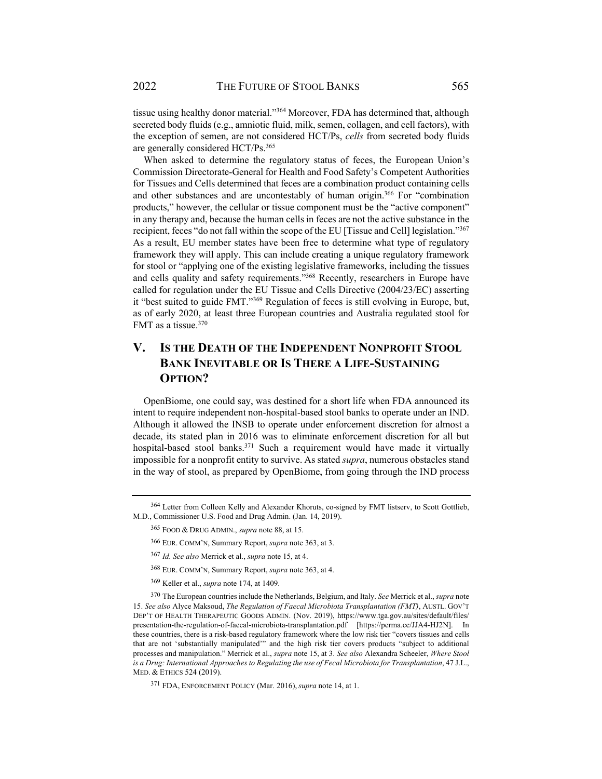tissue using healthy donor material."364 Moreover, FDA has determined that, although secreted body fluids (e.g., amniotic fluid, milk, semen, collagen, and cell factors), with the exception of semen, are not considered HCT/Ps, *cells* from secreted body fluids are generally considered HCT/Ps.<sup>365</sup>

When asked to determine the regulatory status of feces, the European Union's Commission Directorate-General for Health and Food Safety's Competent Authorities for Tissues and Cells determined that feces are a combination product containing cells and other substances and are uncontestably of human origin.<sup>366</sup> For "combination products," however, the cellular or tissue component must be the "active component" in any therapy and, because the human cells in feces are not the active substance in the recipient, feces "do not fall within the scope of the EU [Tissue and Cell] legislation."367 As a result, EU member states have been free to determine what type of regulatory framework they will apply. This can include creating a unique regulatory framework for stool or "applying one of the existing legislative frameworks, including the tissues and cells quality and safety requirements."368 Recently, researchers in Europe have called for regulation under the EU Tissue and Cells Directive (2004/23/EC) asserting it "best suited to guide FMT."369 Regulation of feces is still evolving in Europe, but, as of early 2020, at least three European countries and Australia regulated stool for FMT as a tissue.<sup>370</sup>

# **V. IS THE DEATH OF THE INDEPENDENT NONPROFIT STOOL BANK INEVITABLE OR IS THERE A LIFE-SUSTAINING OPTION?**

OpenBiome, one could say, was destined for a short life when FDA announced its intent to require independent non-hospital-based stool banks to operate under an IND. Although it allowed the INSB to operate under enforcement discretion for almost a decade, its stated plan in 2016 was to eliminate enforcement discretion for all but hospital-based stool banks.<sup>371</sup> Such a requirement would have made it virtually impossible for a nonprofit entity to survive. As stated *supra*, numerous obstacles stand in the way of stool, as prepared by OpenBiome, from going through the IND process

<sup>364</sup> Letter from Colleen Kelly and Alexander Khoruts, co-signed by FMT listserv, to Scott Gottlieb, M.D., Commissioner U.S. Food and Drug Admin. (Jan. 14, 2019).

<sup>365</sup> FOOD & DRUG ADMIN., *supra* note 88, at 15.

<sup>366</sup> EUR. COMM'N, Summary Report, *supra* note 363, at 3.

<sup>367</sup> *Id. See also* Merrick et al., *supra* note 15, at 4.

<sup>368</sup> EUR. COMM'N, Summary Report, *supra* note 363, at 4.

<sup>369</sup> Keller et al., *supra* note 174, at 1409.

<sup>370</sup> The European countries include the Netherlands, Belgium, and Italy. *See* Merrick et al., *supra* note 15. *See also* Alyce Maksoud, *The Regulation of Faecal Microbiota Transplantation (FMT)*, AUSTL. GOV'T DEP'T OF HEALTH THERAPEUTIC GOODS ADMIN. (Nov. 2019), https://www.tga.gov.au/sites/default/files/ presentation-the-regulation-of-faecal-microbiota-transplantation.pdf [https://perma.cc/JJA4-HJ2N]. In these countries, there is a risk-based regulatory framework where the low risk tier "covers tissues and cells that are not 'substantially manipulated'" and the high risk tier covers products "subject to additional processes and manipulation." Merrick et al., *supra* note 15, at 3. *See also* Alexandra Scheeler, *Where Stool is a Drug: International Approaches to Regulating the use of Fecal Microbiota for Transplantation*, 47 J.L., MED. & ETHICS 524 (2019).

<sup>371</sup> FDA, ENFORCEMENT POLICY (Mar. 2016), *supra* note 14, at 1.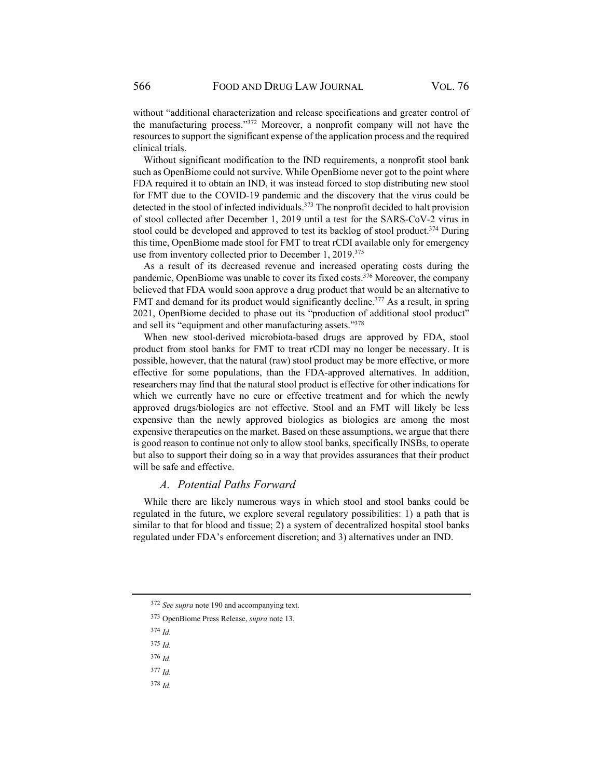without "additional characterization and release specifications and greater control of the manufacturing process."372 Moreover, a nonprofit company will not have the resources to support the significant expense of the application process and the required clinical trials.

Without significant modification to the IND requirements, a nonprofit stool bank such as OpenBiome could not survive. While OpenBiome never got to the point where FDA required it to obtain an IND, it was instead forced to stop distributing new stool for FMT due to the COVID-19 pandemic and the discovery that the virus could be detected in the stool of infected individuals.<sup>373</sup> The nonprofit decided to halt provision of stool collected after December 1, 2019 until a test for the SARS-CoV-2 virus in stool could be developed and approved to test its backlog of stool product.<sup>374</sup> During this time, OpenBiome made stool for FMT to treat rCDI available only for emergency use from inventory collected prior to December 1, 2019.<sup>375</sup>

As a result of its decreased revenue and increased operating costs during the pandemic, OpenBiome was unable to cover its fixed costs.376 Moreover, the company believed that FDA would soon approve a drug product that would be an alternative to FMT and demand for its product would significantly decline.<sup>377</sup> As a result, in spring 2021, OpenBiome decided to phase out its "production of additional stool product" and sell its "equipment and other manufacturing assets."378

When new stool-derived microbiota-based drugs are approved by FDA, stool product from stool banks for FMT to treat rCDI may no longer be necessary. It is possible, however, that the natural (raw) stool product may be more effective, or more effective for some populations, than the FDA-approved alternatives. In addition, researchers may find that the natural stool product is effective for other indications for which we currently have no cure or effective treatment and for which the newly approved drugs/biologics are not effective. Stool and an FMT will likely be less expensive than the newly approved biologics as biologics are among the most expensive therapeutics on the market. Based on these assumptions, we argue that there is good reason to continue not only to allow stool banks, specifically INSBs, to operate but also to support their doing so in a way that provides assurances that their product will be safe and effective.

#### *A. Potential Paths Forward*

While there are likely numerous ways in which stool and stool banks could be regulated in the future, we explore several regulatory possibilities: 1) a path that is similar to that for blood and tissue; 2) a system of decentralized hospital stool banks regulated under FDA's enforcement discretion; and 3) alternatives under an IND.

- <sup>374</sup> *Id.*
- <sup>375</sup> *Id.*
- <sup>376</sup> *Id.*

<sup>378</sup> *Id.*

<sup>372</sup> *See supra* note 190 and accompanying text.

<sup>373</sup> OpenBiome Press Release, *supra* note 13.

<sup>377</sup> *Id.*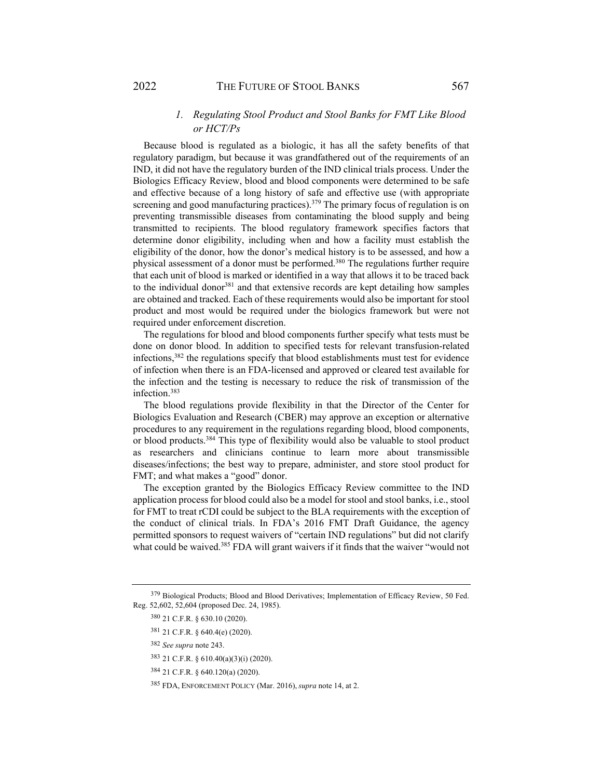### *1. Regulating Stool Product and Stool Banks for FMT Like Blood or HCT/Ps*

Because blood is regulated as a biologic, it has all the safety benefits of that regulatory paradigm, but because it was grandfathered out of the requirements of an IND, it did not have the regulatory burden of the IND clinical trials process. Under the Biologics Efficacy Review, blood and blood components were determined to be safe and effective because of a long history of safe and effective use (with appropriate screening and good manufacturing practices).<sup>379</sup> The primary focus of regulation is on preventing transmissible diseases from contaminating the blood supply and being transmitted to recipients. The blood regulatory framework specifies factors that determine donor eligibility, including when and how a facility must establish the eligibility of the donor, how the donor's medical history is to be assessed, and how a physical assessment of a donor must be performed.380 The regulations further require that each unit of blood is marked or identified in a way that allows it to be traced back to the individual donor<sup>381</sup> and that extensive records are kept detailing how samples are obtained and tracked. Each of these requirements would also be important for stool product and most would be required under the biologics framework but were not required under enforcement discretion.

The regulations for blood and blood components further specify what tests must be done on donor blood. In addition to specified tests for relevant transfusion-related infections,382 the regulations specify that blood establishments must test for evidence of infection when there is an FDA-licensed and approved or cleared test available for the infection and the testing is necessary to reduce the risk of transmission of the infection.383

The blood regulations provide flexibility in that the Director of the Center for Biologics Evaluation and Research (CBER) may approve an exception or alternative procedures to any requirement in the regulations regarding blood, blood components, or blood products.384 This type of flexibility would also be valuable to stool product as researchers and clinicians continue to learn more about transmissible diseases/infections; the best way to prepare, administer, and store stool product for FMT; and what makes a "good" donor.

The exception granted by the Biologics Efficacy Review committee to the IND application process for blood could also be a model for stool and stool banks, i.e., stool for FMT to treat rCDI could be subject to the BLA requirements with the exception of the conduct of clinical trials. In FDA's 2016 FMT Draft Guidance, the agency permitted sponsors to request waivers of "certain IND regulations" but did not clarify what could be waived.<sup>385</sup> FDA will grant waivers if it finds that the waiver "would not

<sup>379</sup> Biological Products; Blood and Blood Derivatives; Implementation of Efficacy Review, 50 Fed. Reg. 52,602, 52,604 (proposed Dec. 24, 1985).

<sup>380 21</sup> C.F.R. § 630.10 (2020).

<sup>381 21</sup> C.F.R. § 640.4(e) (2020).

<sup>382</sup> *See supra* note 243.

<sup>383 21</sup> C.F.R. § 610.40(a)(3)(i) (2020).

<sup>384 21</sup> C.F.R. § 640.120(a) (2020).

<sup>385</sup> FDA, ENFORCEMENT POLICY (Mar. 2016), *supra* note 14, at 2.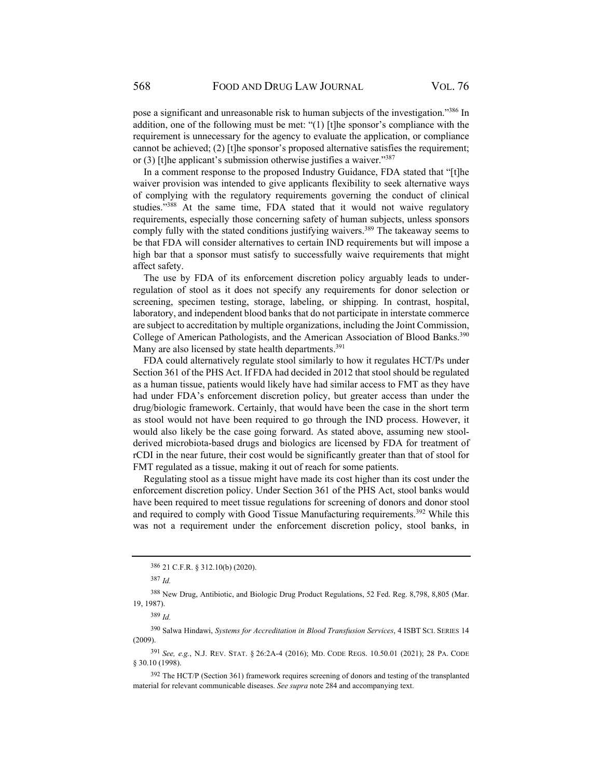pose a significant and unreasonable risk to human subjects of the investigation."386 In addition, one of the following must be met: "(1) [t]he sponsor's compliance with the requirement is unnecessary for the agency to evaluate the application, or compliance cannot be achieved; (2) [t]he sponsor's proposed alternative satisfies the requirement; or (3) [t]he applicant's submission otherwise justifies a waiver."387

In a comment response to the proposed Industry Guidance, FDA stated that "[t]he waiver provision was intended to give applicants flexibility to seek alternative ways of complying with the regulatory requirements governing the conduct of clinical studies."388 At the same time, FDA stated that it would not waive regulatory requirements, especially those concerning safety of human subjects, unless sponsors comply fully with the stated conditions justifying waivers.<sup>389</sup> The takeaway seems to be that FDA will consider alternatives to certain IND requirements but will impose a high bar that a sponsor must satisfy to successfully waive requirements that might affect safety.

The use by FDA of its enforcement discretion policy arguably leads to underregulation of stool as it does not specify any requirements for donor selection or screening, specimen testing, storage, labeling, or shipping. In contrast, hospital, laboratory, and independent blood banks that do not participate in interstate commerce are subject to accreditation by multiple organizations, including the Joint Commission, College of American Pathologists, and the American Association of Blood Banks.<sup>390</sup> Many are also licensed by state health departments.<sup>391</sup>

FDA could alternatively regulate stool similarly to how it regulates HCT/Ps under Section 361 of the PHS Act. If FDA had decided in 2012 that stool should be regulated as a human tissue, patients would likely have had similar access to FMT as they have had under FDA's enforcement discretion policy, but greater access than under the drug/biologic framework. Certainly, that would have been the case in the short term as stool would not have been required to go through the IND process. However, it would also likely be the case going forward. As stated above, assuming new stoolderived microbiota-based drugs and biologics are licensed by FDA for treatment of rCDI in the near future, their cost would be significantly greater than that of stool for FMT regulated as a tissue, making it out of reach for some patients.

Regulating stool as a tissue might have made its cost higher than its cost under the enforcement discretion policy. Under Section 361 of the PHS Act, stool banks would have been required to meet tissue regulations for screening of donors and donor stool and required to comply with Good Tissue Manufacturing requirements.<sup>392</sup> While this was not a requirement under the enforcement discretion policy, stool banks, in

390 Salwa Hindawi, *Systems for Accreditation in Blood Transfusion Services*, 4 ISBT SCI. SERIES 14 (2009).

<sup>391</sup> *See, e.g.*, N.J. REV. STAT. § 26:2A-4 (2016); MD. CODE REGS. 10.50.01 (2021); 28 PA. CODE § 30.10 (1998).

<sup>392</sup> The HCT/P (Section 361) framework requires screening of donors and testing of the transplanted material for relevant communicable diseases. *See supra* note 284 and accompanying text.

<sup>386 21</sup> C.F.R. § 312.10(b) (2020).

<sup>387</sup> *Id.* 

<sup>388</sup> New Drug, Antibiotic, and Biologic Drug Product Regulations, 52 Fed. Reg. 8,798, 8,805 (Mar. 19, 1987).

<sup>389</sup> *Id.*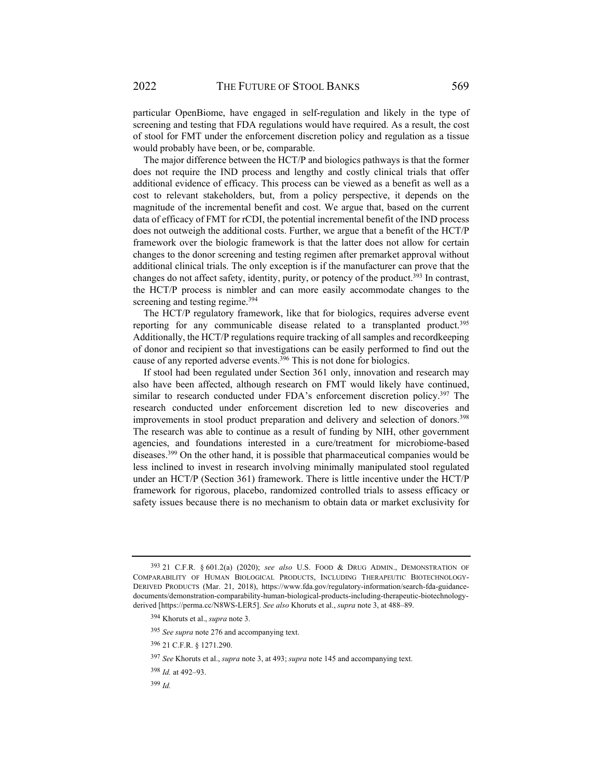particular OpenBiome, have engaged in self-regulation and likely in the type of screening and testing that FDA regulations would have required. As a result, the cost of stool for FMT under the enforcement discretion policy and regulation as a tissue would probably have been, or be, comparable.

The major difference between the HCT/P and biologics pathways is that the former does not require the IND process and lengthy and costly clinical trials that offer additional evidence of efficacy. This process can be viewed as a benefit as well as a cost to relevant stakeholders, but, from a policy perspective, it depends on the magnitude of the incremental benefit and cost. We argue that, based on the current data of efficacy of FMT for rCDI, the potential incremental benefit of the IND process does not outweigh the additional costs. Further, we argue that a benefit of the HCT/P framework over the biologic framework is that the latter does not allow for certain changes to the donor screening and testing regimen after premarket approval without additional clinical trials. The only exception is if the manufacturer can prove that the changes do not affect safety, identity, purity, or potency of the product.<sup>393</sup> In contrast, the HCT/P process is nimbler and can more easily accommodate changes to the screening and testing regime.<sup>394</sup>

The HCT/P regulatory framework, like that for biologics, requires adverse event reporting for any communicable disease related to a transplanted product.<sup>395</sup> Additionally, the HCT/P regulations require tracking of all samples and recordkeeping of donor and recipient so that investigations can be easily performed to find out the cause of any reported adverse events. $396$  This is not done for biologics.

If stool had been regulated under Section 361 only, innovation and research may also have been affected, although research on FMT would likely have continued, similar to research conducted under FDA's enforcement discretion policy.<sup>397</sup> The research conducted under enforcement discretion led to new discoveries and improvements in stool product preparation and delivery and selection of donors.<sup>398</sup> The research was able to continue as a result of funding by NIH, other government agencies, and foundations interested in a cure/treatment for microbiome-based diseases.399 On the other hand, it is possible that pharmaceutical companies would be less inclined to invest in research involving minimally manipulated stool regulated under an HCT/P (Section 361) framework. There is little incentive under the HCT/P framework for rigorous, placebo, randomized controlled trials to assess efficacy or safety issues because there is no mechanism to obtain data or market exclusivity for

- <sup>395</sup> *See supra* note 276 and accompanying text.
- 396 21 C.F.R. § 1271.290.
- <sup>397</sup> *See* Khoruts et al., *supra* note 3, at 493; *supra* note 145 and accompanying text.
- <sup>398</sup> *Id.* at 492–93.
- <sup>399</sup> *Id.*

<sup>393 21</sup> C.F.R. § 601.2(a) (2020); *see also* U.S. FOOD & DRUG ADMIN., DEMONSTRATION OF COMPARABILITY OF HUMAN BIOLOGICAL PRODUCTS, INCLUDING THERAPEUTIC BIOTECHNOLOGY-DERIVED PRODUCTS (Mar. 21, 2018), https://www.fda.gov/regulatory-information/search-fda-guidancedocuments/demonstration-comparability-human-biological-products-including-therapeutic-biotechnologyderived [https://perma.cc/N8WS-LER5]. *See also* Khoruts et al., *supra* note 3, at 488–89.

<sup>394</sup> Khoruts et al., *supra* note 3.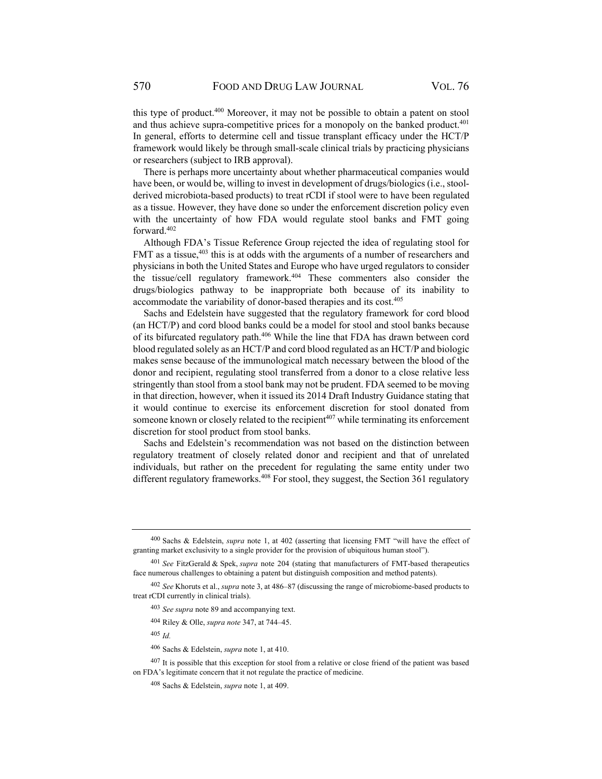this type of product.400 Moreover, it may not be possible to obtain a patent on stool and thus achieve supra-competitive prices for a monopoly on the banked product. $401$ In general, efforts to determine cell and tissue transplant efficacy under the HCT/P framework would likely be through small-scale clinical trials by practicing physicians or researchers (subject to IRB approval).

There is perhaps more uncertainty about whether pharmaceutical companies would have been, or would be, willing to invest in development of drugs/biologics (i.e., stoolderived microbiota-based products) to treat rCDI if stool were to have been regulated as a tissue. However, they have done so under the enforcement discretion policy even with the uncertainty of how FDA would regulate stool banks and FMT going forward.402

Although FDA's Tissue Reference Group rejected the idea of regulating stool for FMT as a tissue,<sup>403</sup> this is at odds with the arguments of a number of researchers and physicians in both the United States and Europe who have urged regulators to consider the tissue/cell regulatory framework.404 These commenters also consider the drugs/biologics pathway to be inappropriate both because of its inability to accommodate the variability of donor-based therapies and its cost.<sup>405</sup>

Sachs and Edelstein have suggested that the regulatory framework for cord blood (an HCT/P) and cord blood banks could be a model for stool and stool banks because of its bifurcated regulatory path.406 While the line that FDA has drawn between cord blood regulated solely as an HCT/P and cord blood regulated as an HCT/P and biologic makes sense because of the immunological match necessary between the blood of the donor and recipient, regulating stool transferred from a donor to a close relative less stringently than stool from a stool bank may not be prudent. FDA seemed to be moving in that direction, however, when it issued its 2014 Draft Industry Guidance stating that it would continue to exercise its enforcement discretion for stool donated from someone known or closely related to the recipient $407$  while terminating its enforcement discretion for stool product from stool banks.

Sachs and Edelstein's recommendation was not based on the distinction between regulatory treatment of closely related donor and recipient and that of unrelated individuals, but rather on the precedent for regulating the same entity under two different regulatory frameworks.<sup>408</sup> For stool, they suggest, the Section 361 regulatory

<sup>405</sup> *Id.* 

<sup>400</sup> Sachs & Edelstein, *supra* note 1, at 402 (asserting that licensing FMT "will have the effect of granting market exclusivity to a single provider for the provision of ubiquitous human stool").

<sup>401</sup> *See* FitzGerald & Spek, *supra* note 204 (stating that manufacturers of FMT-based therapeutics face numerous challenges to obtaining a patent but distinguish composition and method patents).

<sup>402</sup> *See* Khoruts et al., *supra* note 3, at 486–87 (discussing the range of microbiome-based products to treat rCDI currently in clinical trials).

<sup>403</sup> *See supra* note 89 and accompanying text.

<sup>404</sup> Riley & Olle, *supra note* 347, at 744–45.

<sup>406</sup> Sachs & Edelstein, *supra* note 1, at 410.

 $407$  It is possible that this exception for stool from a relative or close friend of the patient was based on FDA's legitimate concern that it not regulate the practice of medicine.

<sup>408</sup> Sachs & Edelstein, *supra* note 1, at 409.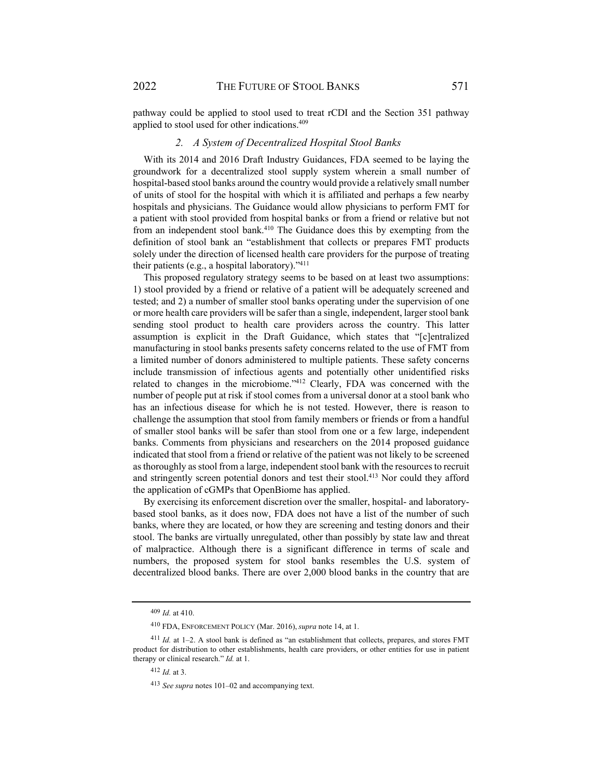pathway could be applied to stool used to treat rCDI and the Section 351 pathway applied to stool used for other indications.409

#### *2. A System of Decentralized Hospital Stool Banks*

With its 2014 and 2016 Draft Industry Guidances, FDA seemed to be laying the groundwork for a decentralized stool supply system wherein a small number of hospital-based stool banks around the country would provide a relatively small number of units of stool for the hospital with which it is affiliated and perhaps a few nearby hospitals and physicians. The Guidance would allow physicians to perform FMT for a patient with stool provided from hospital banks or from a friend or relative but not from an independent stool bank.<sup>410</sup> The Guidance does this by exempting from the definition of stool bank an "establishment that collects or prepares FMT products solely under the direction of licensed health care providers for the purpose of treating their patients (e.g., a hospital laboratory)."411

This proposed regulatory strategy seems to be based on at least two assumptions: 1) stool provided by a friend or relative of a patient will be adequately screened and tested; and 2) a number of smaller stool banks operating under the supervision of one or more health care providers will be safer than a single, independent, larger stool bank sending stool product to health care providers across the country. This latter assumption is explicit in the Draft Guidance, which states that "[c]entralized manufacturing in stool banks presents safety concerns related to the use of FMT from a limited number of donors administered to multiple patients. These safety concerns include transmission of infectious agents and potentially other unidentified risks related to changes in the microbiome."412 Clearly, FDA was concerned with the number of people put at risk if stool comes from a universal donor at a stool bank who has an infectious disease for which he is not tested. However, there is reason to challenge the assumption that stool from family members or friends or from a handful of smaller stool banks will be safer than stool from one or a few large, independent banks. Comments from physicians and researchers on the 2014 proposed guidance indicated that stool from a friend or relative of the patient was not likely to be screened as thoroughly as stool from a large, independent stool bank with the resources to recruit and stringently screen potential donors and test their stool.413 Nor could they afford the application of cGMPs that OpenBiome has applied.

By exercising its enforcement discretion over the smaller, hospital- and laboratorybased stool banks, as it does now, FDA does not have a list of the number of such banks, where they are located, or how they are screening and testing donors and their stool. The banks are virtually unregulated, other than possibly by state law and threat of malpractice. Although there is a significant difference in terms of scale and numbers, the proposed system for stool banks resembles the U.S. system of decentralized blood banks. There are over 2,000 blood banks in the country that are

<sup>409</sup> *Id.* at 410.

<sup>410</sup> FDA, ENFORCEMENT POLICY (Mar. 2016), *supra* note 14, at 1.

<sup>411</sup> Id. at 1-2. A stool bank is defined as "an establishment that collects, prepares, and stores FMT product for distribution to other establishments, health care providers, or other entities for use in patient therapy or clinical research." *Id.* at 1.

<sup>412</sup> *Id.* at 3.

<sup>413</sup> *See supra* notes 101–02 and accompanying text.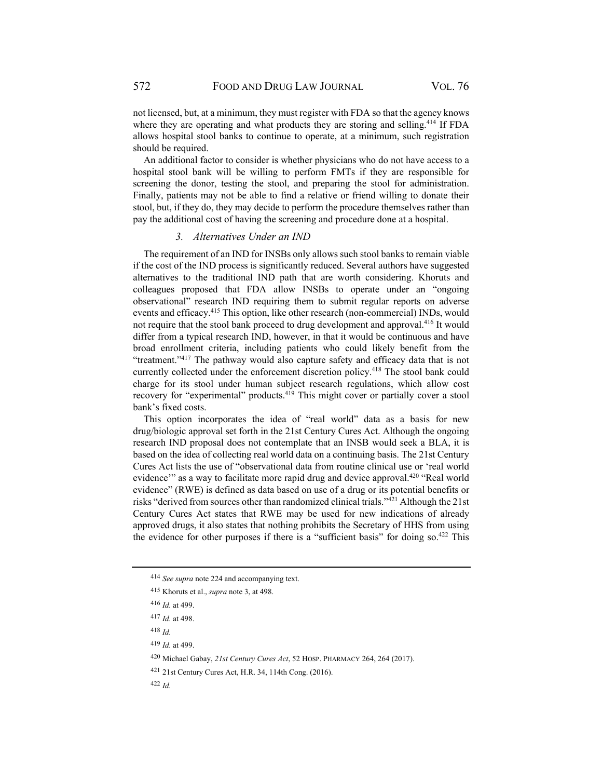not licensed, but, at a minimum, they must register with FDA so that the agency knows where they are operating and what products they are storing and selling.<sup>414</sup> If FDA allows hospital stool banks to continue to operate, at a minimum, such registration should be required.

An additional factor to consider is whether physicians who do not have access to a hospital stool bank will be willing to perform FMTs if they are responsible for screening the donor, testing the stool, and preparing the stool for administration. Finally, patients may not be able to find a relative or friend willing to donate their stool, but, if they do, they may decide to perform the procedure themselves rather than pay the additional cost of having the screening and procedure done at a hospital.

#### *3. Alternatives Under an IND*

The requirement of an IND for INSBs only allows such stool banks to remain viable if the cost of the IND process is significantly reduced. Several authors have suggested alternatives to the traditional IND path that are worth considering. Khoruts and colleagues proposed that FDA allow INSBs to operate under an "ongoing observational" research IND requiring them to submit regular reports on adverse events and efficacy.415 This option, like other research (non-commercial) INDs, would not require that the stool bank proceed to drug development and approval.416 It would differ from a typical research IND, however, in that it would be continuous and have broad enrollment criteria, including patients who could likely benefit from the "treatment."417 The pathway would also capture safety and efficacy data that is not currently collected under the enforcement discretion policy.418 The stool bank could charge for its stool under human subject research regulations, which allow cost recovery for "experimental" products.419 This might cover or partially cover a stool bank's fixed costs.

This option incorporates the idea of "real world" data as a basis for new drug/biologic approval set forth in the 21st Century Cures Act. Although the ongoing research IND proposal does not contemplate that an INSB would seek a BLA, it is based on the idea of collecting real world data on a continuing basis. The 21st Century Cures Act lists the use of "observational data from routine clinical use or 'real world evidence" as a way to facilitate more rapid drug and device approval.<sup>420</sup> "Real world evidence" (RWE) is defined as data based on use of a drug or its potential benefits or risks "derived from sources other than randomized clinical trials."421 Although the 21st Century Cures Act states that RWE may be used for new indications of already approved drugs, it also states that nothing prohibits the Secretary of HHS from using the evidence for other purposes if there is a "sufficient basis" for doing so.<sup>422</sup> This

<sup>414</sup> *See supra* note 224 and accompanying text.

<sup>415</sup> Khoruts et al., *supra* note 3, at 498.

<sup>416</sup> *Id.* at 499.

<sup>417</sup> *Id.* at 498.

<sup>418</sup> *Id.* 

<sup>419</sup> *Id.* at 499.

<sup>420</sup> Michael Gabay, *21st Century Cures Act*, 52 HOSP. PHARMACY 264, 264 (2017).

<sup>421 21</sup>st Century Cures Act, H.R. 34, 114th Cong. (2016).

<sup>422</sup> *Id.*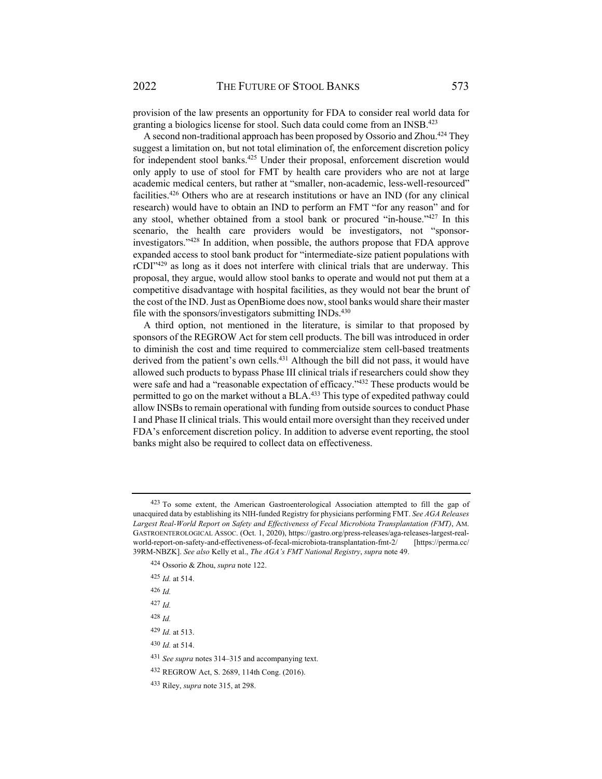provision of the law presents an opportunity for FDA to consider real world data for granting a biologics license for stool. Such data could come from an INSB.<sup>423</sup>

A second non-traditional approach has been proposed by Ossorio and Zhou.<sup>424</sup> They suggest a limitation on, but not total elimination of, the enforcement discretion policy for independent stool banks.<sup>425</sup> Under their proposal, enforcement discretion would only apply to use of stool for FMT by health care providers who are not at large academic medical centers, but rather at "smaller, non-academic, less-well-resourced" facilities.426 Others who are at research institutions or have an IND (for any clinical research) would have to obtain an IND to perform an FMT "for any reason" and for any stool, whether obtained from a stool bank or procured "in-house."<sup>427</sup> In this scenario, the health care providers would be investigators, not "sponsorinvestigators."428 In addition, when possible, the authors propose that FDA approve expanded access to stool bank product for "intermediate-size patient populations with rCDI"<sup>429</sup> as long as it does not interfere with clinical trials that are underway. This proposal, they argue, would allow stool banks to operate and would not put them at a competitive disadvantage with hospital facilities, as they would not bear the brunt of the cost of the IND. Just as OpenBiome does now, stool banks would share their master file with the sponsors/investigators submitting INDs.<sup>430</sup>

A third option, not mentioned in the literature, is similar to that proposed by sponsors of the REGROW Act for stem cell products. The bill was introduced in order to diminish the cost and time required to commercialize stem cell-based treatments derived from the patient's own cells.<sup>431</sup> Although the bill did not pass, it would have allowed such products to bypass Phase III clinical trials if researchers could show they were safe and had a "reasonable expectation of efficacy."432 These products would be permitted to go on the market without a BLA.433 This type of expedited pathway could allow INSBs to remain operational with funding from outside sources to conduct Phase I and Phase II clinical trials. This would entail more oversight than they received under FDA's enforcement discretion policy. In addition to adverse event reporting, the stool banks might also be required to collect data on effectiveness.

- <sup>425</sup> *Id.* at 514.
- <sup>426</sup> *Id.*

<sup>423</sup> To some extent, the American Gastroenterological Association attempted to fill the gap of unacquired data by establishing its NIH-funded Registry for physicians performing FMT. *See AGA Releases Largest Real-World Report on Safety and Effectiveness of Fecal Microbiota Transplantation (FMT)*, AM. GASTROENTEROLOGICAL ASSOC. (Oct. 1, 2020), https://gastro.org/press-releases/aga-releases-largest-realworld-report-on-safety-and-effectiveness-of-fecal-microbiota-transplantation-fmt-2/ [https://perma.cc/ 39RM-NBZK]. *See also* Kelly et al., *The AGA's FMT National Registry*, *supra* note 49.

<sup>424</sup> Ossorio & Zhou, *supra* note 122.

<sup>427</sup> *Id.*

<sup>428</sup> *Id.* 

<sup>429</sup> *Id.* at 513.

<sup>430</sup> *Id.* at 514.

<sup>431</sup> *See supra* notes 314–315 and accompanying text.

<sup>432</sup> REGROW Act, S. 2689, 114th Cong. (2016).

<sup>433</sup> Riley, *supra* note 315, at 298.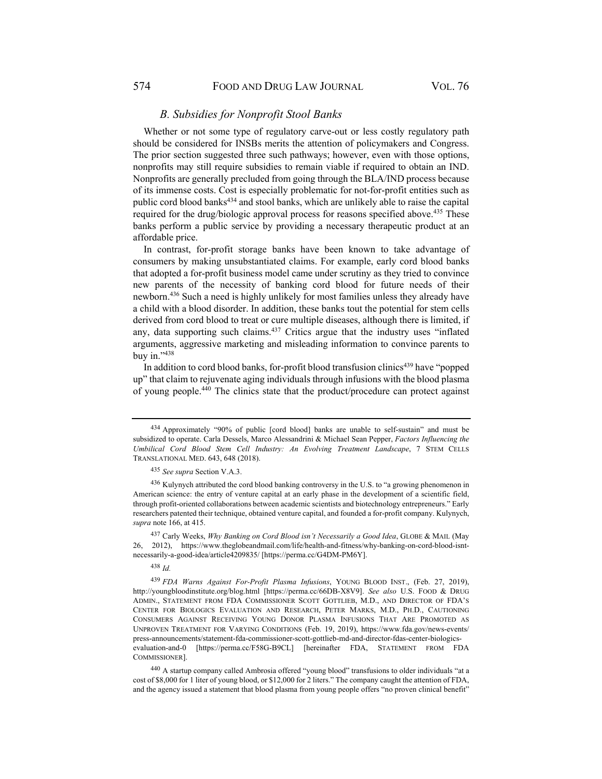### *B. Subsidies for Nonprofit Stool Banks*

Whether or not some type of regulatory carve-out or less costly regulatory path should be considered for INSBs merits the attention of policymakers and Congress. The prior section suggested three such pathways; however, even with those options, nonprofits may still require subsidies to remain viable if required to obtain an IND. Nonprofits are generally precluded from going through the BLA/IND process because of its immense costs. Cost is especially problematic for not-for-profit entities such as public cord blood banks<sup>434</sup> and stool banks, which are unlikely able to raise the capital required for the drug/biologic approval process for reasons specified above.<sup>435</sup> These banks perform a public service by providing a necessary therapeutic product at an affordable price.

In contrast, for-profit storage banks have been known to take advantage of consumers by making unsubstantiated claims. For example, early cord blood banks that adopted a for-profit business model came under scrutiny as they tried to convince new parents of the necessity of banking cord blood for future needs of their newborn.436 Such a need is highly unlikely for most families unless they already have a child with a blood disorder. In addition, these banks tout the potential for stem cells derived from cord blood to treat or cure multiple diseases, although there is limited, if any, data supporting such claims.437 Critics argue that the industry uses "inflated arguments, aggressive marketing and misleading information to convince parents to buy in."438

In addition to cord blood banks, for-profit blood transfusion clinics<sup>439</sup> have "popped up" that claim to rejuvenate aging individuals through infusions with the blood plasma of young people.440 The clinics state that the product/procedure can protect against

<sup>438</sup> *Id.* 

<sup>434</sup> Approximately "90% of public [cord blood] banks are unable to self-sustain" and must be subsidized to operate. Carla Dessels, Marco Alessandrini & Michael Sean Pepper, *Factors Influencing the Umbilical Cord Blood Stem Cell Industry: An Evolving Treatment Landscape*, 7 STEM CELLS TRANSLATIONAL MED. 643, 648 (2018).

<sup>435</sup> *See supra* Section V.A.3.

<sup>&</sup>lt;sup>436</sup> Kulynych attributed the cord blood banking controversy in the U.S. to "a growing phenomenon in American science: the entry of venture capital at an early phase in the development of a scientific field, through profit-oriented collaborations between academic scientists and biotechnology entrepreneurs." Early researchers patented their technique, obtained venture capital, and founded a for-profit company. Kulynych, *supra* note 166, at 415.

<sup>437</sup> Carly Weeks, *Why Banking on Cord Blood isn't Necessarily a Good Idea*, GLOBE & MAIL (May 26, 2012), https://www.theglobeandmail.com/life/health-and-fitness/why-banking-on-cord-blood-isntnecessarily-a-good-idea/article4209835/ [https://perma.cc/G4DM-PM6Y].

<sup>439</sup> *FDA Warns Against For-Profit Plasma Infusions*, YOUNG BLOOD INST., (Feb. 27, 2019), http://youngbloodinstitute.org/blog.html [https://perma.cc/66DB-X8V9]. *See also* U.S. FOOD & DRUG ADMIN., STATEMENT FROM FDA COMMISSIONER SCOTT GOTTLIEB, M.D., AND DIRECTOR OF FDA'S CENTER FOR BIOLOGICS EVALUATION AND RESEARCH, PETER MARKS, M.D., PH.D., CAUTIONING CONSUMERS AGAINST RECEIVING YOUNG DONOR PLASMA INFUSIONS THAT ARE PROMOTED AS UNPROVEN TREATMENT FOR VARYING CONDITIONS (Feb. 19, 2019), https://www.fda.gov/news-events/ press-announcements/statement-fda-commissioner-scott-gottlieb-md-and-director-fdas-center-biologicsevaluation-and-0 [https://perma.cc/F58G-B9CL] [hereinafter FDA, STATEMENT FROM FDA COMMISSIONER].

<sup>440</sup> A startup company called Ambrosia offered "young blood" transfusions to older individuals "at a cost of \$8,000 for 1 liter of young blood, or \$12,000 for 2 liters." The company caught the attention of FDA, and the agency issued a statement that blood plasma from young people offers "no proven clinical benefit"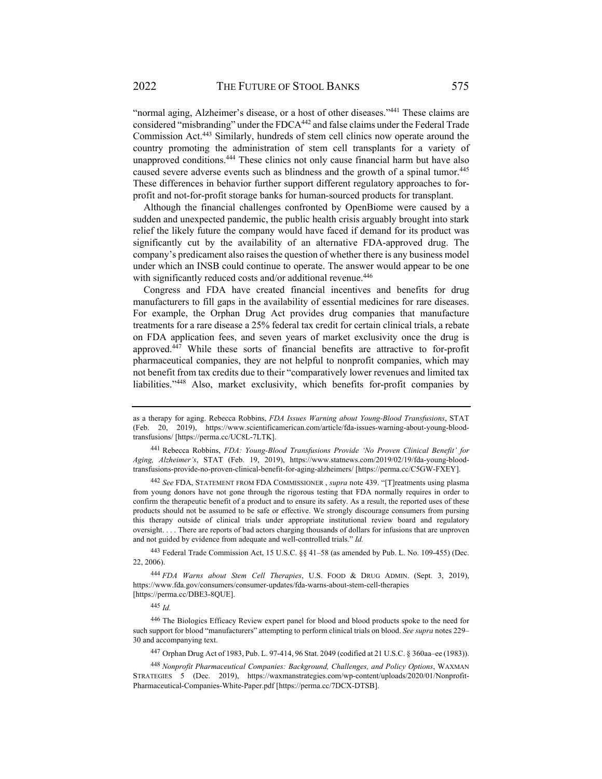"normal aging, Alzheimer's disease, or a host of other diseases."441 These claims are considered "misbranding" under the FDCA<sup>442</sup> and false claims under the Federal Trade Commission Act.443 Similarly, hundreds of stem cell clinics now operate around the country promoting the administration of stem cell transplants for a variety of unapproved conditions.444 These clinics not only cause financial harm but have also caused severe adverse events such as blindness and the growth of a spinal tumor.<sup>445</sup> These differences in behavior further support different regulatory approaches to forprofit and not-for-profit storage banks for human-sourced products for transplant.

Although the financial challenges confronted by OpenBiome were caused by a sudden and unexpected pandemic, the public health crisis arguably brought into stark relief the likely future the company would have faced if demand for its product was significantly cut by the availability of an alternative FDA-approved drug. The company's predicament also raises the question of whether there is any business model under which an INSB could continue to operate. The answer would appear to be one with significantly reduced costs and/or additional revenue.<sup>446</sup>

Congress and FDA have created financial incentives and benefits for drug manufacturers to fill gaps in the availability of essential medicines for rare diseases. For example, the Orphan Drug Act provides drug companies that manufacture treatments for a rare disease a 25% federal tax credit for certain clinical trials, a rebate on FDA application fees, and seven years of market exclusivity once the drug is approved.447 While these sorts of financial benefits are attractive to for-profit pharmaceutical companies, they are not helpful to nonprofit companies, which may not benefit from tax credits due to their "comparatively lower revenues and limited tax liabilities."448 Also, market exclusivity, which benefits for-profit companies by

<sup>442</sup> *See* FDA, STATEMENT FROM FDA COMMISSIONER , *supra* note 439. "[T]reatments using plasma from young donors have not gone through the rigorous testing that FDA normally requires in order to confirm the therapeutic benefit of a product and to ensure its safety. As a result, the reported uses of these products should not be assumed to be safe or effective. We strongly discourage consumers from pursing this therapy outside of clinical trials under appropriate institutional review board and regulatory oversight. . . . There are reports of bad actors charging thousands of dollars for infusions that are unproven and not guided by evidence from adequate and well-controlled trials." *Id.*

443 Federal Trade Commission Act, 15 U.S.C. §§ 41–58 (as amended by Pub. L. No. 109-455) (Dec. 22, 2006).

<sup>444</sup> *FDA Warns about Stem Cell Therapies*, U.S. FOOD & DRUG ADMIN. (Sept. 3, 2019), https://www.fda.gov/consumers/consumer-updates/fda-warns-about-stem-cell-therapies [https://perma.cc/DBE3-8QUE].

<sup>445</sup> *Id.*

446 The Biologics Efficacy Review expert panel for blood and blood products spoke to the need for such support for blood "manufacturers" attempting to perform clinical trials on blood. *See supra* notes 229– 30 and accompanying text.

447 Orphan Drug Act of 1983, Pub. L. 97-414, 96 Stat. 2049 (codified at 21 U.S.C. § 360aa–ee (1983)).

<sup>448</sup> *Nonprofit Pharmaceutical Companies: Background, Challenges, and Policy Options*, WAXMAN STRATEGIES 5 (Dec. 2019), https://waxmanstrategies.com/wp-content/uploads/2020/01/Nonprofit-Pharmaceutical-Companies-White-Paper.pdf [https://perma.cc/7DCX-DTSB].

as a therapy for aging. Rebecca Robbins, *FDA Issues Warning about Young-Blood Transfusions*, STAT (Feb. 20, 2019), https://www.scientificamerican.com/article/fda-issues-warning-about-young-bloodtransfusions/ [https://perma.cc/UC8L-7LTK].

<sup>441</sup> Rebecca Robbins, *FDA: Young-Blood Transfusions Provide 'No Proven Clinical Benefit' for Aging, Alzheimer's*, STAT (Feb. 19, 2019), https://www.statnews.com/2019/02/19/fda-young-bloodtransfusions-provide-no-proven-clinical-benefit-for-aging-alzheimers/ [https://perma.cc/C5GW-FXEY].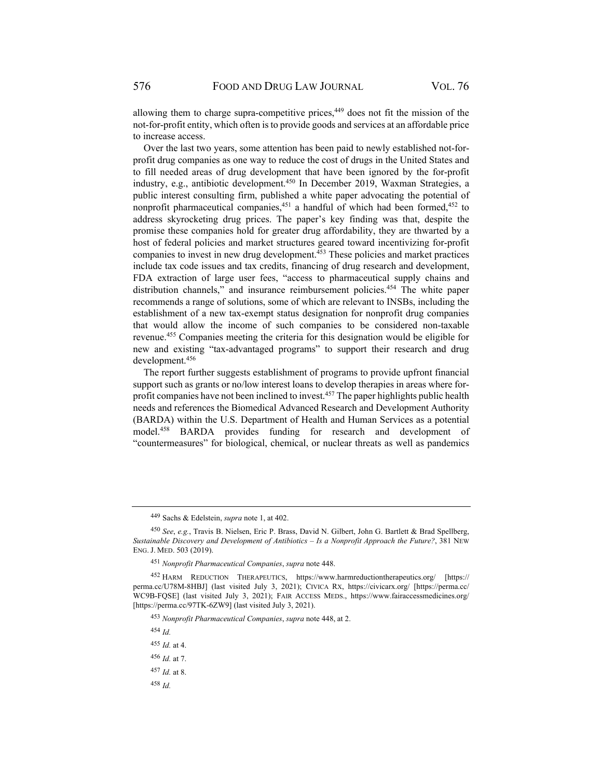allowing them to charge supra-competitive prices,<sup>449</sup> does not fit the mission of the not-for-profit entity, which often is to provide goods and services at an affordable price to increase access.

Over the last two years, some attention has been paid to newly established not-forprofit drug companies as one way to reduce the cost of drugs in the United States and to fill needed areas of drug development that have been ignored by the for-profit industry, e.g., antibiotic development.450 In December 2019, Waxman Strategies, a public interest consulting firm, published a white paper advocating the potential of nonprofit pharmaceutical companies,  $451$  a handful of which had been formed,  $452$  to address skyrocketing drug prices. The paper's key finding was that, despite the promise these companies hold for greater drug affordability, they are thwarted by a host of federal policies and market structures geared toward incentivizing for-profit companies to invest in new drug development.453 These policies and market practices include tax code issues and tax credits, financing of drug research and development, FDA extraction of large user fees, "access to pharmaceutical supply chains and distribution channels," and insurance reimbursement policies.<sup>454</sup> The white paper recommends a range of solutions, some of which are relevant to INSBs, including the establishment of a new tax-exempt status designation for nonprofit drug companies that would allow the income of such companies to be considered non-taxable revenue.455 Companies meeting the criteria for this designation would be eligible for new and existing "tax-advantaged programs" to support their research and drug development.456

The report further suggests establishment of programs to provide upfront financial support such as grants or no/low interest loans to develop therapies in areas where forprofit companies have not been inclined to invest.457 The paper highlights public health needs and references the Biomedical Advanced Research and Development Authority (BARDA) within the U.S. Department of Health and Human Services as a potential model.458 BARDA provides funding for research and development of "countermeasures" for biological, chemical, or nuclear threats as well as pandemics

<sup>454</sup> *Id.*

<sup>455</sup> *Id.* at 4.

<sup>456</sup> *Id.* at 7.

<sup>458</sup> *Id.*

<sup>449</sup> Sachs & Edelstein, *supra* note 1, at 402.

<sup>450</sup> *See*, *e.g.*, Travis B. Nielsen, Eric P. Brass, David N. Gilbert, John G. Bartlett & Brad Spellberg, *Sustainable Discovery and Development of Antibiotics – Is a Nonprofit Approach the Future?*, 381 NEW ENG. J. MED. 503 (2019).

<sup>451</sup> *Nonprofit Pharmaceutical Companies*, *supra* note 448.

<sup>452</sup> HARM REDUCTION THERAPEUTICS, https://www.harmreductiontherapeutics.org/ [https:// perma.cc/U78M-8HBJ] (last visited July 3, 2021); CIVICA RX, https://civicarx.org/ [https://perma.cc/ WC9B-FQSE] (last visited July 3, 2021); FAIR ACCESS MEDS., https://www.fairaccessmedicines.org/ [https://perma.cc/97TK-6ZW9] (last visited July 3, 2021).

<sup>453</sup> *Nonprofit Pharmaceutical Companies*, *supra* note 448, at 2.

<sup>457</sup> *Id.* at 8.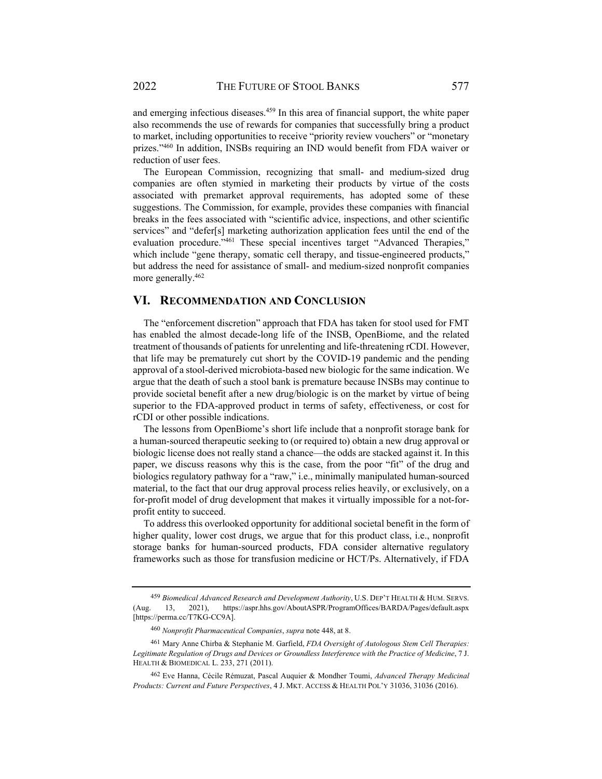and emerging infectious diseases.459 In this area of financial support, the white paper also recommends the use of rewards for companies that successfully bring a product to market, including opportunities to receive "priority review vouchers" or "monetary prizes."460 In addition, INSBs requiring an IND would benefit from FDA waiver or reduction of user fees.

The European Commission, recognizing that small- and medium-sized drug companies are often stymied in marketing their products by virtue of the costs associated with premarket approval requirements, has adopted some of these suggestions. The Commission, for example, provides these companies with financial breaks in the fees associated with "scientific advice, inspections, and other scientific services" and "defer[s] marketing authorization application fees until the end of the evaluation procedure."<sup>461</sup> These special incentives target "Advanced Therapies," which include "gene therapy, somatic cell therapy, and tissue-engineered products," but address the need for assistance of small- and medium-sized nonprofit companies more generally.<sup>462</sup>

#### **VI. RECOMMENDATION AND CONCLUSION**

The "enforcement discretion" approach that FDA has taken for stool used for FMT has enabled the almost decade-long life of the INSB, OpenBiome, and the related treatment of thousands of patients for unrelenting and life-threatening rCDI. However, that life may be prematurely cut short by the COVID-19 pandemic and the pending approval of a stool-derived microbiota-based new biologic for the same indication. We argue that the death of such a stool bank is premature because INSBs may continue to provide societal benefit after a new drug/biologic is on the market by virtue of being superior to the FDA-approved product in terms of safety, effectiveness, or cost for rCDI or other possible indications.

The lessons from OpenBiome's short life include that a nonprofit storage bank for a human-sourced therapeutic seeking to (or required to) obtain a new drug approval or biologic license does not really stand a chance—the odds are stacked against it. In this paper, we discuss reasons why this is the case, from the poor "fit" of the drug and biologics regulatory pathway for a "raw," i.e., minimally manipulated human-sourced material, to the fact that our drug approval process relies heavily, or exclusively, on a for-profit model of drug development that makes it virtually impossible for a not-forprofit entity to succeed.

To address this overlooked opportunity for additional societal benefit in the form of higher quality, lower cost drugs, we argue that for this product class, i.e., nonprofit storage banks for human-sourced products, FDA consider alternative regulatory frameworks such as those for transfusion medicine or HCT/Ps. Alternatively, if FDA

<sup>459</sup> *Biomedical Advanced Research and Development Authority*, U.S. DEP'T HEALTH & HUM. SERVS. (Aug. 13, 2021), https://aspr.hhs.gov/AboutASPR/ProgramOffices/BARDA/Pages/default.aspx [https://perma.cc/T7KG-CC9A].

<sup>460</sup> *Nonprofit Pharmaceutical Companies*, *supra* note 448, at 8.

<sup>461</sup> Mary Anne Chirba & Stephanie M. Garfield, *FDA Oversight of Autologous Stem Cell Therapies: Legitimate Regulation of Drugs and Devices or Groundless Interference with the Practice of Medicine*, 7 J. HEALTH & BIOMEDICAL L. 233, 271 (2011).

<sup>462</sup> Eve Hanna, Cécile Rémuzat, Pascal Auquier & Mondher Toumi, *Advanced Therapy Medicinal Products: Current and Future Perspectives*, 4 J. MKT. ACCESS & HEALTH POL'Y 31036, 31036 (2016).